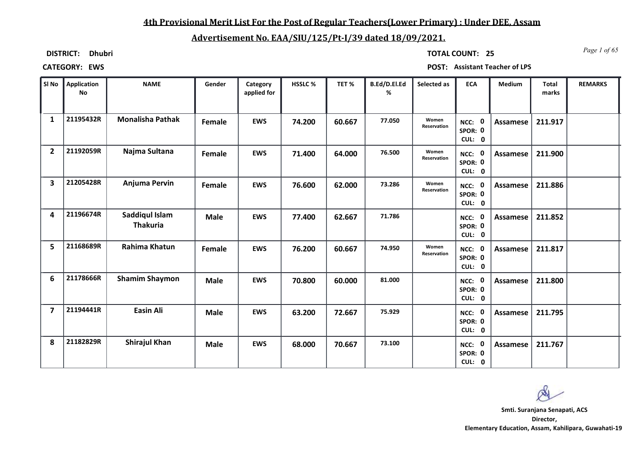### **4th Provisional Merit List For the Post of Regular Teachers(Lower Primary) : Under DEE, Assam**

### **Advertisement No. EAA/SIU/125/Pt-I/39 dated 18/09/2021.**

**DISTRICT: Dhubri**

*Page 1 of 65* **TOTAL COUNT: 25**

**CATEGORY: EWS POST: Assistant Teacher of LPS**

| SI No                   | Application<br><b>No</b> | <b>NAME</b>                       | Gender      | Category<br>applied for | HSSLC % | TET%   | B.Ed/D.El.Ed<br>% | Selected as          | <b>ECA</b>                  | Medium          | <b>Total</b><br>marks | <b>REMARKS</b> |
|-------------------------|--------------------------|-----------------------------------|-------------|-------------------------|---------|--------|-------------------|----------------------|-----------------------------|-----------------|-----------------------|----------------|
| $\mathbf{1}$            | 21195432R                | <b>Monalisha Pathak</b>           | Female      | <b>EWS</b>              | 74.200  | 60.667 | 77.050            | Women<br>Reservation | NCC: 0<br>SPOR: 0<br>CUL: 0 | Assamese        | 211.917               |                |
| $\overline{2}$          | 21192059R                | Najma Sultana                     | Female      | <b>EWS</b>              | 71.400  | 64.000 | 76.500            | Women<br>Reservation | NCC: 0<br>SPOR: 0<br>CUL: 0 | <b>Assamese</b> | 211.900               |                |
| 3                       | 21205428R                | Anjuma Pervin                     | Female      | <b>EWS</b>              | 76.600  | 62.000 | 73.286            | Women<br>Reservation | NCC: 0<br>SPOR: 0<br>CUL: 0 | Assamese        | 211.886               |                |
| 4                       | 21196674R                | Saddiqul Islam<br><b>Thakuria</b> | <b>Male</b> | <b>EWS</b>              | 77.400  | 62.667 | 71.786            |                      | NCC: 0<br>SPOR: 0<br>CUL: 0 | Assamese        | 211.852               |                |
| 5                       | 21168689R                | Rahima Khatun                     | Female      | <b>EWS</b>              | 76.200  | 60.667 | 74.950            | Women<br>Reservation | NCC: 0<br>SPOR: 0<br>CUL: 0 | Assamese        | 211.817               |                |
| 6                       | 21178666R                | <b>Shamim Shaymon</b>             | <b>Male</b> | <b>EWS</b>              | 70.800  | 60.000 | 81.000            |                      | NCC: 0<br>SPOR: 0<br>CUL: 0 | Assamese        | 211.800               |                |
| $\overline{\mathbf{z}}$ | 21194441R                | <b>Easin Ali</b>                  | <b>Male</b> | <b>EWS</b>              | 63.200  | 72.667 | 75.929            |                      | NCC: 0<br>SPOR: 0<br>CUL: 0 | Assamese        | 211.795               |                |
| 8                       | 21182829R                | <b>Shirajul Khan</b>              | <b>Male</b> | <b>EWS</b>              | 68.000  | 70.667 | 73.100            |                      | NCC: 0<br>SPOR: 0<br>CUL: 0 | Assamese        | 211.767               |                |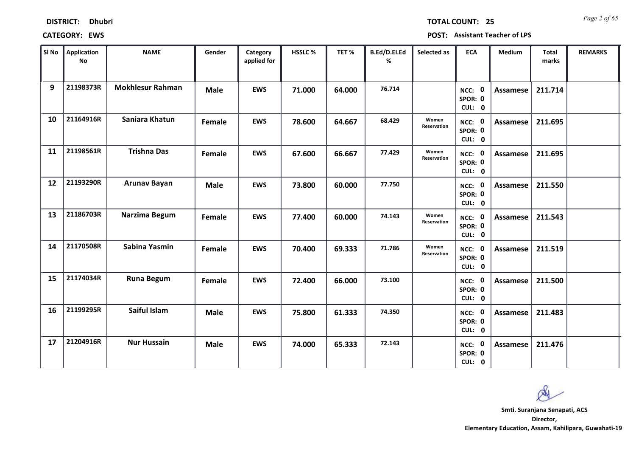| <b>DISTRICT:</b> | <b>Dhubri</b> |
|------------------|---------------|
|------------------|---------------|

*Page 2 of 65* **TOTAL COUNT: 25**

| SI No | <b>Application</b><br>No | <b>NAME</b>             | Gender      | Category<br>applied for | HSSLC % | TET %  | B.Ed/D.El.Ed<br>% | Selected as          | <b>ECA</b>                  | <b>Medium</b>   | <b>Total</b><br>marks | <b>REMARKS</b> |
|-------|--------------------------|-------------------------|-------------|-------------------------|---------|--------|-------------------|----------------------|-----------------------------|-----------------|-----------------------|----------------|
| 9     | 21198373R                | <b>Mokhlesur Rahman</b> | <b>Male</b> | <b>EWS</b>              | 71.000  | 64.000 | 76.714            |                      | NCC: 0<br>SPOR: 0<br>CUL: 0 | <b>Assamese</b> | 211.714               |                |
| 10    | 21164916R                | Saniara Khatun          | Female      | <b>EWS</b>              | 78.600  | 64.667 | 68.429            | Women<br>Reservation | NCC: 0<br>SPOR: 0<br>CUL: 0 | Assamese        | 211.695               |                |
| 11    | 21198561R                | <b>Trishna Das</b>      | Female      | <b>EWS</b>              | 67.600  | 66.667 | 77.429            | Women<br>Reservation | NCC: 0<br>SPOR: 0<br>CUL: 0 | Assamese        | 211.695               |                |
| 12    | 21193290R                | <b>Arunav Bayan</b>     | <b>Male</b> | <b>EWS</b>              | 73.800  | 60.000 | 77.750            |                      | NCC: 0<br>SPOR: 0<br>CUL: 0 | Assamese        | 211.550               |                |
| 13    | 21186703R                | Narzima Begum           | Female      | <b>EWS</b>              | 77.400  | 60.000 | 74.143            | Women<br>Reservation | NCC: 0<br>SPOR: 0<br>CUL: 0 | Assamese        | 211.543               |                |
| 14    | 21170508R                | Sabina Yasmin           | Female      | <b>EWS</b>              | 70.400  | 69.333 | 71.786            | Women<br>Reservation | NCC: 0<br>SPOR: 0<br>CUL: 0 | Assamese        | 211.519               |                |
| 15    | 21174034R                | <b>Runa Begum</b>       | Female      | <b>EWS</b>              | 72.400  | 66.000 | 73.100            |                      | NCC: 0<br>SPOR: 0<br>CUL: 0 | <b>Assamese</b> | 211.500               |                |
| 16    | 21199295R                | Saiful Islam            | <b>Male</b> | <b>EWS</b>              | 75.800  | 61.333 | 74.350            |                      | NCC: 0<br>SPOR: 0<br>CUL: 0 | <b>Assamese</b> | 211.483               |                |
| 17    | 21204916R                | <b>Nur Hussain</b>      | <b>Male</b> | <b>EWS</b>              | 74.000  | 65.333 | 72.143            |                      | NCC: 0<br>SPOR: 0<br>CUL: 0 | Assamese        | 211.476               |                |

 $\infty$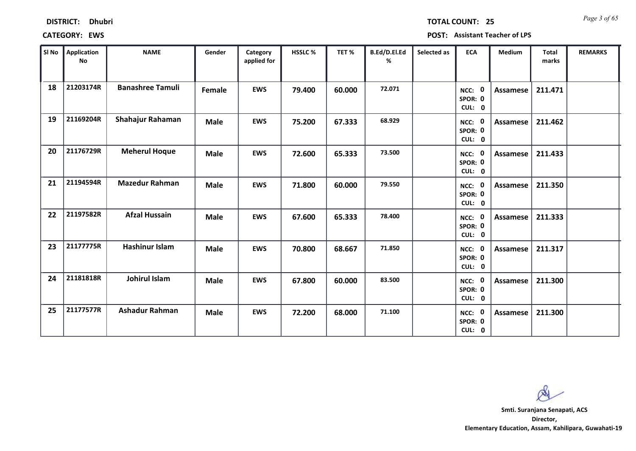| <b>DISTRICT:</b> | <b>Dhubri</b> |
|------------------|---------------|
|------------------|---------------|

*Page 3 of 65* **TOTAL COUNT: 25**

**CATEGORY: EWS POST: Assistant Teacher of LPS**

| SI No | Application<br>No | <b>NAME</b>             | Gender      | Category<br>applied for | HSSLC % | TET %  | B.Ed/D.El.Ed<br>% | Selected as | <b>ECA</b>                  | <b>Medium</b>   | <b>Total</b><br>marks | <b>REMARKS</b> |
|-------|-------------------|-------------------------|-------------|-------------------------|---------|--------|-------------------|-------------|-----------------------------|-----------------|-----------------------|----------------|
| 18    | 21203174R         | <b>Banashree Tamuli</b> | Female      | <b>EWS</b>              | 79.400  | 60.000 | 72.071            |             | NCC: 0<br>SPOR: 0<br>CUL: 0 | Assamese        | 211.471               |                |
| 19    | 21169204R         | Shahajur Rahaman        | <b>Male</b> | <b>EWS</b>              | 75.200  | 67.333 | 68.929            |             | NCC: 0<br>SPOR: 0<br>CUL: 0 | Assamese        | 211.462               |                |
| 20    | 21176729R         | <b>Meherul Hoque</b>    | <b>Male</b> | <b>EWS</b>              | 72.600  | 65.333 | 73.500            |             | NCC: 0<br>SPOR: 0<br>CUL: 0 | Assamese        | 211.433               |                |
| 21    | 21194594R         | <b>Mazedur Rahman</b>   | <b>Male</b> | <b>EWS</b>              | 71.800  | 60.000 | 79.550            |             | NCC: 0<br>SPOR: 0<br>CUL: 0 | Assamese        | 211.350               |                |
| 22    | 21197582R         | <b>Afzal Hussain</b>    | <b>Male</b> | <b>EWS</b>              | 67.600  | 65.333 | 78.400            |             | NCC: 0<br>SPOR: 0<br>CUL: 0 | <b>Assamese</b> | 211.333               |                |
| 23    | 21177775R         | <b>Hashinur Islam</b>   | <b>Male</b> | <b>EWS</b>              | 70.800  | 68.667 | 71.850            |             | NCC: 0<br>SPOR: 0<br>CUL: 0 | Assamese        | 211.317               |                |
| 24    | 21181818R         | Johirul Islam           | <b>Male</b> | <b>EWS</b>              | 67.800  | 60.000 | 83.500            |             | NCC: 0<br>SPOR: 0<br>CUL: 0 | <b>Assamese</b> | 211.300               |                |
| 25    | 21177577R         | <b>Ashadur Rahman</b>   | <b>Male</b> | <b>EWS</b>              | 72.200  | 68.000 | 71.100            |             | NCC: 0<br>SPOR: 0<br>CUL: 0 | Assamese        | 211.300               |                |

 $\infty$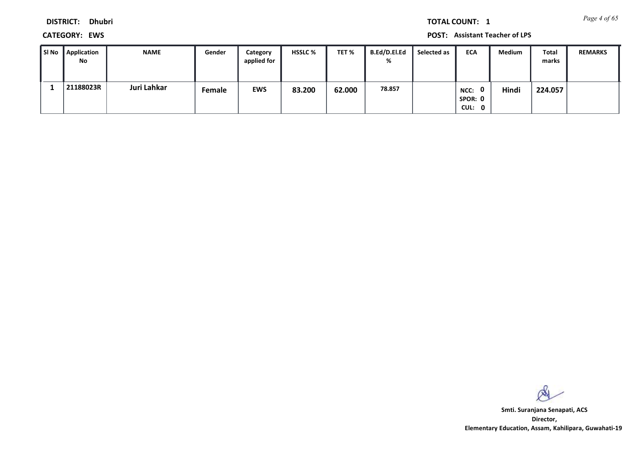**DISTRICT: Dhubri**

**CATEGORY: EWS POST: Assistant Teacher of LPS**

| l SI No | Application<br>No | <b>NAME</b> | Gender | Category<br>applied for | <b>HSSLC %</b> | TET %  | <b>B.Ed/D.El.Ed</b><br>% | Selected as | <b>ECA</b>                                | <b>Medium</b> | Total<br>marks | <b>REMARKS</b> |
|---------|-------------------|-------------|--------|-------------------------|----------------|--------|--------------------------|-------------|-------------------------------------------|---------------|----------------|----------------|
|         | 21188023R         | Juri Lahkar | Female | <b>EWS</b>              | 83.200         | 62.000 | 78.857                   |             | $\mathbf{0}$<br>NCC:<br>SPOR: 0<br>CUL: 0 | Hindi         | 224.057        |                |

 $\infty$ 

**Director, Elementary Education, Assam, Kahilipara, Guwahati-19 Smti. Suranjana Senapati, ACS**

*Page 4 of 65* **TOTAL COUNT: 1**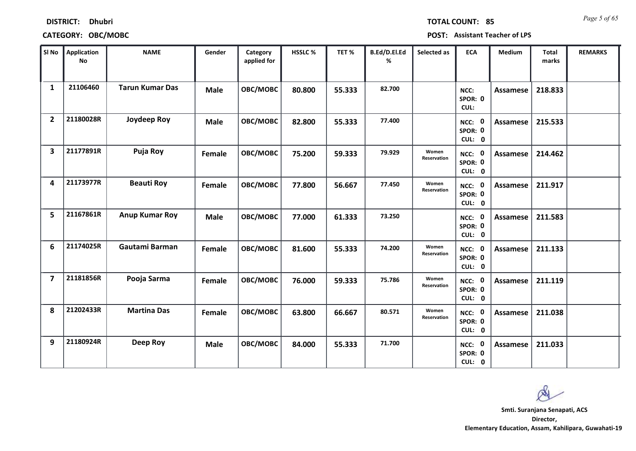| <b>DISTRICT:</b> | <b>Dhubri</b> |
|------------------|---------------|
|------------------|---------------|

*Page 5 of 65* **TOTAL COUNT: 85**

| SI No                   | <b>Application</b><br><b>No</b> | <b>NAME</b>            | Gender      | Category<br>applied for | HSSLC % | TET %  | B.Ed/D.El.Ed<br>% | Selected as          | <b>ECA</b>                  | <b>Medium</b>   | <b>Total</b><br>marks | <b>REMARKS</b> |
|-------------------------|---------------------------------|------------------------|-------------|-------------------------|---------|--------|-------------------|----------------------|-----------------------------|-----------------|-----------------------|----------------|
| 1                       | 21106460                        | <b>Tarun Kumar Das</b> | <b>Male</b> | OBC/MOBC                | 80.800  | 55.333 | 82.700            |                      | NCC:<br>SPOR: 0<br>CUL:     | Assamese        | 218.833               |                |
| $\overline{2}$          | 21180028R                       | Joydeep Roy            | <b>Male</b> | OBC/MOBC                | 82.800  | 55.333 | 77.400            |                      | NCC: 0<br>SPOR: 0<br>CUL: 0 | Assamese        | 215.533               |                |
| 3                       | 21177891R                       | Puja Roy               | Female      | OBC/MOBC                | 75.200  | 59.333 | 79.929            | Women<br>Reservation | NCC: 0<br>SPOR: 0<br>CUL: 0 | Assamese        | 214.462               |                |
| 4                       | 21173977R                       | <b>Beauti Roy</b>      | Female      | OBC/MOBC                | 77.800  | 56.667 | 77.450            | Women<br>Reservation | NCC: 0<br>SPOR: 0<br>CUL: 0 | Assamese        | 211.917               |                |
| 5                       | 21167861R                       | <b>Anup Kumar Roy</b>  | <b>Male</b> | OBC/MOBC                | 77.000  | 61.333 | 73.250            |                      | NCC: 0<br>SPOR: 0<br>CUL: 0 | <b>Assamese</b> | 211.583               |                |
| 6                       | 21174025R                       | Gautami Barman         | Female      | OBC/MOBC                | 81.600  | 55.333 | 74.200            | Women<br>Reservation | NCC: 0<br>SPOR: 0<br>CUL: 0 | Assamese        | 211.133               |                |
| $\overline{\mathbf{z}}$ | 21181856R                       | Pooja Sarma            | Female      | OBC/MOBC                | 76.000  | 59.333 | 75.786            | Women<br>Reservation | NCC: 0<br>SPOR: 0<br>CUL: 0 | Assamese        | 211.119               |                |
| 8                       | 21202433R                       | <b>Martina Das</b>     | Female      | OBC/MOBC                | 63.800  | 66.667 | 80.571            | Women<br>Reservation | NCC: 0<br>SPOR: 0<br>CUL: 0 | <b>Assamese</b> | 211.038               |                |
| 9                       | 21180924R                       | Deep Roy               | <b>Male</b> | OBC/MOBC                | 84.000  | 55.333 | 71.700            |                      | NCC: 0<br>SPOR: 0<br>CUL: 0 | Assamese        | 211.033               |                |

 $\infty$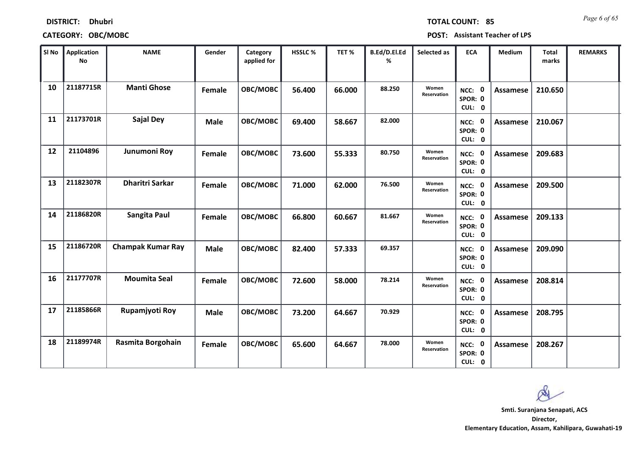| SI No | <b>Application</b><br><b>No</b> | <b>NAME</b>              | Gender      | Category<br>applied for | HSSLC% | TET %  | B.Ed/D.El.Ed<br>% | Selected as          | <b>ECA</b>                  | Medium          | Total<br>marks | <b>REMARKS</b> |
|-------|---------------------------------|--------------------------|-------------|-------------------------|--------|--------|-------------------|----------------------|-----------------------------|-----------------|----------------|----------------|
| 10    | 21187715R                       | <b>Manti Ghose</b>       | Female      | OBC/MOBC                | 56.400 | 66.000 | 88.250            | Women<br>Reservation | NCC: 0<br>SPOR: 0<br>CUL: 0 | Assamese        | 210.650        |                |
| 11    | 21173701R                       | <b>Sajal Dey</b>         | <b>Male</b> | OBC/MOBC                | 69.400 | 58.667 | 82.000            |                      | NCC: 0<br>SPOR: 0<br>CUL: 0 | <b>Assamese</b> | 210.067        |                |
| 12    | 21104896                        | Junumoni Roy             | Female      | OBC/MOBC                | 73.600 | 55.333 | 80.750            | Women<br>Reservation | NCC: 0<br>SPOR: 0<br>CUL: 0 | Assamese        | 209.683        |                |
| 13    | 21182307R                       | <b>Dharitri Sarkar</b>   | Female      | OBC/MOBC                | 71.000 | 62.000 | 76.500            | Women<br>Reservation | NCC: 0<br>SPOR: 0<br>CUL: 0 | <b>Assamese</b> | 209.500        |                |
| 14    | 21186820R                       | Sangita Paul             | Female      | OBC/MOBC                | 66.800 | 60.667 | 81.667            | Women<br>Reservation | NCC: 0<br>SPOR: 0<br>CUL: 0 | Assamese        | 209.133        |                |
| 15    | 21186720R                       | <b>Champak Kumar Ray</b> | <b>Male</b> | OBC/MOBC                | 82.400 | 57.333 | 69.357            |                      | NCC: 0<br>SPOR: 0<br>CUL: 0 | <b>Assamese</b> | 209.090        |                |
| 16    | 21177707R                       | <b>Moumita Seal</b>      | Female      | OBC/MOBC                | 72.600 | 58.000 | 78.214            | Women<br>Reservation | NCC: 0<br>SPOR: 0<br>CUL: 0 | Assamese        | 208.814        |                |
| 17    | 21185866R                       | Rupamjyoti Roy           | <b>Male</b> | OBC/MOBC                | 73.200 | 64.667 | 70.929            |                      | NCC: 0<br>SPOR: 0<br>CUL: 0 | Assamese        | 208.795        |                |
| 18    | 21189974R                       | Rasmita Borgohain        | Female      | OBC/MOBC                | 65.600 | 64.667 | 78.000            | Women<br>Reservation | NCC: 0<br>SPOR: 0<br>CUL: 0 | <b>Assamese</b> | 208.267        |                |

**DISTRICT: Dhubri**

*Page 6 of 65* **TOTAL COUNT: 85**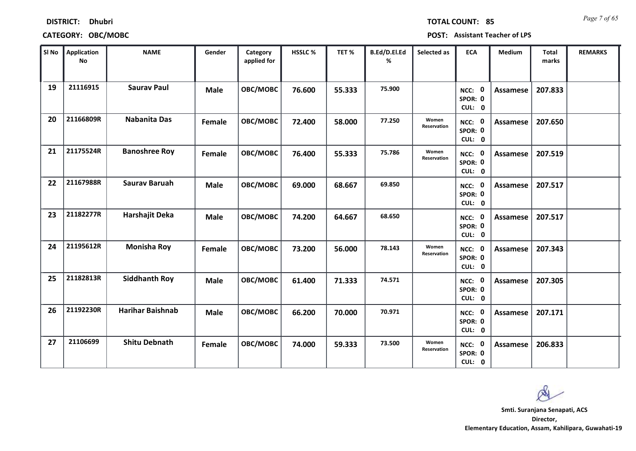| SI No | Application<br><b>No</b> | <b>NAME</b>             | Gender      | Category<br>applied for | HSSLC% | TET %  | B.Ed/D.El.Ed<br>% | Selected as          | ECA                         | Medium          | <b>Total</b><br>marks | <b>REMARKS</b> |
|-------|--------------------------|-------------------------|-------------|-------------------------|--------|--------|-------------------|----------------------|-----------------------------|-----------------|-----------------------|----------------|
| 19    | 21116915                 | <b>Saurav Paul</b>      | <b>Male</b> | OBC/MOBC                | 76.600 | 55.333 | 75.900            |                      | NCC: 0<br>SPOR: 0<br>CUL: 0 | Assamese        | 207.833               |                |
| 20    | 21166809R                | <b>Nabanita Das</b>     | Female      | OBC/MOBC                | 72.400 | 58.000 | 77.250            | Women<br>Reservation | NCC: 0<br>SPOR: 0<br>CUL: 0 | <b>Assamese</b> | 207.650               |                |
| 21    | 21175524R                | <b>Banoshree Roy</b>    | Female      | OBC/MOBC                | 76.400 | 55.333 | 75.786            | Women<br>Reservation | NCC: 0<br>SPOR: 0<br>CUL: 0 | Assamese        | 207.519               |                |
| 22    | 21167988R                | <b>Saurav Baruah</b>    | <b>Male</b> | OBC/MOBC                | 69.000 | 68.667 | 69.850            |                      | NCC: 0<br>SPOR: 0<br>CUL: 0 | <b>Assamese</b> | 207.517               |                |
| 23    | 21182277R                | Harshajit Deka          | <b>Male</b> | OBC/MOBC                | 74.200 | 64.667 | 68.650            |                      | NCC: 0<br>SPOR: 0<br>CUL: 0 | Assamese        | 207.517               |                |
| 24    | 21195612R                | <b>Monisha Roy</b>      | Female      | OBC/MOBC                | 73.200 | 56.000 | 78.143            | Women<br>Reservation | NCC: 0<br>SPOR: 0<br>CUL: 0 | <b>Assamese</b> | 207.343               |                |
| 25    | 21182813R                | <b>Siddhanth Roy</b>    | <b>Male</b> | OBC/MOBC                | 61.400 | 71.333 | 74.571            |                      | NCC: 0<br>SPOR: 0<br>CUL: 0 | Assamese        | 207.305               |                |
| 26    | 21192230R                | <b>Harihar Baishnab</b> | <b>Male</b> | OBC/MOBC                | 66.200 | 70.000 | 70.971            |                      | NCC: 0<br>SPOR: 0<br>CUL: 0 | Assamese        | 207.171               |                |
| 27    | 21106699                 | <b>Shitu Debnath</b>    | Female      | OBC/MOBC                | 74.000 | 59.333 | 73.500            | Women<br>Reservation | NCC: 0<br>SPOR: 0<br>CUL: 0 | Assamese        | 206.833               |                |

**DISTRICT: Dhubri**

*Page 7 of 65* **TOTAL COUNT: 85**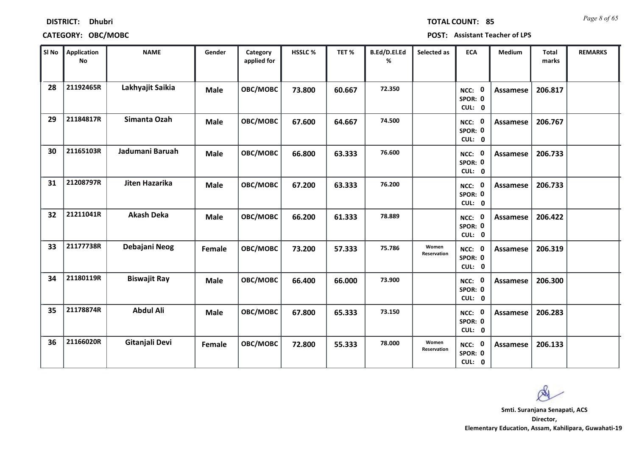| <b>DISTRICT:</b> | <b>Dhubri</b> |
|------------------|---------------|
|                  |               |

*Page 8 of 65* **TOTAL COUNT: 85**

| SI No | Application<br><b>No</b> | <b>NAME</b>         | Gender      | Category<br>applied for | HSSLC % | TET %  | B.Ed/D.El.Ed<br>% | Selected as          | <b>ECA</b>                  | Medium          | <b>Total</b><br>marks | <b>REMARKS</b> |
|-------|--------------------------|---------------------|-------------|-------------------------|---------|--------|-------------------|----------------------|-----------------------------|-----------------|-----------------------|----------------|
| 28    | 21192465R                | Lakhyajit Saikia    | <b>Male</b> | OBC/MOBC                | 73.800  | 60.667 | 72.350            |                      | NCC: 0<br>SPOR: 0<br>CUL: 0 | <b>Assamese</b> | 206.817               |                |
| 29    | 21184817R                | Simanta Ozah        | <b>Male</b> | OBC/MOBC                | 67.600  | 64.667 | 74.500            |                      | NCC: 0<br>SPOR: 0<br>CUL: 0 | Assamese        | 206.767               |                |
| 30    | 21165103R                | Jadumani Baruah     | <b>Male</b> | OBC/MOBC                | 66.800  | 63.333 | 76.600            |                      | NCC: 0<br>SPOR: 0<br>CUL: 0 | <b>Assamese</b> | 206.733               |                |
| 31    | 21208797R                | Jiten Hazarika      | <b>Male</b> | OBC/MOBC                | 67.200  | 63.333 | 76.200            |                      | NCC: 0<br>SPOR: 0<br>CUL: 0 | Assamese        | 206.733               |                |
| 32    | 21211041R                | <b>Akash Deka</b>   | <b>Male</b> | OBC/MOBC                | 66.200  | 61.333 | 78.889            |                      | NCC: 0<br>SPOR: 0<br>CUL: 0 | <b>Assamese</b> | 206.422               |                |
| 33    | 21177738R                | Debajani Neog       | Female      | OBC/MOBC                | 73.200  | 57.333 | 75.786            | Women<br>Reservation | NCC: 0<br>SPOR: 0<br>CUL: 0 | Assamese        | 206.319               |                |
| 34    | 21180119R                | <b>Biswajit Ray</b> | <b>Male</b> | OBC/MOBC                | 66.400  | 66.000 | 73.900            |                      | NCC: 0<br>SPOR: 0<br>CUL: 0 | <b>Assamese</b> | 206.300               |                |
| 35    | 21178874R                | <b>Abdul Ali</b>    | <b>Male</b> | OBC/MOBC                | 67.800  | 65.333 | 73.150            |                      | NCC: 0<br>SPOR: 0<br>CUL: 0 | <b>Assamese</b> | 206.283               |                |
| 36    | 21166020R                | Gitanjali Devi      | Female      | OBC/MOBC                | 72.800  | 55.333 | 78.000            | Women<br>Reservation | NCC: 0<br>SPOR: 0<br>CUL: 0 | Assamese        | 206.133               |                |

 $\infty$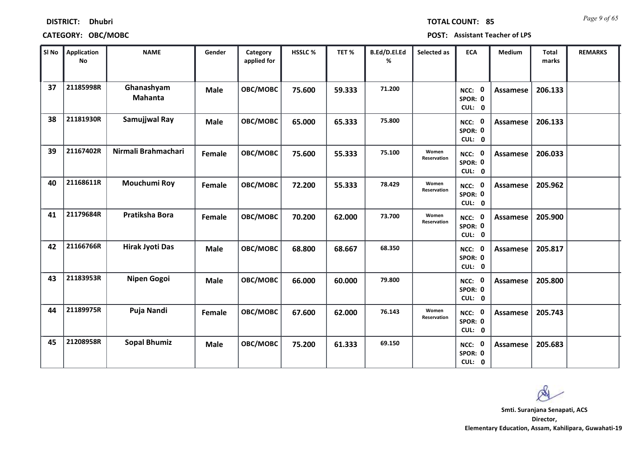| <b>DISTRICT:</b> | Dhubri |
|------------------|--------|
|------------------|--------|

*Page 9 of 65* **TOTAL COUNT: 85**

| SI No | <b>Application</b><br>No | <b>NAME</b>                  | Gender      | Category<br>applied for | HSSLC % | TET %  | B.Ed/D.El.Ed<br>% | Selected as          | <b>ECA</b>                  | <b>Medium</b>   | <b>Total</b><br>marks | <b>REMARKS</b> |
|-------|--------------------------|------------------------------|-------------|-------------------------|---------|--------|-------------------|----------------------|-----------------------------|-----------------|-----------------------|----------------|
| 37    | 21185998R                | Ghanashyam<br><b>Mahanta</b> | <b>Male</b> | OBC/MOBC                | 75.600  | 59.333 | 71.200            |                      | NCC: 0<br>SPOR: 0<br>CUL: 0 | Assamese        | 206.133               |                |
| 38    | 21181930R                | Samujjwal Ray                | <b>Male</b> | OBC/MOBC                | 65.000  | 65.333 | 75.800            |                      | NCC: 0<br>SPOR: 0<br>CUL: 0 | Assamese        | 206.133               |                |
| 39    | 21167402R                | Nirmali Brahmachari          | Female      | OBC/MOBC                | 75.600  | 55.333 | 75.100            | Women<br>Reservation | NCC: 0<br>SPOR: 0<br>CUL: 0 | <b>Assamese</b> | 206.033               |                |
| 40    | 21168611R                | Mouchumi Roy                 | Female      | OBC/MOBC                | 72.200  | 55.333 | 78.429            | Women<br>Reservation | NCC: 0<br>SPOR: 0<br>CUL: 0 | Assamese        | 205.962               |                |
| 41    | 21179684R                | Pratiksha Bora               | Female      | OBC/MOBC                | 70.200  | 62.000 | 73.700            | Women<br>Reservation | NCC: 0<br>SPOR: 0<br>CUL: 0 | <b>Assamese</b> | 205.900               |                |
| 42    | 21166766R                | <b>Hirak Jyoti Das</b>       | <b>Male</b> | OBC/MOBC                | 68.800  | 68.667 | 68.350            |                      | NCC: 0<br>SPOR: 0<br>CUL: 0 | <b>Assamese</b> | 205.817               |                |
| 43    | 21183953R                | Nipen Gogoi                  | <b>Male</b> | OBC/MOBC                | 66.000  | 60.000 | 79.800            |                      | NCC: 0<br>SPOR: 0<br>CUL: 0 | <b>Assamese</b> | 205.800               |                |
| 44    | 21189975R                | Puja Nandi                   | Female      | OBC/MOBC                | 67.600  | 62.000 | 76.143            | Women<br>Reservation | NCC: 0<br>SPOR: 0<br>CUL: 0 | Assamese        | 205.743               |                |
| 45    | 21208958R                | <b>Sopal Bhumiz</b>          | <b>Male</b> | OBC/MOBC                | 75.200  | 61.333 | 69.150            |                      | NCC: 0<br>SPOR: 0<br>CUL: 0 | Assamese        | 205.683               |                |

 $\infty$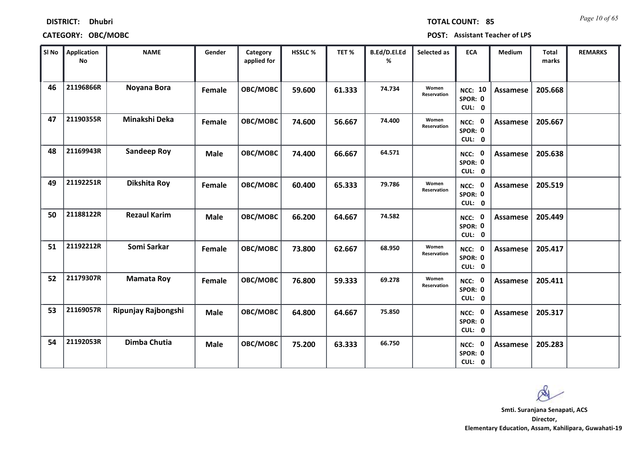| <b>DISTRICT:</b> | <b>Dhubri</b> |
|------------------|---------------|
|------------------|---------------|

*Page 10 of 65* **TOTAL COUNT: 85**

| SI <sub>No</sub> | <b>Application</b><br><b>No</b> | <b>NAME</b>         | Gender      | Category<br>applied for | <b>HSSLC %</b> | TET %  | B.Ed/D.El.Ed<br>% | Selected as                 | <b>ECA</b>                          | Medium          | <b>Total</b><br>marks | <b>REMARKS</b> |
|------------------|---------------------------------|---------------------|-------------|-------------------------|----------------|--------|-------------------|-----------------------------|-------------------------------------|-----------------|-----------------------|----------------|
| 46               | 21196866R                       | Noyana Bora         | Female      | OBC/MOBC                | 59.600         | 61.333 | 74.734            | Women<br><b>Reservation</b> | <b>NCC: 10</b><br>SPOR: 0<br>CUL: 0 | <b>Assamese</b> | 205.668               |                |
| 47               | 21190355R                       | Minakshi Deka       | Female      | OBC/MOBC                | 74.600         | 56.667 | 74.400            | Women<br>Reservation        | NCC: 0<br>SPOR: 0<br>CUL: 0         | Assamese        | 205.667               |                |
| 48               | 21169943R                       | <b>Sandeep Roy</b>  | <b>Male</b> | OBC/MOBC                | 74.400         | 66.667 | 64.571            |                             | NCC: 0<br>SPOR: 0<br>CUL: 0         | <b>Assamese</b> | 205.638               |                |
| 49               | 21192251R                       | Dikshita Roy        | Female      | <b>OBC/MOBC</b>         | 60.400         | 65.333 | 79.786            | Women<br>Reservation        | NCC: 0<br>SPOR: 0<br>CUL: 0         | Assamese        | 205.519               |                |
| 50               | 21188122R                       | <b>Rezaul Karim</b> | <b>Male</b> | OBC/MOBC                | 66.200         | 64.667 | 74.582            |                             | NCC: 0<br>SPOR: 0<br>CUL: 0         | <b>Assamese</b> | 205.449               |                |
| 51               | 21192212R                       | Somi Sarkar         | Female      | OBC/MOBC                | 73.800         | 62.667 | 68.950            | Women<br>Reservation        | NCC: 0<br>SPOR: 0<br>CUL: 0         | <b>Assamese</b> | 205.417               |                |
| 52               | 21179307R                       | <b>Mamata Roy</b>   | Female      | OBC/MOBC                | 76.800         | 59.333 | 69.278            | Women<br>Reservation        | NCC: 0<br>SPOR: 0<br>CUL: 0         | <b>Assamese</b> | 205.411               |                |
| 53               | 21169057R                       | Ripunjay Rajbongshi | <b>Male</b> | OBC/MOBC                | 64.800         | 64.667 | 75.850            |                             | NCC: 0<br>SPOR: 0<br>CUL: 0         | Assamese        | 205.317               |                |
| 54               | 21192053R                       | Dimba Chutia        | <b>Male</b> | OBC/MOBC                | 75.200         | 63.333 | 66.750            |                             | NCC: 0<br>SPOR: 0<br>CUL: 0         | Assamese        | 205.283               |                |

 $\infty$ **Smti. Suranjana Senapati, ACS**

**Director, Elementary Education, Assam, Kahilipara, Guwahati-19**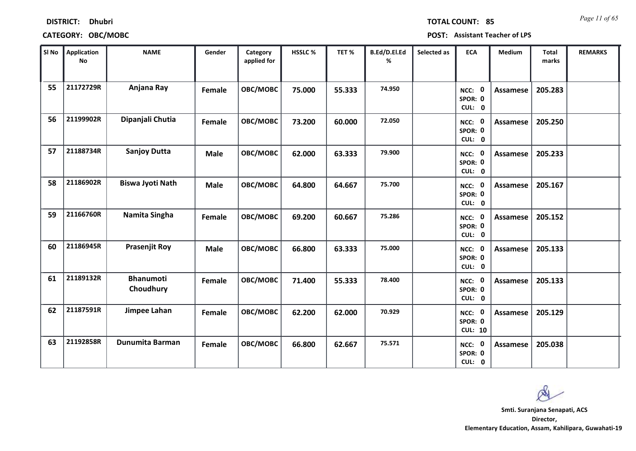| SI No | <b>Application</b><br><b>No</b> | <b>NAME</b>                   | Gender      | Category<br>applied for | HSSLC% | TET%   | B.Ed/D.El.Ed<br>% | Selected as | <b>ECA</b>                          | Medium          | <b>Total</b><br>marks | <b>REMARKS</b> |
|-------|---------------------------------|-------------------------------|-------------|-------------------------|--------|--------|-------------------|-------------|-------------------------------------|-----------------|-----------------------|----------------|
| 55    | 21172729R                       | Anjana Ray                    | Female      | <b>OBC/MOBC</b>         | 75.000 | 55.333 | 74.950            |             | NCC: 0<br>SPOR: 0<br>CUL: 0         | <b>Assamese</b> | 205.283               |                |
| 56    | 21199902R                       | Dipanjali Chutia              | Female      | OBC/MOBC                | 73.200 | 60.000 | 72.050            |             | NCC: 0<br>SPOR: 0<br>CUL: 0         | <b>Assamese</b> | 205.250               |                |
| 57    | 21188734R                       | <b>Sanjoy Dutta</b>           | <b>Male</b> | OBC/MOBC                | 62.000 | 63.333 | 79.900            |             | NCC: 0<br>SPOR: 0<br>CUL: 0         | <b>Assamese</b> | 205.233               |                |
| 58    | 21186902R                       | <b>Biswa Jyoti Nath</b>       | <b>Male</b> | OBC/MOBC                | 64.800 | 64.667 | 75.700            |             | NCC: 0<br>SPOR: 0<br>CUL: 0         | <b>Assamese</b> | 205.167               |                |
| 59    | 21166760R                       | Namita Singha                 | Female      | OBC/MOBC                | 69.200 | 60.667 | 75.286            |             | NCC: 0<br>SPOR: 0<br>CUL: 0         | Assamese        | 205.152               |                |
| 60    | 21186945R                       | <b>Prasenjit Roy</b>          | <b>Male</b> | OBC/MOBC                | 66.800 | 63.333 | 75.000            |             | NCC: 0<br>SPOR: 0<br>CUL: 0         | Assamese        | 205.133               |                |
| 61    | 21189132R                       | <b>Bhanumoti</b><br>Choudhury | Female      | OBC/MOBC                | 71.400 | 55.333 | 78.400            |             | NCC: 0<br>SPOR: 0<br>CUL: 0         | Assamese        | 205.133               |                |
| 62    | 21187591R                       | Jimpee Lahan                  | Female      | OBC/MOBC                | 62.200 | 62.000 | 70.929            |             | NCC: 0<br>SPOR: 0<br><b>CUL: 10</b> | Assamese        | 205.129               |                |
| 63    | 21192858R                       | <b>Dunumita Barman</b>        | Female      | OBC/MOBC                | 66.800 | 62.667 | 75.571            |             | NCC: 0<br>SPOR: 0<br>CUL: 0         | Assamese        | 205.038               |                |

**DISTRICT: Dhubri**

### **CATEGORY: OBC/MOBC POST: Assistant Teacher of LPS**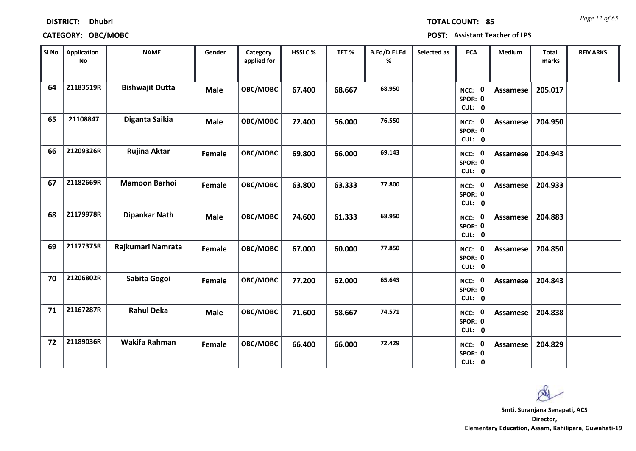| SI No | Application<br>No | <b>NAME</b>            | Gender      | Category<br>applied for | HSSLC% | TET %  | B.Ed/D.El.Ed<br>% | Selected as | <b>ECA</b>                  | Medium          | <b>Total</b><br>marks | <b>REMARKS</b> |  |
|-------|-------------------|------------------------|-------------|-------------------------|--------|--------|-------------------|-------------|-----------------------------|-----------------|-----------------------|----------------|--|
| 64    | 21183519R         | <b>Bishwajit Dutta</b> | <b>Male</b> | OBC/MOBC                | 67.400 | 68.667 | 68.950            |             | NCC: 0<br>SPOR: 0<br>CUL: 0 | Assamese        | 205.017               |                |  |
| 65    | 21108847          | Diganta Saikia         | <b>Male</b> | OBC/MOBC                | 72.400 | 56.000 | 76.550            |             | NCC: 0<br>SPOR: 0<br>CUL: 0 | Assamese        | 204.950               |                |  |
| 66    | 21209326R         | Rujina Aktar           | Female      | OBC/MOBC                | 69.800 | 66.000 | 69.143            |             | NCC: 0<br>SPOR: 0<br>CUL: 0 | Assamese        | 204.943               |                |  |
| 67    | 21182669R         | <b>Mamoon Barhoi</b>   | Female      | OBC/MOBC                | 63.800 | 63.333 | 77.800            |             | NCC: 0<br>SPOR: 0<br>CUL: 0 | <b>Assamese</b> | 204.933               |                |  |
| 68    | 21179978R         | Dipankar Nath          | <b>Male</b> | OBC/MOBC                | 74.600 | 61.333 | 68.950            |             | NCC: 0<br>SPOR: 0<br>CUL: 0 | Assamese        | 204.883               |                |  |
| 69    | 21177375R         | Rajkumari Namrata      | Female      | OBC/MOBC                | 67.000 | 60.000 | 77.850            |             | NCC: 0<br>SPOR: 0<br>CUL: 0 | Assamese        | 204.850               |                |  |
| 70    | 21206802R         | Sabita Gogoi           | Female      | OBC/MOBC                | 77.200 | 62.000 | 65.643            |             | NCC: 0<br>SPOR: 0<br>CUL: 0 | Assamese        | 204.843               |                |  |
| 71    | 21167287R         | <b>Rahul Deka</b>      | <b>Male</b> | OBC/MOBC                | 71.600 | 58.667 | 74.571            |             | NCC: 0<br>SPOR: 0<br>CUL: 0 | <b>Assamese</b> | 204.838               |                |  |
| 72    | 21189036R         | Wakifa Rahman          | Female      | OBC/MOBC                | 66.400 | 66.000 | 72.429            |             | NCC: 0<br>SPOR: 0<br>CUL: 0 | Assamese        | 204.829               |                |  |

# **DISTRICT: Dhubri**

**CATEGORY: OBC/MOBC POST: Assistant Teacher of LPS**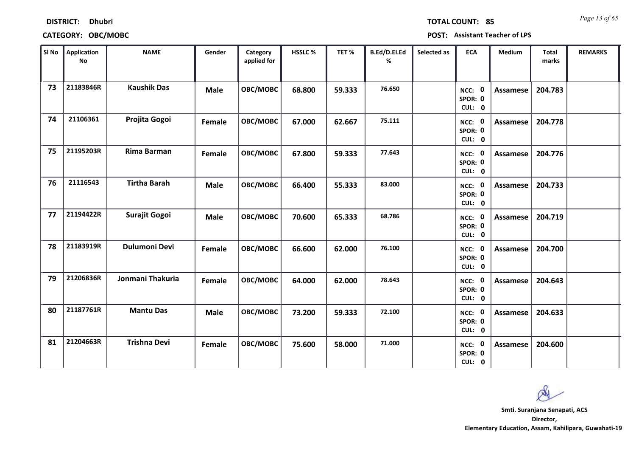| SI No | Application<br><b>No</b> | <b>NAME</b>          | Gender      | <b>Category</b><br>applied for | HSSLC% | TET%   | B.Ed/D.El.Ed<br>% | Selected as | <b>ECA</b>                         | Medium          | <b>Total</b><br>marks | <b>REMARKS</b> |  |
|-------|--------------------------|----------------------|-------------|--------------------------------|--------|--------|-------------------|-------------|------------------------------------|-----------------|-----------------------|----------------|--|
| 73    | 21183846R                | <b>Kaushik Das</b>   | <b>Male</b> | OBC/MOBC                       | 68.800 | 59.333 | 76.650            |             | NCC: 0<br>SPOR: 0<br>CUL: 0        | Assamese        | 204.783               |                |  |
| 74    | 21106361                 | Projita Gogoi        | Female      | OBC/MOBC                       | 67.000 | 62.667 | 75.111            |             | NCC: 0<br>SPOR: 0<br>CUL: 0        | Assamese        | 204.778               |                |  |
| 75    | 21195203R                | Rima Barman          | Female      | <b>OBC/MOBC</b>                | 67.800 | 59.333 | 77.643            |             | NCC: 0<br>SPOR: 0<br>CUL: 0        | Assamese        | 204.776               |                |  |
| 76    | 21116543                 | <b>Tirtha Barah</b>  | <b>Male</b> | OBC/MOBC                       | 66.400 | 55.333 | 83.000            |             | NCC: 0<br>SPOR: 0<br>CUL: 0        | Assamese        | 204.733               |                |  |
| 77    | 21194422R                | <b>Surajit Gogoi</b> | <b>Male</b> | OBC/MOBC                       | 70.600 | 65.333 | 68.786            |             | <b>NCC: 0</b><br>SPOR: 0<br>CUL: 0 | Assamese        | 204.719               |                |  |
| 78    | 21183919R                | <b>Dulumoni Devi</b> | Female      | OBC/MOBC                       | 66.600 | 62.000 | 76.100            |             | NCC: 0<br>SPOR: 0<br>CUL: 0        | Assamese        | 204.700               |                |  |
| 79    | 21206836R                | Jonmani Thakuria     | Female      | <b>OBC/MOBC</b>                | 64.000 | 62.000 | 78.643            |             | NCC: 0<br>SPOR: 0<br>CUL: 0        | Assamese        | 204.643               |                |  |
| 80    | 21187761R                | <b>Mantu Das</b>     | <b>Male</b> | OBC/MOBC                       | 73.200 | 59.333 | 72.100            |             | NCC: 0<br>SPOR: 0<br>CUL: 0        | <b>Assamese</b> | 204.633               |                |  |
| 81    | 21204663R                | <b>Trishna Devi</b>  | Female      | OBC/MOBC                       | 75.600 | 58.000 | 71.000            |             | NCC: 0<br>SPOR: 0<br>CUL: 0        | <b>Assamese</b> | 204.600               |                |  |

**DISTRICT: Dhubri**

**CATEGORY: OBC/MOBC POST: Assistant Teacher of LPS**

**Director, Elementary Education, Assam, Kahilipara, Guwahati-19 Smti. Suranjana Senapati, ACS**

*Page 13 of 65* **TOTAL COUNT: 85**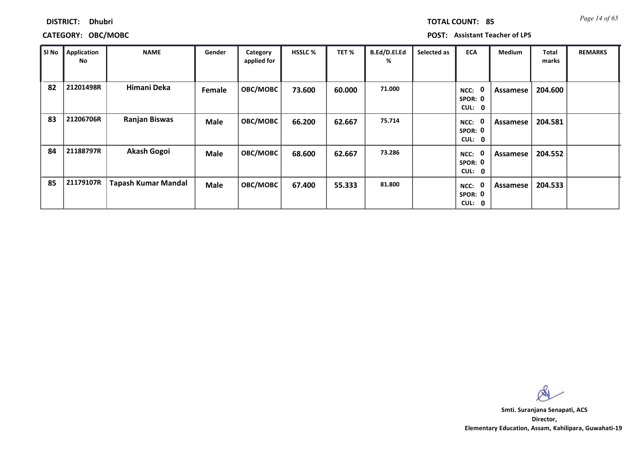| <b>DISTRICT:</b> | <b>Dhubri</b> |
|------------------|---------------|
|------------------|---------------|

| SI No | Application<br>No | <b>NAME</b>                | Gender      | Category<br>applied for | <b>HSSLC %</b> | TET %  | B.Ed/D.El.Ed<br>% | Selected as | <b>ECA</b>                                         | <b>Medium</b>   | <b>Total</b><br>marks | <b>REMARKS</b> |
|-------|-------------------|----------------------------|-------------|-------------------------|----------------|--------|-------------------|-------------|----------------------------------------------------|-----------------|-----------------------|----------------|
| 82    | 21201498R         | Himani Deka                | Female      | OBC/MOBC                | 73.600         | 60.000 | 71.000            |             | 0<br>NCC:<br>SPOR: 0<br>CUL:<br>$\mathbf 0$        | <b>Assamese</b> | 204.600               |                |
| 83    | 21206706R         | <b>Ranjan Biswas</b>       | <b>Male</b> | OBC/MOBC                | 66.200         | 62.667 | 75.714            |             | 0<br>NCC:<br>SPOR: 0<br><b>CUL:</b><br>$\mathbf 0$ | Assamese        | 204.581               |                |
| 84    | 21188797R         | <b>Akash Gogoi</b>         | <b>Male</b> | OBC/MOBC                | 68.600         | 62.667 | 73.286            |             | 0<br>NCC:<br>SPOR: 0<br><b>CUL:</b><br>$\mathbf 0$ | Assamese        | 204.552               |                |
| 85    | 21179107R         | <b>Tapash Kumar Mandal</b> | <b>Male</b> | OBC/MOBC                | 67.400         | 55.333 | 81.800            |             | 0<br>NCC:<br>SPOR: 0<br>CUL:<br>$\mathbf 0$        | Assamese        | 204.533               |                |

 $\infty$ 

**Director, Elementary Education, Assam, Kahilipara, Guwahati-19 Smti. Suranjana Senapati, ACS**

*Page 14 of 65* **TOTAL COUNT: 85**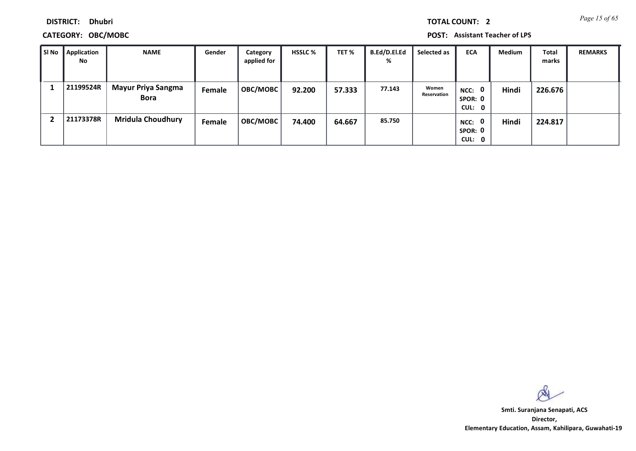**DISTRICT: Dhubri**

| l SI No | Application<br>No | <b>NAME</b>                              | Gender | Category<br>applied for | <b>HSSLC %</b> | TET %  | <b>B.Ed/D.El.Ed</b><br>% | Selected as          | <b>ECA</b>                                | <b>Medium</b> | Total<br>marks | <b>REMARKS</b> |
|---------|-------------------|------------------------------------------|--------|-------------------------|----------------|--------|--------------------------|----------------------|-------------------------------------------|---------------|----------------|----------------|
|         | 21199524R         | <b>Mayur Priya Sangma</b><br><b>Bora</b> | Female | <b>OBC/MOBC</b>         | 92.200         | 57.333 | 77.143                   | Women<br>Reservation | NCC: 0<br>SPOR: 0<br>CUL: 0               | Hindi         | 226.676        |                |
|         | 21173378R         | <b>Mridula Choudhury</b>                 | Female | <b>OBC/MOBC</b>         | 74.400         | 64.667 | 85.750                   |                      | $\mathbf{0}$<br>NCC:<br>SPOR: 0<br>CUL: 0 | Hindi         | 224.817        |                |

 $\infty$ 

**Director, Elementary Education, Assam, Kahilipara, Guwahati-19 Smti. Suranjana Senapati, ACS**

*Page 15 of 65* **TOTAL COUNT: 2**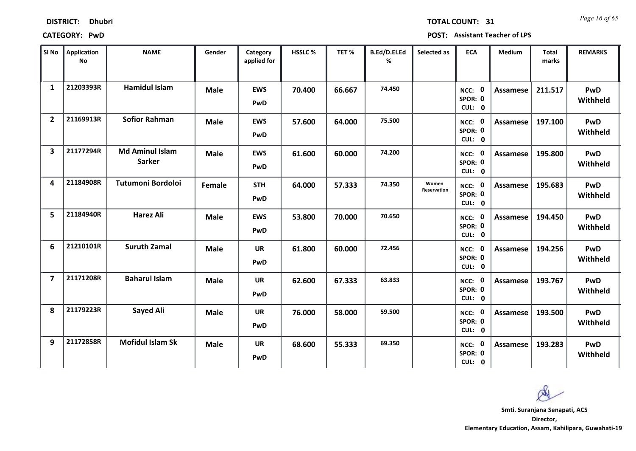| <b>DISTRICT:</b> | <b>Dhubri</b> |
|------------------|---------------|
|------------------|---------------|

*Page 16 of 65* **TOTAL COUNT: 31**

**CATEGORY: PwD POST: Assistant Teacher of LPS**

| SI No                   | <b>Application</b><br>No | <b>NAME</b>                             | Gender      | Category<br>applied for | <b>HSSLC%</b> | TET %  | B.Ed/D.El.Ed<br>% | Selected as                 | <b>ECA</b>                         | <b>Medium</b>   | <b>Total</b><br>marks | <b>REMARKS</b>  |
|-------------------------|--------------------------|-----------------------------------------|-------------|-------------------------|---------------|--------|-------------------|-----------------------------|------------------------------------|-----------------|-----------------------|-----------------|
| $\mathbf{1}$            | 21203393R                | <b>Hamidul Islam</b>                    | <b>Male</b> | <b>EWS</b><br>PwD       | 70.400        | 66.667 | 74.450            |                             | NCC: 0<br>SPOR: 0<br>CUL: 0        | Assamese        | 211.517               | PwD<br>Withheld |
| $\overline{2}$          | 21169913R                | <b>Sofior Rahman</b>                    | <b>Male</b> | <b>EWS</b><br>PwD       | 57.600        | 64.000 | 75.500            |                             | NCC: 0<br>SPOR: 0<br>CUL: 0        | Assamese        | 197.100               | PwD<br>Withheld |
| $\overline{\mathbf{3}}$ | 21177294R                | <b>Md Aminul Islam</b><br><b>Sarker</b> | <b>Male</b> | <b>EWS</b><br>PwD       | 61.600        | 60.000 | 74.200            |                             | <b>NCC: 0</b><br>SPOR: 0<br>CUL: 0 | Assamese        | 195.800               | PwD<br>Withheld |
| 4                       | 21184908R                | Tutumoni Bordoloi                       | Female      | <b>STH</b><br>PwD       | 64.000        | 57.333 | 74.350            | Women<br><b>Reservation</b> | NCC: 0<br>SPOR: 0<br>CUL: 0        | <b>Assamese</b> | 195.683               | PwD<br>Withheld |
| 5.                      | 21184940R                | Harez Ali                               | <b>Male</b> | <b>EWS</b><br>PwD       | 53.800        | 70.000 | 70.650            |                             | NCC: 0<br>SPOR: 0<br>CUL: 0        | Assamese        | 194.450               | PwD<br>Withheld |
| 6                       | 21210101R                | <b>Suruth Zamal</b>                     | <b>Male</b> | <b>UR</b><br>PwD        | 61.800        | 60.000 | 72.456            |                             | NCC: 0<br>SPOR: 0<br>CUL: 0        | <b>Assamese</b> | 194.256               | PwD<br>Withheld |
| $\overline{7}$          | 21171208R                | <b>Baharul Islam</b>                    | <b>Male</b> | <b>UR</b><br>PwD        | 62.600        | 67.333 | 63.833            |                             | NCC: 0<br>SPOR: 0<br>CUL: 0        | Assamese        | 193.767               | PwD<br>Withheld |
| 8                       | 21179223R                | <b>Sayed Ali</b>                        | <b>Male</b> | <b>UR</b><br>PwD        | 76.000        | 58.000 | 59.500            |                             | NCC: 0<br>SPOR: 0<br>CUL: 0        | Assamese        | 193.500               | PwD<br>Withheld |
| 9                       | 21172858R                | <b>Mofidul Islam Sk</b>                 | <b>Male</b> | <b>UR</b><br>PwD        | 68.600        | 55.333 | 69.350            |                             | NCC: 0<br>SPOR: 0<br>CUL: 0        | Assamese        | 193.283               | PwD<br>Withheld |

**Director, Smti. Suranjana Senapati, ACS**

**Elementary Education, Assam, Kahilipara, Guwahati-19**

Q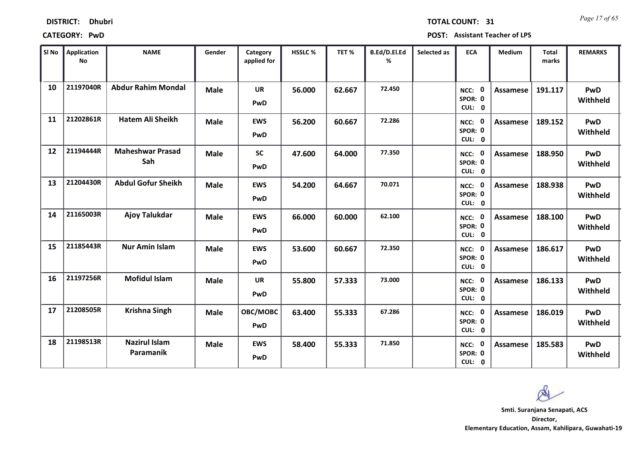| <b>DISTRICT:</b> | <b>Dhubri</b> |
|------------------|---------------|
|------------------|---------------|

*Page 17 of 65* **TOTAL COUNT: 31**

**CATEGORY: PwD POST: Assistant Teacher of LPS**

| SI No | <b>Application</b><br>No | <b>NAME</b>                       | Gender      | Category<br>applied for | <b>HSSLC%</b> | TET %  | B.Ed/D.El.Ed<br>% | Selected as | <b>ECA</b>                         | <b>Medium</b>   | <b>Total</b><br>marks | <b>REMARKS</b>  |
|-------|--------------------------|-----------------------------------|-------------|-------------------------|---------------|--------|-------------------|-------------|------------------------------------|-----------------|-----------------------|-----------------|
| 10    | 21197040R                | <b>Abdur Rahim Mondal</b>         | <b>Male</b> | <b>UR</b><br>PwD        | 56.000        | 62.667 | 72.450            |             | NCC: 0<br>SPOR: 0<br>CUL: 0        | <b>Assamese</b> | 191.117               | PwD<br>Withheld |
| 11    | 21202861R                | <b>Hatem Ali Sheikh</b>           | <b>Male</b> | <b>EWS</b><br>PwD       | 56.200        | 60.667 | 72.286            |             | NCC: 0<br>SPOR: 0<br>CUL: 0        | Assamese        | 189.152               | PwD<br>Withheld |
| 12    | 21194444R                | <b>Maheshwar Prasad</b><br>Sah    | <b>Male</b> | <b>SC</b><br>PwD        | 47.600        | 64.000 | 77.350            |             | <b>NCC: 0</b><br>SPOR: 0<br>CUL: 0 | Assamese        | 188.950               | PwD<br>Withheld |
| 13    | 21204430R                | <b>Abdul Gofur Sheikh</b>         | <b>Male</b> | <b>EWS</b><br>PwD       | 54.200        | 64.667 | 70.071            |             | NCC:<br>0<br>SPOR: 0<br>CUL: 0     | <b>Assamese</b> | 188.938               | PwD<br>Withheld |
| 14    | 21165003R                | <b>Ajoy Talukdar</b>              | <b>Male</b> | <b>EWS</b><br>PwD       | 66.000        | 60.000 | 62.100            |             | NCC: 0<br>SPOR: 0<br>CUL: 0        | Assamese        | 188.100               | PwD<br>Withheld |
| 15    | 21185443R                | <b>Nur Amin Islam</b>             | <b>Male</b> | <b>EWS</b><br>PwD       | 53.600        | 60.667 | 72.350            |             | NCC: 0<br>SPOR: 0<br>CUL: 0        | <b>Assamese</b> | 186.617               | PwD<br>Withheld |
| 16    | 21197256R                | <b>Mofidul Islam</b>              | <b>Male</b> | <b>UR</b><br>PwD        | 55.800        | 57.333 | 73.000            |             | NCC: 0<br>SPOR: 0<br>CUL: 0        | Assamese        | 186.133               | PwD<br>Withheld |
| 17    | 21208505R                | <b>Krishna Singh</b>              | <b>Male</b> | OBC/MOBC<br>PwD         | 63.400        | 55.333 | 67.286            |             | NCC: 0<br>SPOR: 0<br>CUL: 0        | Assamese        | 186.019               | PwD<br>Withheld |
| 18    | 21198513R                | <b>Nazirul Islam</b><br>Paramanik | <b>Male</b> | <b>EWS</b><br>PwD       | 58.400        | 55.333 | 71.850            |             | NCC: 0<br>SPOR: 0<br>CUL: 0        | Assamese        | 185.583               | PwD<br>Withheld |

**Director, Smti. Suranjana Senapati, ACS**

 $\alpha$ 

**Elementary Education, Assam, Kahilipara, Guwahati-19**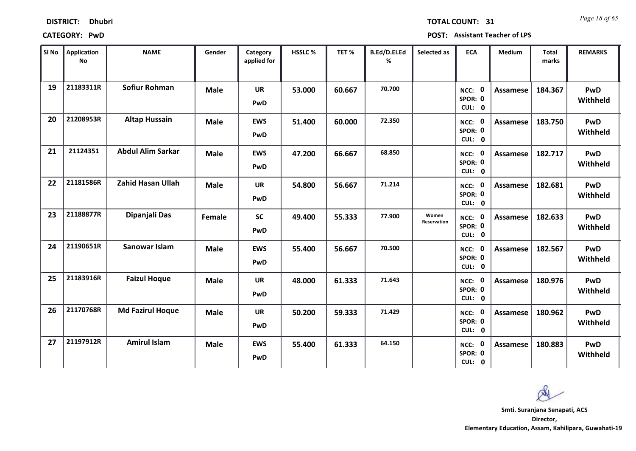| <b>DISTRICT:</b> | <b>Dhubri</b> |
|------------------|---------------|
|------------------|---------------|

*Page 18 of 65* **TOTAL COUNT: 31**

**CATEGORY: PwD POST: Assistant Teacher of LPS**

| SI No | <b>Application</b><br><b>No</b> | <b>NAME</b>              | Gender      | Category<br>applied for | HSSLC % | TET %  | B.Ed/D.El.Ed<br>% | Selected as          | <b>ECA</b>                  | <b>Medium</b>   | <b>Total</b><br>marks | <b>REMARKS</b>         |
|-------|---------------------------------|--------------------------|-------------|-------------------------|---------|--------|-------------------|----------------------|-----------------------------|-----------------|-----------------------|------------------------|
| 19    | 21183311R                       | <b>Sofiur Rohman</b>     | <b>Male</b> | <b>UR</b><br>PwD        | 53.000  | 60.667 | 70.700            |                      | NCC: 0<br>SPOR: 0<br>CUL: 0 | <b>Assamese</b> | 184.367               | PwD<br>Withheld        |
| 20    | 21208953R                       | <b>Altap Hussain</b>     | <b>Male</b> | <b>EWS</b><br>PwD       | 51.400  | 60.000 | 72.350            |                      | NCC: 0<br>SPOR: 0<br>CUL: 0 | Assamese        | 183.750               | PwD<br>Withheld        |
| 21    | 21124351                        | <b>Abdul Alim Sarkar</b> | <b>Male</b> | <b>EWS</b><br>PwD       | 47.200  | 66.667 | 68.850            |                      | NCC: 0<br>SPOR: 0<br>CUL: 0 | <b>Assamese</b> | 182.717               | <b>PwD</b><br>Withheld |
| 22    | 21181586R                       | <b>Zahid Hasan Ullah</b> | <b>Male</b> | <b>UR</b><br>PwD        | 54.800  | 56.667 | 71.214            |                      | NCC: 0<br>SPOR: 0<br>CUL: 0 | <b>Assamese</b> | 182.681               | PwD<br>Withheld        |
| 23    | 21188877R                       | Dipanjali Das            | Female      | <b>SC</b><br>PwD        | 49.400  | 55.333 | 77.900            | Women<br>Reservation | NCC: 0<br>SPOR: 0<br>CUL: 0 | Assamese        | 182.633               | PwD<br>Withheld        |
| 24    | 21190651R                       | <b>Sanowar Islam</b>     | <b>Male</b> | <b>EWS</b><br>PwD       | 55.400  | 56.667 | 70.500            |                      | NCC: 0<br>SPOR: 0<br>CUL: 0 | <b>Assamese</b> | 182.567               | PwD<br>Withheld        |
| 25    | 21183916R                       | <b>Faizul Hoque</b>      | <b>Male</b> | <b>UR</b><br>PwD        | 48.000  | 61.333 | 71.643            |                      | NCC: 0<br>SPOR: 0<br>CUL: 0 | <b>Assamese</b> | 180.976               | PwD<br>Withheld        |
| 26    | 21170768R                       | <b>Md Fazirul Hoque</b>  | <b>Male</b> | <b>UR</b><br>PwD        | 50.200  | 59.333 | 71.429            |                      | NCC: 0<br>SPOR: 0<br>CUL: 0 | Assamese        | 180.962               | <b>PwD</b><br>Withheld |
| 27    | 21197912R                       | <b>Amirul Islam</b>      | <b>Male</b> | <b>EWS</b><br>PwD       | 55.400  | 61.333 | 64.150            |                      | NCC: 0<br>SPOR: 0<br>CUL: 0 | Assamese        | 180.883               | PwD<br>Withheld        |

**Director, Smti. Suranjana Senapati, ACS**

Q

**Elementary Education, Assam, Kahilipara, Guwahati-19**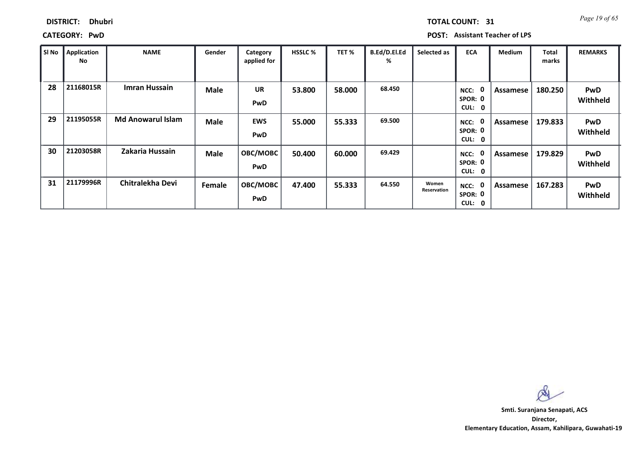| <b>TOTAL COUNT:</b> |
|---------------------|
|---------------------|

### **DISTRICT: Dhubri**

**CATEGORY: PwD POST: Assistant Teacher of LPS**

| SI No | Application<br>No | <b>NAME</b>              | Gender      | Category<br>applied for  | <b>HSSLC %</b> | TET %  | B.Ed/D.El.Ed<br>% | Selected as          | <b>ECA</b>                                  | <b>Medium</b> | <b>Total</b><br>marks | <b>REMARKS</b>         |
|-------|-------------------|--------------------------|-------------|--------------------------|----------------|--------|-------------------|----------------------|---------------------------------------------|---------------|-----------------------|------------------------|
| 28    | 21168015R         | <b>Imran Hussain</b>     | <b>Male</b> | <b>UR</b><br><b>PwD</b>  | 53.800         | 58.000 | 68.450            |                      | 0<br>NCC:<br>SPOR: 0<br>CUL:<br>$\mathbf 0$ | Assamese      | 180.250               | PwD<br>Withheld        |
| 29    | 21195055R         | <b>Md Anowarul Islam</b> | <b>Male</b> | <b>EWS</b><br><b>PwD</b> | 55.000         | 55.333 | 69.500            |                      | 0<br>NCC:<br>SPOR: 0<br><b>CUL:</b><br>0    | Assamese      | 179.833               | <b>PwD</b><br>Withheld |
| 30    | 21203058R         | Zakaria Hussain          | <b>Male</b> | OBC/MOBC<br><b>PwD</b>   | 50.400         | 60.000 | 69.429            |                      | 0<br>NCC:<br>SPOR: 0<br><b>CUL:</b><br>0    | Assamese      | 179.829               | <b>PwD</b><br>Withheld |
| 31    | 21179996R         | Chitralekha Devi         | Female      | OBC/MOBC<br><b>PwD</b>   | 47.400         | 55.333 | 64.550            | Women<br>Reservation | $\mathbf 0$<br>NCC:<br>SPOR: 0<br>CUL:<br>0 | Assamese      | 167.283               | <b>PwD</b><br>Withheld |

 $\infty$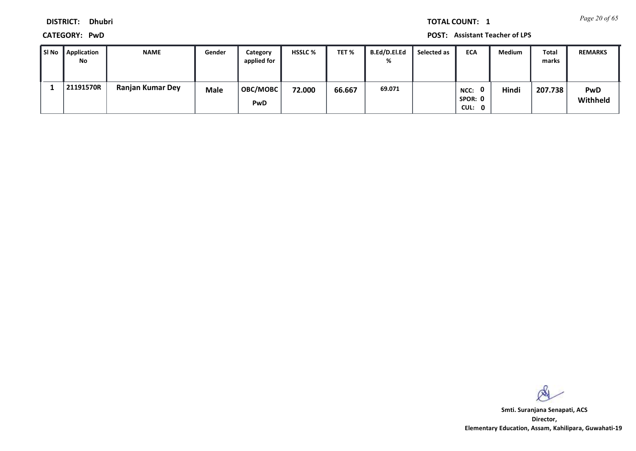*Page 20 of 65* **TOTAL COUNT: 1**

**DISTRICT: Dhubri**

**CATEGORY: PwD POST: Assistant Teacher of LPS**

| i Si No | Application<br>No | <b>NAME</b>             | Gender      | Category<br>applied for | <b>HSSLC %</b> | TET %  | <b>B.Ed/D.El.Ed</b><br>% | Selected as | <b>ECA</b>                | <b>Medium</b> | Total<br>marks | <b>REMARKS</b>         |
|---------|-------------------|-------------------------|-------------|-------------------------|----------------|--------|--------------------------|-------------|---------------------------|---------------|----------------|------------------------|
|         | 21191570R         | <b>Ranjan Kumar Dey</b> | <b>Male</b> | <b>OBC/MOBC</b><br>PwD  | 72.000         | 66.667 | 69.071                   |             | NCC:<br>SPOR: 0<br>CUL: 0 | Hindi         | 207.738        | <b>PwD</b><br>Withheld |

 $\infty$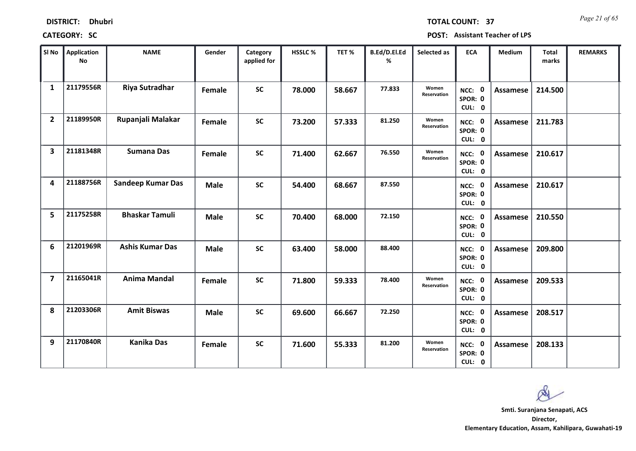*Page 21 of 65* **TOTAL COUNT: 37**

| SI No                   | <b>Application</b><br>No | <b>NAME</b>              | Gender      | Category<br>applied for | <b>HSSLC%</b> | TET %  | B.Ed/D.El.Ed<br>% | Selected as          | <b>ECA</b>                  | <b>Medium</b>   | <b>Total</b><br>marks | <b>REMARKS</b> |
|-------------------------|--------------------------|--------------------------|-------------|-------------------------|---------------|--------|-------------------|----------------------|-----------------------------|-----------------|-----------------------|----------------|
| 1                       | 21179556R                | <b>Riya Sutradhar</b>    | Female      | <b>SC</b>               | 78.000        | 58.667 | 77.833            | Women<br>Reservation | NCC: 0<br>SPOR: 0<br>CUL: 0 | Assamese        | 214.500               |                |
| $\overline{2}$          | 21189950R                | Rupanjali Malakar        | Female      | <b>SC</b>               | 73.200        | 57.333 | 81.250            | Women<br>Reservation | NCC: 0<br>SPOR: 0<br>CUL: 0 | Assamese        | 211.783               |                |
| $\overline{\mathbf{3}}$ | 21181348R                | <b>Sumana Das</b>        | Female      | <b>SC</b>               | 71.400        | 62.667 | 76.550            | Women<br>Reservation | NCC: 0<br>SPOR: 0<br>CUL: 0 | Assamese        | 210.617               |                |
| 4                       | 21188756R                | <b>Sandeep Kumar Das</b> | <b>Male</b> | <b>SC</b>               | 54.400        | 68.667 | 87.550            |                      | NCC: 0<br>SPOR: 0<br>CUL: 0 | Assamese        | 210.617               |                |
| 5                       | 21175258R                | <b>Bhaskar Tamuli</b>    | <b>Male</b> | <b>SC</b>               | 70.400        | 68.000 | 72.150            |                      | NCC: 0<br>SPOR: 0<br>CUL: 0 | Assamese        | 210.550               |                |
| 6                       | 21201969R                | <b>Ashis Kumar Das</b>   | <b>Male</b> | <b>SC</b>               | 63.400        | 58.000 | 88.400            |                      | NCC: 0<br>SPOR: 0<br>CUL: 0 | <b>Assamese</b> | 209.800               |                |
| $\overline{\mathbf{z}}$ | 21165041R                | <b>Anima Mandal</b>      | Female      | <b>SC</b>               | 71.800        | 59.333 | 78,400            | Women<br>Reservation | NCC: 0<br>SPOR: 0<br>CUL: 0 | <b>Assamese</b> | 209.533               |                |
| 8                       | 21203306R                | <b>Amit Biswas</b>       | <b>Male</b> | <b>SC</b>               | 69.600        | 66.667 | 72.250            |                      | NCC: 0<br>SPOR: 0<br>CUL: 0 | <b>Assamese</b> | 208.517               |                |
| 9                       | 21170840R                | <b>Kanika Das</b>        | Female      | <b>SC</b>               | 71.600        | 55.333 | 81.200            | Women<br>Reservation | NCC: 0<br>SPOR: 0<br>CUL: 0 | Assamese        | 208.133               |                |

 $\infty$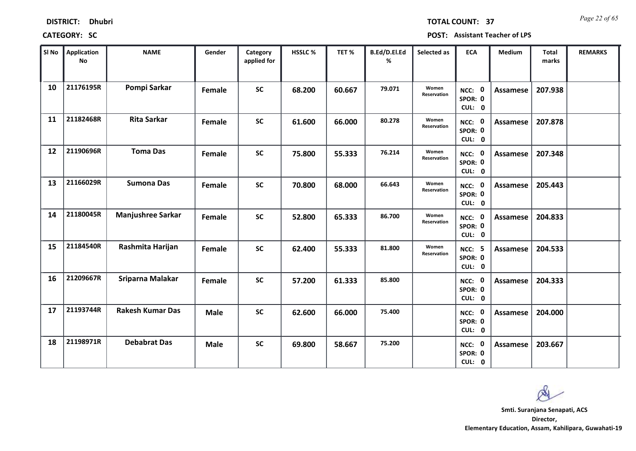*Page 22 of 65* **TOTAL COUNT: 37**

| SI No | <b>Application</b><br>No | <b>NAME</b>              | Gender      | Category<br>applied for | HSSLC% | TET%   | B.Ed/D.El.Ed<br>% | Selected as          | <b>ECA</b>                         | Medium          | <b>Total</b><br>marks | <b>REMARKS</b> |
|-------|--------------------------|--------------------------|-------------|-------------------------|--------|--------|-------------------|----------------------|------------------------------------|-----------------|-----------------------|----------------|
| 10    | 21176195R                | Pompi Sarkar             | Female      | <b>SC</b>               | 68.200 | 60.667 | 79.071            | Women<br>Reservation | NCC: 0<br>SPOR: 0<br>CUL: 0        | Assamese        | 207.938               |                |
| 11    | 21182468R                | <b>Rita Sarkar</b>       | Female      | <b>SC</b>               | 61.600 | 66.000 | 80.278            | Women<br>Reservation | NCC: 0<br>SPOR: 0<br>CUL: 0        | Assamese        | 207.878               |                |
| 12    | 21190696R                | <b>Toma Das</b>          | Female      | <b>SC</b>               | 75.800 | 55.333 | 76.214            | Women<br>Reservation | NCC: 0<br>SPOR: 0<br>CUL: 0        | Assamese        | 207.348               |                |
| 13    | 21166029R                | <b>Sumona Das</b>        | Female      | <b>SC</b>               | 70.800 | 68.000 | 66.643            | Women<br>Reservation | NCC: 0<br>SPOR: 0<br>CUL: 0        | Assamese        | 205.443               |                |
| 14    | 21180045R                | <b>Manjushree Sarkar</b> | Female      | <b>SC</b>               | 52.800 | 65.333 | 86.700            | Women<br>Reservation | NCC: 0<br>SPOR: 0<br>CUL: 0        | Assamese        | 204.833               |                |
| 15    | 21184540R                | Rashmita Harijan         | Female      | <b>SC</b>               | 62.400 | 55.333 | 81.800            | Women<br>Reservation | <b>NCC: 5</b><br>SPOR: 0<br>CUL: 0 | Assamese        | 204.533               |                |
| 16    | 21209667R                | Sriparna Malakar         | Female      | <b>SC</b>               | 57.200 | 61.333 | 85.800            |                      | NCC: 0<br>SPOR: 0<br>CUL: 0        | Assamese        | 204.333               |                |
| 17    | 21193744R                | <b>Rakesh Kumar Das</b>  | <b>Male</b> | <b>SC</b>               | 62.600 | 66.000 | 75.400            |                      | NCC: 0<br>SPOR: 0<br>CUL: 0        | <b>Assamese</b> | 204.000               |                |
| 18    | 21198971R                | <b>Debabrat Das</b>      | <b>Male</b> | <b>SC</b>               | 69.800 | 58.667 | 75.200            |                      | NCC: 0<br>SPOR: 0<br>CUL: 0        | Assamese        | 203.667               |                |

 $\infty$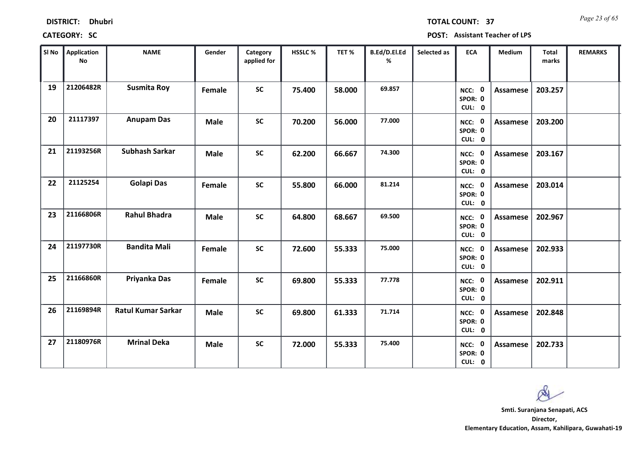| <b>DISTRICT:</b> | <b>Dhubri</b> |
|------------------|---------------|
|------------------|---------------|

*Page 23 of 65* **TOTAL COUNT: 37**

| SI <sub>No</sub> | Application<br><b>No</b> | <b>NAME</b>               | Gender        | Category<br>applied for | <b>HSSLC%</b> | TET %  | B.Ed/D.El.Ed<br>% | Selected as | <b>ECA</b>                  | <b>Medium</b>   | <b>Total</b><br>marks | <b>REMARKS</b> |
|------------------|--------------------------|---------------------------|---------------|-------------------------|---------------|--------|-------------------|-------------|-----------------------------|-----------------|-----------------------|----------------|
| 19               | 21206482R                | <b>Susmita Roy</b>        | Female        | <b>SC</b>               | 75.400        | 58.000 | 69.857            |             | NCC: 0<br>SPOR: 0<br>CUL: 0 | <b>Assamese</b> | 203.257               |                |
| 20               | 21117397                 | <b>Anupam Das</b>         | <b>Male</b>   | <b>SC</b>               | 70.200        | 56.000 | 77.000            |             | NCC: 0<br>SPOR: 0<br>CUL: 0 | Assamese        | 203.200               |                |
| 21               | 21193256R                | Subhash Sarkar            | <b>Male</b>   | <b>SC</b>               | 62.200        | 66.667 | 74.300            |             | NCC: 0<br>SPOR: 0<br>CUL: 0 | <b>Assamese</b> | 203.167               |                |
| 22               | 21125254                 | <b>Golapi Das</b>         | Female        | <b>SC</b>               | 55.800        | 66.000 | 81.214            |             | NCC: 0<br>SPOR: 0<br>CUL: 0 | Assamese        | 203.014               |                |
| 23               | 21166806R                | <b>Rahul Bhadra</b>       | <b>Male</b>   | <b>SC</b>               | 64.800        | 68.667 | 69.500            |             | NCC: 0<br>SPOR: 0<br>CUL: 0 | <b>Assamese</b> | 202.967               |                |
| 24               | 21197730R                | <b>Bandita Mali</b>       | Female        | <b>SC</b>               | 72.600        | 55.333 | 75.000            |             | NCC: 0<br>SPOR: 0<br>CUL: 0 | Assamese        | 202.933               |                |
| 25               | 21166860R                | Priyanka Das              | <b>Female</b> | <b>SC</b>               | 69.800        | 55.333 | 77.778            |             | NCC: 0<br>SPOR: 0<br>CUL: 0 | Assamese        | 202.911               |                |
| 26               | 21169894R                | <b>Ratul Kumar Sarkar</b> | <b>Male</b>   | <b>SC</b>               | 69.800        | 61.333 | 71.714            |             | NCC: 0<br>SPOR: 0<br>CUL: 0 | Assamese        | 202.848               |                |
| 27               | 21180976R                | <b>Mrinal Deka</b>        | <b>Male</b>   | <b>SC</b>               | 72.000        | 55.333 | 75.400            |             | NCC: 0<br>SPOR: 0<br>CUL: 0 | Assamese        | 202.733               |                |

 $\infty$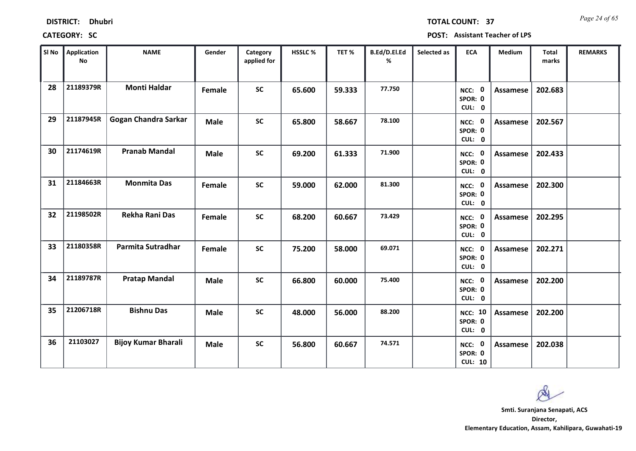| <b>DISTRICT:</b> | <b>Dhubri</b> |
|------------------|---------------|
|------------------|---------------|

*Page 24 of 65* **TOTAL COUNT: 37**

| SI No | <b>Application</b><br>No | <b>NAME</b>                 | Gender      | Category<br>applied for | HSSLC % | TET%   | B.Ed/D.El.Ed<br>% | Selected as | <b>ECA</b>                          | <b>Medium</b>   | Total<br>marks | <b>REMARKS</b> |
|-------|--------------------------|-----------------------------|-------------|-------------------------|---------|--------|-------------------|-------------|-------------------------------------|-----------------|----------------|----------------|
| 28    | 21189379R                | <b>Monti Haldar</b>         | Female      | <b>SC</b>               | 65.600  | 59.333 | 77.750            |             | NCC: 0<br>SPOR: 0<br>CUL: 0         | <b>Assamese</b> | 202.683        |                |
| 29    | 21187945R                | <b>Gogan Chandra Sarkar</b> | <b>Male</b> | <b>SC</b>               | 65.800  | 58.667 | 78.100            |             | NCC: 0<br>SPOR: 0<br>CUL: 0         | Assamese        | 202.567        |                |
| 30    | 21174619R                | <b>Pranab Mandal</b>        | <b>Male</b> | <b>SC</b>               | 69.200  | 61.333 | 71.900            |             | NCC: 0<br>SPOR: 0<br>CUL: 0         | <b>Assamese</b> | 202.433        |                |
| 31    | 21184663R                | <b>Monmita Das</b>          | Female      | <b>SC</b>               | 59.000  | 62.000 | 81.300            |             | NCC: 0<br>SPOR: 0<br>CUL: 0         | Assamese        | 202.300        |                |
| 32    | 21198502R                | <b>Rekha Rani Das</b>       | Female      | <b>SC</b>               | 68.200  | 60.667 | 73.429            |             | NCC: 0<br>SPOR: 0<br>CUL: 0         | <b>Assamese</b> | 202.295        |                |
| 33    | 21180358R                | Parmita Sutradhar           | Female      | <b>SC</b>               | 75.200  | 58.000 | 69.071            |             | NCC: 0<br>SPOR: 0<br>CUL: 0         | <b>Assamese</b> | 202.271        |                |
| 34    | 21189787R                | <b>Pratap Mandal</b>        | <b>Male</b> | <b>SC</b>               | 66.800  | 60.000 | 75.400            |             | NCC: 0<br>SPOR: 0<br>CUL: 0         | <b>Assamese</b> | 202.200        |                |
| 35    | 21206718R                | <b>Bishnu Das</b>           | <b>Male</b> | <b>SC</b>               | 48.000  | 56.000 | 88.200            |             | <b>NCC: 10</b><br>SPOR: 0<br>CUL: 0 | Assamese        | 202.200        |                |
| 36    | 21103027                 | <b>Bijoy Kumar Bharali</b>  | <b>Male</b> | <b>SC</b>               | 56.800  | 60.667 | 74.571            |             | NCC: 0<br>SPOR: 0<br><b>CUL: 10</b> | Assamese        | 202.038        |                |

 $\infty$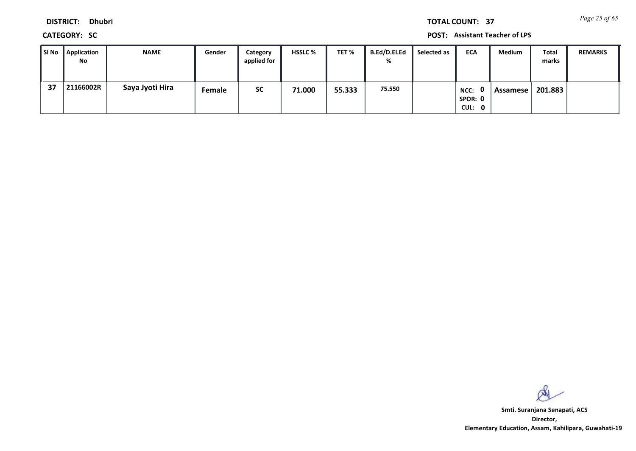*Page 25 of 65* **TOTAL COUNT: 37**

**DISTRICT: Dhubri**

**CATEGORY: SC POST: Assistant Teacher of LPS**

| ∥ SI No | <b>Application</b><br>No | <b>NAME</b>     | Gender | Category<br>applied for | <b>HSSLC %</b> | TET %  | B.Ed/D.El.Ed<br>% | Selected as | <b>ECA</b>                | Medium   | Total<br>marks | <b>REMARKS</b> |
|---------|--------------------------|-----------------|--------|-------------------------|----------------|--------|-------------------|-------------|---------------------------|----------|----------------|----------------|
| 37      | 21166002R                | Saya Jyoti Hira | Female | <b>SC</b>               | 71.000         | 55.333 | 75.550            |             | NCC:<br>SPOR: 0<br>CUL: 0 | Assamese | 201.883        |                |

 $\infty$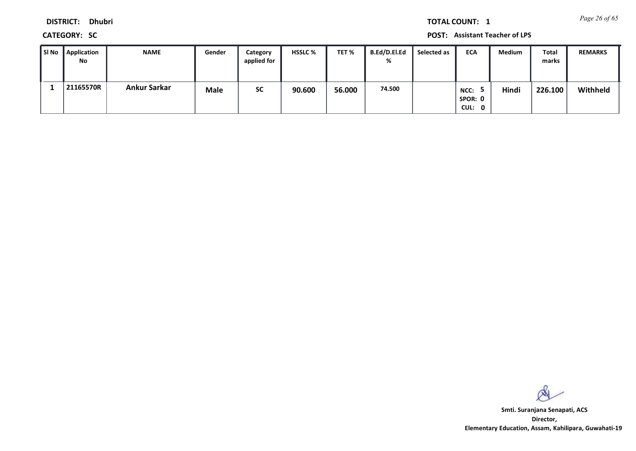*Page 26 of 65* **TOTAL COUNT: 1**

**DISTRICT: Dhubri**

**CATEGORY: SC POST: Assistant Teacher of LPS**

| ∥ SI No | Application<br>No | NAME                | Gender      | Category<br>applied for | <b>HSSLC %</b> | TET %  | B.Ed/D.El.Ed<br>% | Selected as | <b>ECA</b>                | Medium | Total<br>marks | <b>REMARKS</b> |
|---------|-------------------|---------------------|-------------|-------------------------|----------------|--------|-------------------|-------------|---------------------------|--------|----------------|----------------|
|         | 21165570R         | <b>Ankur Sarkar</b> | <b>Male</b> | <b>SC</b>               | 90.600         | 56.000 | 74.500            |             | NCC:<br>SPOR: 0<br>CUL: 0 | Hindi  | 226.100        | Withheld       |

 $\infty$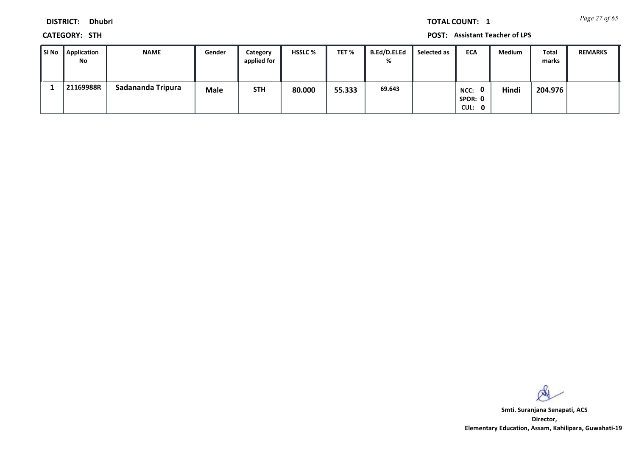*Page 27 of 65* **TOTAL COUNT: 1**

**DISTRICT: Dhubri**

**CATEGORY: STH POST: Assistant Teacher of LPS**

| l SI No | Application<br>No | <b>NAME</b>       | Gender      | Category<br>applied for | <b>HSSLC %</b> | TET %  | <b>B.Ed/D.El.Ed</b><br>% | Selected as | <b>ECA</b>                     | Medium | Total<br>marks | <b>REMARKS</b> |
|---------|-------------------|-------------------|-------------|-------------------------|----------------|--------|--------------------------|-------------|--------------------------------|--------|----------------|----------------|
|         | 21169988R         | Sadananda Tripura | <b>Male</b> | <b>STH</b>              | 80.000         | 55.333 | 69.643                   |             | 0<br>NCC:<br>SPOR: 0<br>CUL: 0 | Hindi  | 204.976        |                |

 $\infty$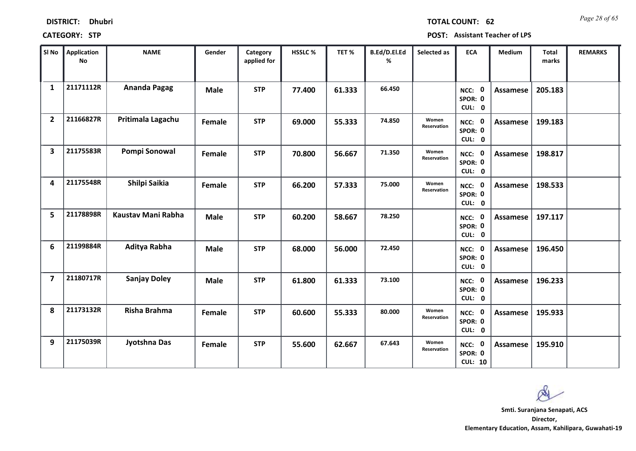| <b>DISTRICT:</b> | <b>Dhubri</b> |
|------------------|---------------|
|------------------|---------------|

*Page 28 of 65* **TOTAL COUNT: 62**

| SI No          | Application<br>No | <b>NAME</b>         | Gender      | Category<br>applied for | <b>HSSLC%</b> | TET %  | B.Ed/D.El.Ed<br>% | Selected as          | <b>ECA</b>                          | <b>Medium</b>   | <b>Total</b><br>marks | <b>REMARKS</b> |
|----------------|-------------------|---------------------|-------------|-------------------------|---------------|--------|-------------------|----------------------|-------------------------------------|-----------------|-----------------------|----------------|
| $\mathbf{1}$   | 21171112R         | Ananda Pagag        | <b>Male</b> | <b>STP</b>              | 77.400        | 61.333 | 66.450            |                      | NCC: 0<br>SPOR: 0<br>CUL: 0         | <b>Assamese</b> | 205.183               |                |
| $\overline{2}$ | 21166827R         | Pritimala Lagachu   | Female      | <b>STP</b>              | 69.000        | 55.333 | 74.850            | Women<br>Reservation | NCC: 0<br>SPOR: 0<br>CUL: 0         | Assamese        | 199.183               |                |
| 3              | 21175583R         | Pompi Sonowal       | Female      | <b>STP</b>              | 70.800        | 56.667 | 71.350            | Women<br>Reservation | NCC: 0<br>SPOR: 0<br>CUL: 0         | Assamese        | 198.817               |                |
| 4              | 21175548R         | Shilpi Saikia       | Female      | <b>STP</b>              | 66.200        | 57.333 | 75.000            | Women<br>Reservation | NCC: 0<br>SPOR: 0<br>CUL: 0         | Assamese        | 198.533               |                |
| 5              | 21178898R         | Kaustav Mani Rabha  | <b>Male</b> | <b>STP</b>              | 60.200        | 58.667 | 78.250            |                      | NCC: 0<br>SPOR: 0<br>CUL: 0         | Assamese        | 197.117               |                |
| 6              | 21199884R         | Aditya Rabha        | <b>Male</b> | <b>STP</b>              | 68.000        | 56.000 | 72.450            |                      | NCC: 0<br>SPOR: 0<br>CUL: 0         | Assamese        | 196.450               |                |
| $\overline{7}$ | 21180717R         | <b>Sanjay Doley</b> | <b>Male</b> | <b>STP</b>              | 61.800        | 61.333 | 73.100            |                      | NCC: 0<br>SPOR: 0<br>CUL: 0         | Assamese        | 196.233               |                |
| 8              | 21173132R         | Risha Brahma        | Female      | <b>STP</b>              | 60.600        | 55.333 | 80.000            | Women<br>Reservation | NCC: 0<br>SPOR: 0<br>CUL: 0         | <b>Assamese</b> | 195.933               |                |
| 9              | 21175039R         | Jyotshna Das        | Female      | <b>STP</b>              | 55.600        | 62.667 | 67.643            | Women<br>Reservation | NCC: 0<br>SPOR: 0<br><b>CUL: 10</b> | Assamese        | 195.910               |                |

 $\infty$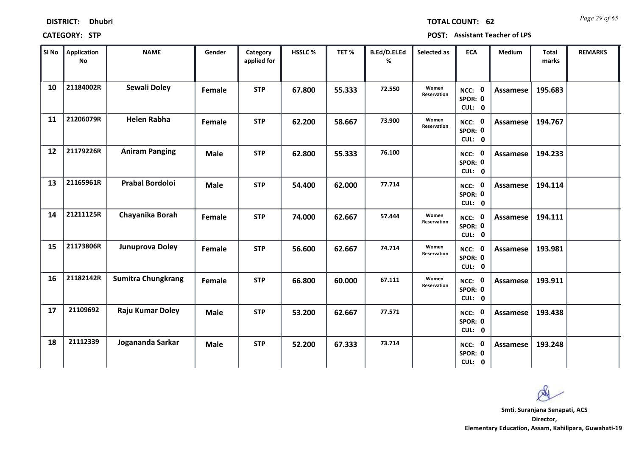| <b>DISTRICT:</b> | <b>Dhubri</b> |
|------------------|---------------|
|                  |               |

*Page 29 of 65* **TOTAL COUNT: 62**

| SI No | Application<br>No | <b>NAME</b>               | Gender      | Category<br>applied for | <b>HSSLC%</b> | TET %  | B.Ed/D.El.Ed<br>% | Selected as          | <b>ECA</b>                  | <b>Medium</b>   | <b>Total</b><br>marks | <b>REMARKS</b> |
|-------|-------------------|---------------------------|-------------|-------------------------|---------------|--------|-------------------|----------------------|-----------------------------|-----------------|-----------------------|----------------|
| 10    | 21184002R         | <b>Sewali Doley</b>       | Female      | <b>STP</b>              | 67.800        | 55.333 | 72.550            | Women<br>Reservation | NCC: 0<br>SPOR: 0<br>CUL: 0 | Assamese        | 195.683               |                |
| 11    | 21206079R         | <b>Helen Rabha</b>        | Female      | <b>STP</b>              | 62.200        | 58.667 | 73.900            | Women<br>Reservation | NCC: 0<br>SPOR: 0<br>CUL: 0 | Assamese        | 194.767               |                |
| 12    | 21179226R         | <b>Aniram Panging</b>     | <b>Male</b> | <b>STP</b>              | 62.800        | 55.333 | 76.100            |                      | NCC: 0<br>SPOR: 0<br>CUL: 0 | Assamese        | 194.233               |                |
| 13    | 21165961R         | <b>Prabal Bordoloi</b>    | <b>Male</b> | <b>STP</b>              | 54.400        | 62.000 | 77.714            |                      | NCC: 0<br>SPOR: 0<br>CUL: 0 | Assamese        | 194.114               |                |
| 14    | 21211125R         | Chayanika Borah           | Female      | <b>STP</b>              | 74.000        | 62.667 | 57,444            | Women<br>Reservation | NCC: 0<br>SPOR: 0<br>CUL: 0 | Assamese        | 194.111               |                |
| 15    | 21173806R         | Junuprova Doley           | Female      | <b>STP</b>              | 56.600        | 62.667 | 74.714            | Women<br>Reservation | NCC: 0<br>SPOR: 0<br>CUL: 0 | Assamese        | 193.981               |                |
| 16    | 21182142R         | <b>Sumitra Chungkrang</b> | Female      | <b>STP</b>              | 66.800        | 60.000 | 67.111            | Women<br>Reservation | NCC: 0<br>SPOR: 0<br>CUL: 0 | Assamese        | 193.911               |                |
| 17    | 21109692          | Raju Kumar Doley          | <b>Male</b> | <b>STP</b>              | 53.200        | 62.667 | 77.571            |                      | NCC: 0<br>SPOR: 0<br>CUL: 0 | <b>Assamese</b> | 193.438               |                |
| 18    | 21112339          | Jogananda Sarkar          | <b>Male</b> | <b>STP</b>              | 52.200        | 67.333 | 73.714            |                      | NCC: 0<br>SPOR: 0<br>CUL: 0 | Assamese        | 193.248               |                |

 $\infty$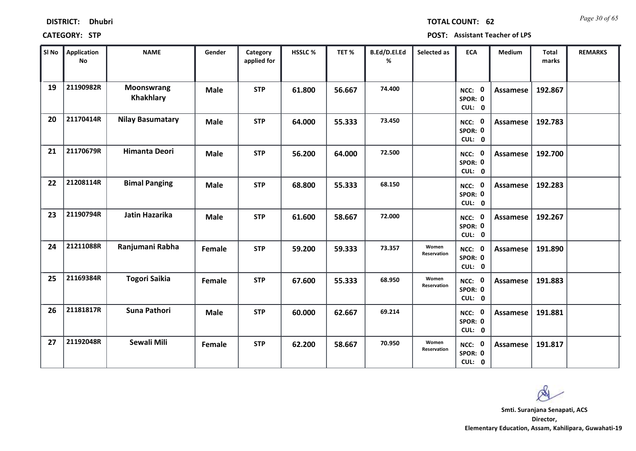| <b>DISTRICT:</b> | <b>Dhubri</b> |
|------------------|---------------|
|------------------|---------------|

*Page 30 of 65* **TOTAL COUNT: 62**

| SI No | <b>Application</b><br>No | <b>NAME</b>                    | Gender      | Category<br>applied for | <b>HSSLC %</b> | TET %  | B.Ed/D.El.Ed<br>% | Selected as          | <b>ECA</b>                  | Medium          | <b>Total</b><br>marks | <b>REMARKS</b> |
|-------|--------------------------|--------------------------------|-------------|-------------------------|----------------|--------|-------------------|----------------------|-----------------------------|-----------------|-----------------------|----------------|
| 19    | 21190982R                | <b>Moonswrang</b><br>Khakhlary | <b>Male</b> | <b>STP</b>              | 61.800         | 56.667 | 74.400            |                      | NCC: 0<br>SPOR: 0<br>CUL: 0 | <b>Assamese</b> | 192.867               |                |
| 20    | 21170414R                | <b>Nilay Basumatary</b>        | <b>Male</b> | <b>STP</b>              | 64.000         | 55.333 | 73.450            |                      | NCC: 0<br>SPOR: 0<br>CUL: 0 | <b>Assamese</b> | 192.783               |                |
| 21    | 21170679R                | <b>Himanta Deori</b>           | <b>Male</b> | <b>STP</b>              | 56.200         | 64.000 | 72.500            |                      | NCC: 0<br>SPOR: 0<br>CUL: 0 | Assamese        | 192.700               |                |
| 22    | 21208114R                | <b>Bimal Panging</b>           | <b>Male</b> | <b>STP</b>              | 68.800         | 55.333 | 68.150            |                      | NCC: 0<br>SPOR: 0<br>CUL: 0 | <b>Assamese</b> | 192.283               |                |
| 23    | 21190794R                | Jatin Hazarika                 | <b>Male</b> | <b>STP</b>              | 61.600         | 58.667 | 72.000            |                      | NCC: 0<br>SPOR: 0<br>CUL: 0 | <b>Assamese</b> | 192.267               |                |
| 24    | 21211088R                | Ranjumani Rabha                | Female      | <b>STP</b>              | 59.200         | 59.333 | 73.357            | Women<br>Reservation | NCC: 0<br>SPOR: 0<br>CUL: 0 | Assamese        | 191.890               |                |
| 25    | 21169384R                | <b>Togori Saikia</b>           | Female      | <b>STP</b>              | 67.600         | 55.333 | 68.950            | Women<br>Reservation | NCC: 0<br>SPOR: 0<br>CUL: 0 | <b>Assamese</b> | 191.883               |                |
| 26    | 21181817R                | Suna Pathori                   | <b>Male</b> | <b>STP</b>              | 60.000         | 62.667 | 69.214            |                      | NCC: 0<br>SPOR: 0<br>CUL: 0 | <b>Assamese</b> | 191.881               |                |
| 27    | 21192048R                | Sewali Mili                    | Female      | <b>STP</b>              | 62.200         | 58.667 | 70.950            | Women<br>Reservation | NCC: 0<br>SPOR: 0<br>CUL: 0 | Assamese        | 191.817               |                |

 $\infty$ **Smti. Suranjana Senapati, ACS**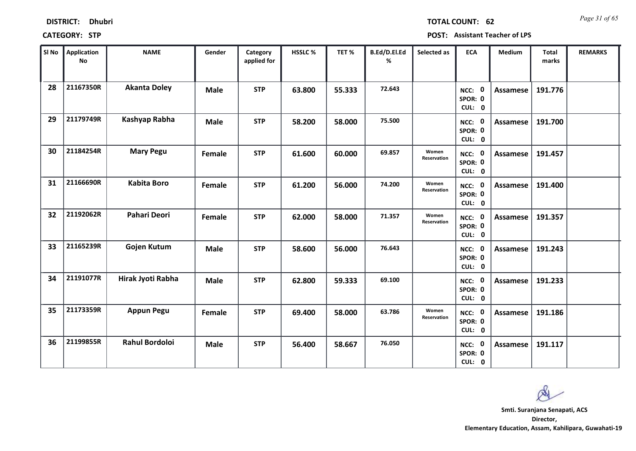| <b>DISTRICT:</b> | <b>Dhubri</b> |
|------------------|---------------|
|------------------|---------------|

*Page 31 of 65* **TOTAL COUNT: 62**

| SI No | <b>Application</b><br><b>No</b> | <b>NAME</b>           | Gender      | Category<br>applied for | <b>HSSLC %</b> | TET %  | B.Ed/D.El.Ed<br>% | Selected as          | <b>ECA</b>                                | <b>Medium</b>   | <b>Total</b><br>marks | <b>REMARKS</b> |
|-------|---------------------------------|-----------------------|-------------|-------------------------|----------------|--------|-------------------|----------------------|-------------------------------------------|-----------------|-----------------------|----------------|
| 28    | 21167350R                       | <b>Akanta Doley</b>   | <b>Male</b> | <b>STP</b>              | 63.800         | 55.333 | 72.643            |                      | NCC: 0<br>SPOR: 0<br>CUL: 0               | <b>Assamese</b> | 191.776               |                |
| 29    | 21179749R                       | Kashyap Rabha         | <b>Male</b> | <b>STP</b>              | 58.200         | 58.000 | 75.500            |                      | NCC: 0<br>SPOR: 0<br>CUL: 0               | <b>Assamese</b> | 191.700               |                |
| 30    | 21184254R                       | <b>Mary Pegu</b>      | Female      | <b>STP</b>              | 61.600         | 60.000 | 69.857            | Women<br>Reservation | NCC: 0<br>SPOR: 0<br>CUL: 0               | Assamese        | 191.457               |                |
| 31    | 21166690R                       | <b>Kabita Boro</b>    | Female      | <b>STP</b>              | 61.200         | 56.000 | 74.200            | Women<br>Reservation | $\mathbf{0}$<br>NCC:<br>SPOR: 0<br>CUL: 0 | Assamese        | 191.400               |                |
| 32    | 21192062R                       | <b>Pahari Deori</b>   | Female      | <b>STP</b>              | 62.000         | 58.000 | 71.357            | Women<br>Reservation | NCC: 0<br>SPOR: 0<br>CUL: 0               | <b>Assamese</b> | 191.357               |                |
| 33    | 21165239R                       | Gojen Kutum           | <b>Male</b> | <b>STP</b>              | 58.600         | 56.000 | 76.643            |                      | NCC: 0<br>SPOR: 0<br>CUL: 0               | <b>Assamese</b> | 191.243               |                |
| 34    | 21191077R                       | Hirak Jyoti Rabha     | <b>Male</b> | <b>STP</b>              | 62.800         | 59.333 | 69.100            |                      | NCC: 0<br>SPOR: 0<br>CUL: 0               | Assamese        | 191.233               |                |
| 35    | 21173359R                       | <b>Appun Pegu</b>     | Female      | <b>STP</b>              | 69.400         | 58.000 | 63.786            | Women<br>Reservation | NCC: 0<br>SPOR: 0<br>CUL: 0               | <b>Assamese</b> | 191.186               |                |
| 36    | 21199855R                       | <b>Rahul Bordoloi</b> | <b>Male</b> | <b>STP</b>              | 56.400         | 58.667 | 76.050            |                      | NCC: 0<br>SPOR: 0<br>CUL: 0               | Assamese        | 191.117               |                |

 $\infty$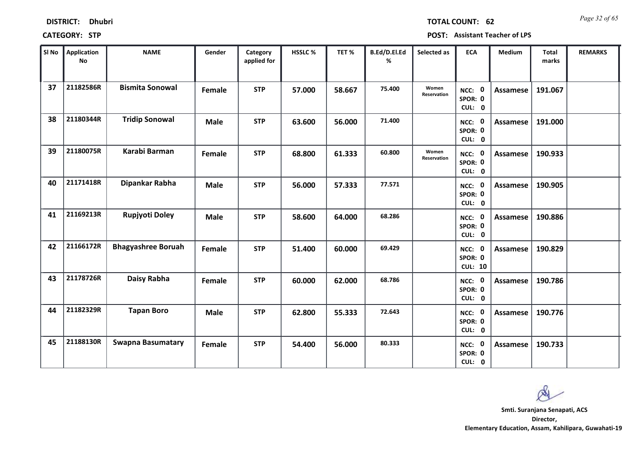| <b>DISTRICT:</b> | <b>Dhubri</b> |
|------------------|---------------|
|                  |               |

*Page 32 of 65* **TOTAL COUNT: 62**

| SI No | <b>Application</b><br><b>No</b> | <b>NAME</b>               | Gender      | Category<br>applied for | <b>HSSLC %</b> | TET %  | B.Ed/D.El.Ed<br>% | Selected as          | <b>ECA</b>                          | <b>Medium</b>   | <b>Total</b><br>marks | <b>REMARKS</b> |
|-------|---------------------------------|---------------------------|-------------|-------------------------|----------------|--------|-------------------|----------------------|-------------------------------------|-----------------|-----------------------|----------------|
| 37    | 21182586R                       | <b>Bismita Sonowal</b>    | Female      | <b>STP</b>              | 57.000         | 58.667 | 75.400            | Women<br>Reservation | NCC: 0<br>SPOR: 0<br>CUL: 0         | <b>Assamese</b> | 191.067               |                |
| 38    | 21180344R                       | <b>Tridip Sonowal</b>     | <b>Male</b> | <b>STP</b>              | 63.600         | 56.000 | 71.400            |                      | NCC: 0<br>SPOR: 0<br>CUL: 0         | Assamese        | 191.000               |                |
| 39    | 21180075R                       | Karabi Barman             | Female      | <b>STP</b>              | 68.800         | 61.333 | 60.800            | Women<br>Reservation | NCC: 0<br>SPOR: 0<br>CUL: 0         | Assamese        | 190.933               |                |
| 40    | 21171418R                       | Dipankar Rabha            | <b>Male</b> | <b>STP</b>              | 56.000         | 57.333 | 77.571            |                      | <b>NCC: 0</b><br>SPOR: 0<br>CUL: 0  | Assamese        | 190.905               |                |
| 41    | 21169213R                       | <b>Rupjyoti Doley</b>     | <b>Male</b> | <b>STP</b>              | 58.600         | 64.000 | 68.286            |                      | NCC: 0<br>SPOR: 0<br>CUL: 0         | <b>Assamese</b> | 190.886               |                |
| 42    | 21166172R                       | <b>Bhagyashree Boruah</b> | Female      | <b>STP</b>              | 51.400         | 60.000 | 69.429            |                      | NCC: 0<br>SPOR: 0<br><b>CUL: 10</b> | Assamese        | 190.829               |                |
| 43    | 21178726R                       | Daisy Rabha               | Female      | <b>STP</b>              | 60.000         | 62.000 | 68.786            |                      | NCC: 0<br>SPOR: 0<br>CUL: 0         | <b>Assamese</b> | 190.786               |                |
| 44    | 21182329R                       | <b>Tapan Boro</b>         | <b>Male</b> | <b>STP</b>              | 62.800         | 55.333 | 72.643            |                      | NCC: 0<br>SPOR: 0<br>CUL: 0         | <b>Assamese</b> | 190.776               |                |
| 45    | 21188130R                       | <b>Swapna Basumatary</b>  | Female      | <b>STP</b>              | 54.400         | 56.000 | 80.333            |                      | NCC: 0<br>SPOR: 0<br>CUL: 0         | Assamese        | 190.733               |                |

 $\infty$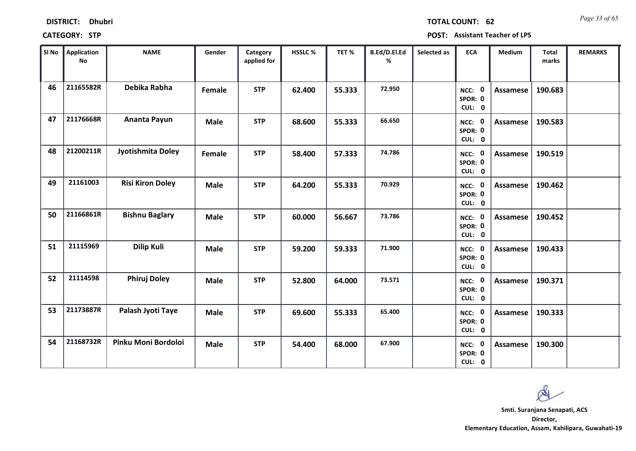| <b>DISTRICT:</b> | <b>Dhubri</b> |
|------------------|---------------|
|------------------|---------------|

*Page 33 of 65* **TOTAL COUNT: 62**

| SI No | <b>Application</b><br><b>No</b> | <b>NAME</b>             | Gender      | Category<br>applied for | HSSLC % | TET %  | B.Ed/D.El.Ed<br>% | Selected as | <b>ECA</b>                  | Medium          | <b>Total</b><br>marks | <b>REMARKS</b> |
|-------|---------------------------------|-------------------------|-------------|-------------------------|---------|--------|-------------------|-------------|-----------------------------|-----------------|-----------------------|----------------|
| 46    | 21165582R                       | Debika Rabha            | Female      | <b>STP</b>              | 62.400  | 55.333 | 72.950            |             | NCC: 0<br>SPOR: 0<br>CUL: 0 | <b>Assamese</b> | 190.683               |                |
| 47    | 21176668R                       | Ananta Payun            | <b>Male</b> | <b>STP</b>              | 68.600  | 55.333 | 66.650            |             | NCC: 0<br>SPOR: 0<br>CUL: 0 | Assamese        | 190.583               |                |
| 48    | 21200211R                       | Jyotishmita Doley       | Female      | <b>STP</b>              | 58.400  | 57.333 | 74.786            |             | NCC: 0<br>SPOR: 0<br>CUL: 0 | Assamese        | 190.519               |                |
| 49    | 21161003                        | <b>Risi Kiron Doley</b> | <b>Male</b> | <b>STP</b>              | 64.200  | 55.333 | 70.929            |             | NCC: 0<br>SPOR: 0<br>CUL: 0 | Assamese        | 190.462               |                |
| 50    | 21166861R                       | <b>Bishnu Baglary</b>   | <b>Male</b> | <b>STP</b>              | 60.000  | 56.667 | 73.786            |             | NCC: 0<br>SPOR: 0<br>CUL: 0 | <b>Assamese</b> | 190.452               |                |
| 51    | 21115969                        | <b>Dilip Kuli</b>       | <b>Male</b> | <b>STP</b>              | 59.200  | 59.333 | 71.900            |             | NCC: 0<br>SPOR: 0<br>CUL: 0 | <b>Assamese</b> | 190.433               |                |
| 52    | 21114598                        | <b>Phiruj Doley</b>     | <b>Male</b> | <b>STP</b>              | 52.800  | 64.000 | 73.571            |             | NCC: 0<br>SPOR: 0<br>CUL: 0 | <b>Assamese</b> | 190.371               |                |
| 53    | 21173887R                       | Palash Jyoti Taye       | <b>Male</b> | <b>STP</b>              | 69.600  | 55.333 | 65.400            |             | NCC: 0<br>SPOR: 0<br>CUL: 0 | Assamese        | 190.333               |                |
| 54    | 21168732R                       | Pinku Moni Bordoloi     | <b>Male</b> | <b>STP</b>              | 54.400  | 68.000 | 67.900            |             | NCC: 0<br>SPOR: 0<br>CUL: 0 | Assamese        | 190.300               |                |

 $\infty$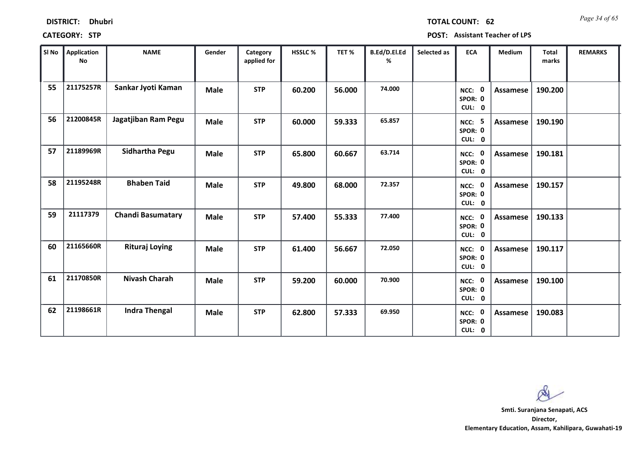| <b>DISTRICT:</b> | <b>Dhubri</b> |
|------------------|---------------|
|                  |               |

*Page 34 of 65* **TOTAL COUNT: 62**

**CATEGORY: STP POST: Assistant Teacher of LPS**

| SI No | <b>Application</b><br>No | <b>NAME</b>              | Gender      | Category<br>applied for | <b>HSSLC %</b> | TET %  | B.Ed/D.El.Ed<br>% | Selected as | <b>ECA</b>                         | <b>Medium</b>   | <b>Total</b><br>marks | <b>REMARKS</b> |
|-------|--------------------------|--------------------------|-------------|-------------------------|----------------|--------|-------------------|-------------|------------------------------------|-----------------|-----------------------|----------------|
| 55    | 21175257R                | Sankar Jyoti Kaman       | <b>Male</b> | <b>STP</b>              | 60.200         | 56.000 | 74.000            |             | NCC: 0<br>SPOR: 0<br>CUL: 0        | <b>Assamese</b> | 190.200               |                |
| 56    | 21200845R                | Jagatjiban Ram Pegu      | <b>Male</b> | <b>STP</b>              | 60.000         | 59.333 | 65.857            |             | <b>NCC: 5</b><br>SPOR: 0<br>CUL: 0 | Assamese        | 190.190               |                |
| 57    | 21189969R                | <b>Sidhartha Pegu</b>    | <b>Male</b> | <b>STP</b>              | 65.800         | 60.667 | 63.714            |             | NCC: 0<br>SPOR: 0<br>CUL: 0        | Assamese        | 190.181               |                |
| 58    | 21195248R                | <b>Bhaben Taid</b>       | <b>Male</b> | <b>STP</b>              | 49.800         | 68.000 | 72.357            |             | NCC: 0<br>SPOR: 0<br>CUL: 0        | Assamese        | 190.157               |                |
| 59    | 21117379                 | <b>Chandi Basumatary</b> | <b>Male</b> | <b>STP</b>              | 57.400         | 55.333 | 77.400            |             | NCC: 0<br>SPOR: 0<br>CUL: 0        | <b>Assamese</b> | 190.133               |                |
| 60    | 21165660R                | <b>Rituraj Loying</b>    | <b>Male</b> | <b>STP</b>              | 61.400         | 56.667 | 72.050            |             | NCC: 0<br>SPOR: 0<br>CUL: 0        | <b>Assamese</b> | 190.117               |                |
| 61    | 21170850R                | <b>Nivash Charah</b>     | <b>Male</b> | <b>STP</b>              | 59.200         | 60.000 | 70.900            |             | NCC: 0<br>SPOR: 0<br>CUL: 0        | Assamese        | 190.100               |                |
| 62    | 21198661R                | <b>Indra Thengal</b>     | <b>Male</b> | <b>STP</b>              | 62.800         | 57.333 | 69.950            |             | NCC: 0<br>SPOR: 0<br>CUL: 0        | Assamese        | 190.083               |                |

 $\infty$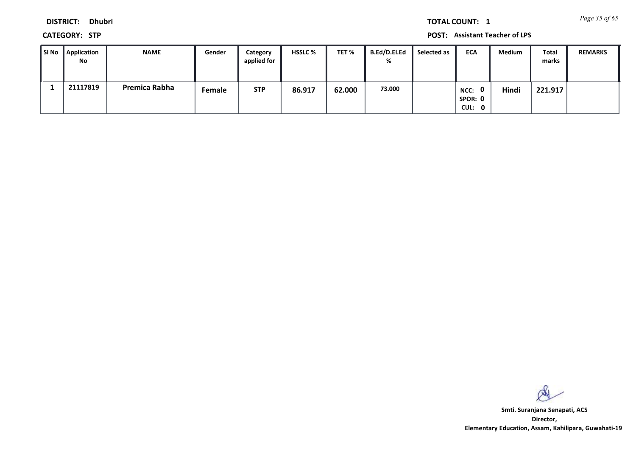*Page 35 of 65* **TOTAL COUNT: 1**

**DISTRICT: Dhubri**

**CATEGORY: STP POST: Assistant Teacher of LPS**

| l SI No | Application<br>No | <b>NAME</b>   | Gender | Category<br>applied for | <b>HSSLC %</b> | TET %  | <b>B.Ed/D.El.Ed</b><br>% | Selected as | <b>ECA</b>                                | <b>Medium</b> | Total<br>marks | <b>REMARKS</b> |
|---------|-------------------|---------------|--------|-------------------------|----------------|--------|--------------------------|-------------|-------------------------------------------|---------------|----------------|----------------|
|         | 21117819          | Premica Rabha | Female | <b>STP</b>              | 86.917         | 62.000 | 73.000                   |             | $\mathbf{0}$<br>NCC:<br>SPOR: 0<br>CUL: 0 | Hindi         | 221.917        |                |

 $\infty$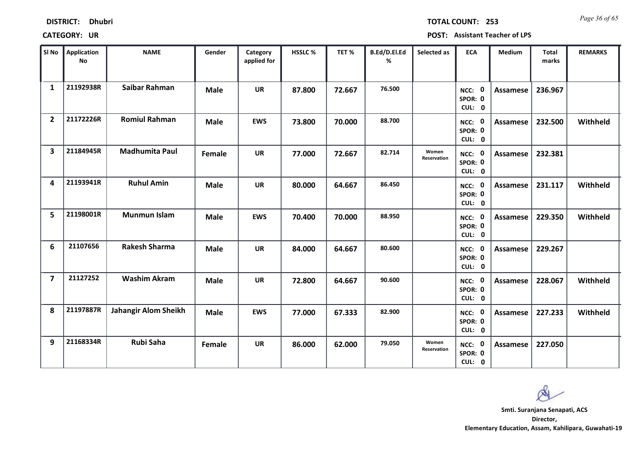| <b>DISTRICT:</b> | <b>Dhubri</b> |
|------------------|---------------|
|------------------|---------------|

*Page 36 of 65* **TOTAL COUNT: 253**

| SI No                   | <b>Application</b><br><b>No</b> | <b>NAME</b>                 | Gender      | Category<br>applied for | HSSLC % | TET%   | B.Ed/D.El.Ed<br>% | Selected as          | <b>ECA</b>                  | <b>Medium</b>   | <b>Total</b><br>marks | <b>REMARKS</b> |
|-------------------------|---------------------------------|-----------------------------|-------------|-------------------------|---------|--------|-------------------|----------------------|-----------------------------|-----------------|-----------------------|----------------|
| $\mathbf{1}$            | 21192938R                       | Saibar Rahman               | <b>Male</b> | <b>UR</b>               | 87.800  | 72.667 | 76.500            |                      | NCC: 0<br>SPOR: 0<br>CUL: 0 | <b>Assamese</b> | 236.967               |                |
| $\overline{2}$          | 21172226R                       | <b>Romiul Rahman</b>        | <b>Male</b> | <b>EWS</b>              | 73.800  | 70.000 | 88.700            |                      | NCC: 0<br>SPOR: 0<br>CUL: 0 | <b>Assamese</b> | 232.500               | Withheld       |
| $\overline{\mathbf{3}}$ | 21184945R                       | <b>Madhumita Paul</b>       | Female      | <b>UR</b>               | 77.000  | 72.667 | 82.714            | Women<br>Reservation | NCC: 0<br>SPOR: 0<br>CUL: 0 | <b>Assamese</b> | 232.381               |                |
| 4                       | 21193941R                       | <b>Ruhul Amin</b>           | <b>Male</b> | <b>UR</b>               | 80.000  | 64.667 | 86.450            |                      | NCC: 0<br>SPOR: 0<br>CUL: 0 | Assamese        | 231.117               | Withheld       |
| 5                       | 21198001R                       | <b>Munmun Islam</b>         | <b>Male</b> | <b>EWS</b>              | 70.400  | 70.000 | 88.950            |                      | NCC: 0<br>SPOR: 0<br>CUL: 0 | <b>Assamese</b> | 229.350               | Withheld       |
| 6                       | 21107656                        | <b>Rakesh Sharma</b>        | <b>Male</b> | <b>UR</b>               | 84.000  | 64.667 | 80.600            |                      | NCC: 0<br>SPOR: 0<br>CUL: 0 | <b>Assamese</b> | 229.267               |                |
| $\overline{7}$          | 21127252                        | <b>Washim Akram</b>         | <b>Male</b> | <b>UR</b>               | 72.800  | 64.667 | 90.600            |                      | NCC: 0<br>SPOR: 0<br>CUL: 0 | Assamese        | 228.067               | Withheld       |
| 8                       | 21197887R                       | <b>Jahangir Alom Sheikh</b> | <b>Male</b> | <b>EWS</b>              | 77.000  | 67.333 | 82.900            |                      | NCC: 0<br>SPOR: 0<br>CUL: 0 | <b>Assamese</b> | 227.233               | Withheld       |
| 9                       | 21168334R                       | <b>Rubi Saha</b>            | Female      | <b>UR</b>               | 86.000  | 62.000 | 79.050            | Women<br>Reservation | NCC: 0<br>SPOR: 0<br>CUL: 0 | Assamese        | 227.050               |                |

 $\infty$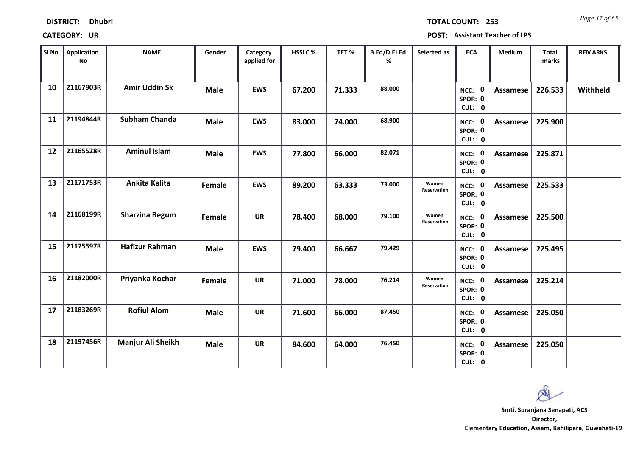| <b>DISTRICT:</b> | <b>Dhubri</b> |
|------------------|---------------|
|------------------|---------------|

*Page 37 of 65* **TOTAL COUNT: 253**

| SI No | Application<br><b>No</b> | <b>NAME</b>           | Gender      | Category<br>applied for | HSSLC % | TET%   | B.Ed/D.El.Ed<br>% | Selected as                 | <b>ECA</b>                  | <b>Medium</b>   | <b>Total</b><br>marks | <b>REMARKS</b> |
|-------|--------------------------|-----------------------|-------------|-------------------------|---------|--------|-------------------|-----------------------------|-----------------------------|-----------------|-----------------------|----------------|
| 10    | 21167903R                | <b>Amir Uddin Sk</b>  | <b>Male</b> | <b>EWS</b>              | 67.200  | 71.333 | 88.000            |                             | NCC: 0<br>SPOR: 0<br>CUL: 0 | Assamese        | 226.533               | Withheld       |
| 11    | 21194844R                | <b>Subham Chanda</b>  | <b>Male</b> | <b>EWS</b>              | 83.000  | 74.000 | 68.900            |                             | NCC: 0<br>SPOR: 0<br>CUL: 0 | Assamese        | 225.900               |                |
| 12    | 21165528R                | <b>Aminul Islam</b>   | <b>Male</b> | <b>EWS</b>              | 77.800  | 66.000 | 82.071            |                             | NCC: 0<br>SPOR: 0<br>CUL: 0 | Assamese        | 225.871               |                |
| 13    | 21171753R                | Ankita Kalita         | Female      | <b>EWS</b>              | 89.200  | 63.333 | 73.000            | Women<br>Reservation        | NCC: 0<br>SPOR: 0<br>CUL: 0 | Assamese        | 225.533               |                |
| 14    | 21168199R                | <b>Sharzina Begum</b> | Female      | <b>UR</b>               | 78.400  | 68.000 | 79.100            | Women<br><b>Reservation</b> | NCC: 0<br>SPOR: 0<br>CUL: 0 | Assamese        | 225.500               |                |
| 15    | 21175597R                | <b>Hafizur Rahman</b> | <b>Male</b> | <b>EWS</b>              | 79.400  | 66.667 | 79.429            |                             | NCC: 0<br>SPOR: 0<br>CUL: 0 | Assamese        | 225.495               |                |
| 16    | 21182000R                | Priyanka Kochar       | Female      | <b>UR</b>               | 71.000  | 78.000 | 76.214            | Women<br>Reservation        | NCC: 0<br>SPOR: 0<br>CUL: 0 | <b>Assamese</b> | 225.214               |                |
| 17    | 21183269R                | <b>Rofiul Alom</b>    | <b>Male</b> | <b>UR</b>               | 71.600  | 66.000 | 87.450            |                             | NCC: 0<br>SPOR: 0<br>CUL: 0 | Assamese        | 225.050               |                |
| 18    | 21197456R                | Manjur Ali Sheikh     | <b>Male</b> | UR                      | 84.600  | 64.000 | 76.450            |                             | NCC: 0<br>SPOR: 0<br>CUL: 0 | Assamese        | 225.050               |                |

 $\infty$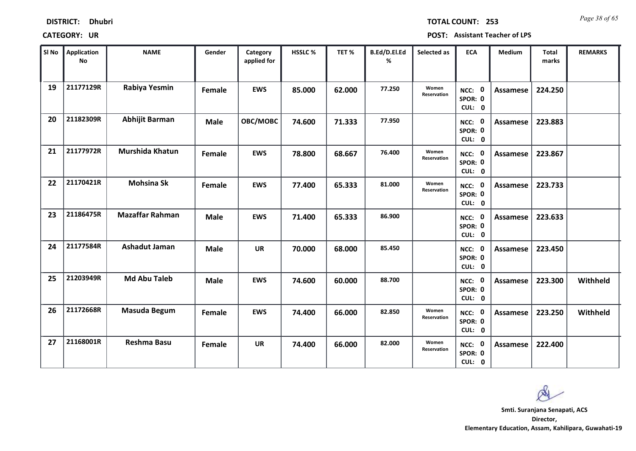| <b>DISTRICT:</b> | <b>Dhubri</b> |
|------------------|---------------|
|------------------|---------------|

*Page 38 of 65* **TOTAL COUNT: 253**

| SI No | Application<br>No | <b>NAME</b>            | Gender      | Category<br>applied for | <b>HSSLC %</b> | TET %  | B.Ed/D.El.Ed<br>% | Selected as          | <b>ECA</b>                  | <b>Medium</b>   | <b>Total</b><br>marks | <b>REMARKS</b> |
|-------|-------------------|------------------------|-------------|-------------------------|----------------|--------|-------------------|----------------------|-----------------------------|-----------------|-----------------------|----------------|
| 19    | 21177129R         | Rabiya Yesmin          | Female      | <b>EWS</b>              | 85.000         | 62.000 | 77.250            | Women<br>Reservation | NCC: 0<br>SPOR: 0<br>CUL: 0 | Assamese        | 224.250               |                |
| 20    | 21182309R         | <b>Abhijit Barman</b>  | <b>Male</b> | OBC/MOBC                | 74.600         | 71.333 | 77.950            |                      | NCC: 0<br>SPOR: 0<br>CUL: 0 | <b>Assamese</b> | 223.883               |                |
| 21    | 21177972R         | Murshida Khatun        | Female      | <b>EWS</b>              | 78.800         | 68.667 | 76.400            | Women<br>Reservation | NCC: 0<br>SPOR: 0<br>CUL: 0 | Assamese        | 223.867               |                |
| 22    | 21170421R         | <b>Mohsina Sk</b>      | Female      | <b>EWS</b>              | 77.400         | 65.333 | 81.000            | Women<br>Reservation | NCC: 0<br>SPOR: 0<br>CUL: 0 | Assamese        | 223.733               |                |
| 23    | 21186475R         | <b>Mazaffar Rahman</b> | Male        | <b>EWS</b>              | 71.400         | 65.333 | 86.900            |                      | NCC: 0<br>SPOR: 0<br>CUL: 0 | <b>Assamese</b> | 223.633               |                |
| 24    | 21177584R         | <b>Ashadut Jaman</b>   | <b>Male</b> | <b>UR</b>               | 70.000         | 68.000 | 85.450            |                      | NCC: 0<br>SPOR: 0<br>CUL: 0 | <b>Assamese</b> | 223.450               |                |
| 25    | 21203949R         | <b>Md Abu Taleb</b>    | <b>Male</b> | <b>EWS</b>              | 74.600         | 60.000 | 88.700            |                      | NCC: 0<br>SPOR: 0<br>CUL: 0 | <b>Assamese</b> | 223.300               | Withheld       |
| 26    | 21172668R         | Masuda Begum           | Female      | <b>EWS</b>              | 74.400         | 66.000 | 82.850            | Women<br>Reservation | NCC: 0<br>SPOR: 0<br>CUL: 0 | Assamese        | 223.250               | Withheld       |
| 27    | 21168001R         | Reshma Basu            | Female      | <b>UR</b>               | 74.400         | 66.000 | 82.000            | Women<br>Reservation | NCC: 0<br>SPOR: 0<br>CUL: 0 | Assamese        | 222.400               |                |

 $\infty$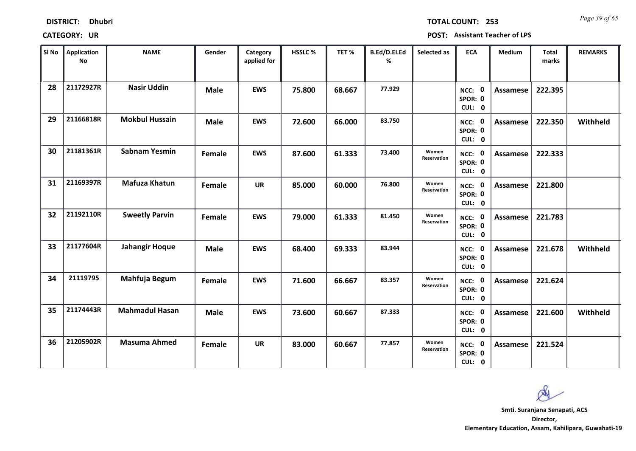| <b>DISTRICT:</b> | <b>Dhubri</b> |
|------------------|---------------|
|------------------|---------------|

*Page 39 of 65* **TOTAL COUNT: 253**

| SI <sub>No</sub> | Application<br>No | <b>NAME</b>           | Gender      | Category<br>applied for | <b>HSSLC %</b> | TET %  | B.Ed/D.El.Ed<br>% | Selected as          | <b>ECA</b>                  | <b>Medium</b>   | <b>Total</b><br>marks | <b>REMARKS</b> |
|------------------|-------------------|-----------------------|-------------|-------------------------|----------------|--------|-------------------|----------------------|-----------------------------|-----------------|-----------------------|----------------|
| 28               | 21172927R         | <b>Nasir Uddin</b>    | <b>Male</b> | <b>EWS</b>              | 75.800         | 68.667 | 77.929            |                      | NCC: 0<br>SPOR: 0<br>CUL: 0 | Assamese        | 222.395               |                |
| 29               | 21166818R         | <b>Mokbul Hussain</b> | <b>Male</b> | <b>EWS</b>              | 72.600         | 66.000 | 83.750            |                      | NCC: 0<br>SPOR: 0<br>CUL: 0 | <b>Assamese</b> | 222.350               | Withheld       |
| 30               | 21181361R         | <b>Sabnam Yesmin</b>  | Female      | <b>EWS</b>              | 87.600         | 61.333 | 73.400            | Women<br>Reservation | NCC: 0<br>SPOR: 0<br>CUL: 0 | Assamese        | 222.333               |                |
| 31               | 21169397R         | <b>Mafuza Khatun</b>  | Female      | <b>UR</b>               | 85.000         | 60.000 | 76.800            | Women<br>Reservation | NCC: 0<br>SPOR: 0<br>CUL: 0 | <b>Assamese</b> | 221.800               |                |
| 32               | 21192110R         | <b>Sweetly Parvin</b> | Female      | <b>EWS</b>              | 79.000         | 61.333 | 81.450            | Women<br>Reservation | NCC: 0<br>SPOR: 0<br>CUL: 0 | <b>Assamese</b> | 221.783               |                |
| 33               | 21177604R         | <b>Jahangir Hoque</b> | <b>Male</b> | <b>EWS</b>              | 68.400         | 69.333 | 83.944            |                      | NCC: 0<br>SPOR: 0<br>CUL: 0 | Assamese        | 221.678               | Withheld       |
| 34               | 21119795          | Mahfuja Begum         | Female      | <b>EWS</b>              | 71.600         | 66.667 | 83.357            | Women<br>Reservation | NCC: 0<br>SPOR: 0<br>CUL: 0 | Assamese        | 221.624               |                |
| 35               | 21174443R         | <b>Mahmadul Hasan</b> | <b>Male</b> | <b>EWS</b>              | 73.600         | 60.667 | 87.333            |                      | NCC: 0<br>SPOR: 0<br>CUL: 0 | Assamese        | 221.600               | Withheld       |
| 36               | 21205902R         | <b>Masuma Ahmed</b>   | Female      | <b>UR</b>               | 83.000         | 60.667 | 77.857            | Women<br>Reservation | NCC: 0<br>SPOR: 0<br>CUL: 0 | Assamese        | 221.524               |                |

 $\infty$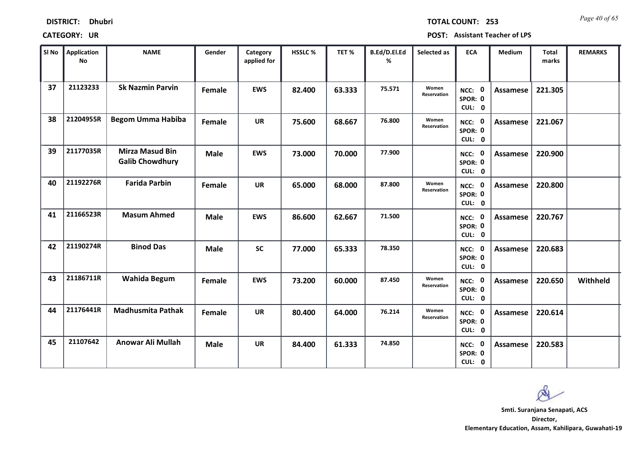| <b>DISTRICT:</b> | <b>Dhubri</b> |
|------------------|---------------|
|------------------|---------------|

*Page 40 of 65* **TOTAL COUNT: 253**

| SI No | Application<br><b>No</b> | <b>NAME</b>                                      | Gender      | Category<br>applied for | <b>HSSLC %</b> | TET %  | B.Ed/D.El.Ed<br>% | Selected as                 | <b>ECA</b>                  | <b>Medium</b>   | <b>Total</b><br>marks | <b>REMARKS</b> |
|-------|--------------------------|--------------------------------------------------|-------------|-------------------------|----------------|--------|-------------------|-----------------------------|-----------------------------|-----------------|-----------------------|----------------|
| 37    | 21123233                 | <b>Sk Nazmin Parvin</b>                          | Female      | <b>EWS</b>              | 82.400         | 63.333 | 75.571            | Women<br>Reservation        | NCC: 0<br>SPOR: 0<br>CUL: 0 | <b>Assamese</b> | 221.305               |                |
| 38    | 21204955R                | <b>Begom Umma Habiba</b>                         | Female      | <b>UR</b>               | 75.600         | 68.667 | 76.800            | Women<br><b>Reservation</b> | NCC: 0<br>SPOR: 0<br>CUL: 0 | Assamese        | 221.067               |                |
| 39    | 21177035R                | <b>Mirza Masud Bin</b><br><b>Galib Chowdhury</b> | <b>Male</b> | <b>EWS</b>              | 73.000         | 70.000 | 77.900            |                             | NCC: 0<br>SPOR: 0<br>CUL: 0 | Assamese        | 220.900               |                |
| 40    | 21192276R                | <b>Farida Parbin</b>                             | Female      | <b>UR</b>               | 65.000         | 68.000 | 87.800            | Women<br>Reservation        | NCC: 0<br>SPOR: 0<br>CUL: 0 | Assamese        | 220.800               |                |
| 41    | 21166523R                | <b>Masum Ahmed</b>                               | <b>Male</b> | <b>EWS</b>              | 86.600         | 62.667 | 71.500            |                             | NCC: 0<br>SPOR: 0<br>CUL: 0 | Assamese        | 220.767               |                |
| 42    | 21190274R                | <b>Binod Das</b>                                 | <b>Male</b> | <b>SC</b>               | 77.000         | 65.333 | 78.350            |                             | NCC: 0<br>SPOR: 0<br>CUL: 0 | Assamese        | 220.683               |                |
| 43    | 21186711R                | Wahida Begum                                     | Female      | <b>EWS</b>              | 73.200         | 60.000 | 87.450            | Women<br><b>Reservation</b> | NCC: 0<br>SPOR: 0<br>CUL: 0 | Assamese        | 220.650               | Withheld       |
| 44    | 21176441R                | <b>Madhusmita Pathak</b>                         | Female      | <b>UR</b>               | 80.400         | 64.000 | 76.214            | Women<br>Reservation        | NCC: 0<br>SPOR: 0<br>CUL: 0 | <b>Assamese</b> | 220.614               |                |
| 45    | 21107642                 | <b>Anowar Ali Mullah</b>                         | <b>Male</b> | <b>UR</b>               | 84.400         | 61.333 | 74.850            |                             | NCC: 0<br>SPOR: 0<br>CUL: 0 | Assamese        | 220.583               |                |

 $\infty$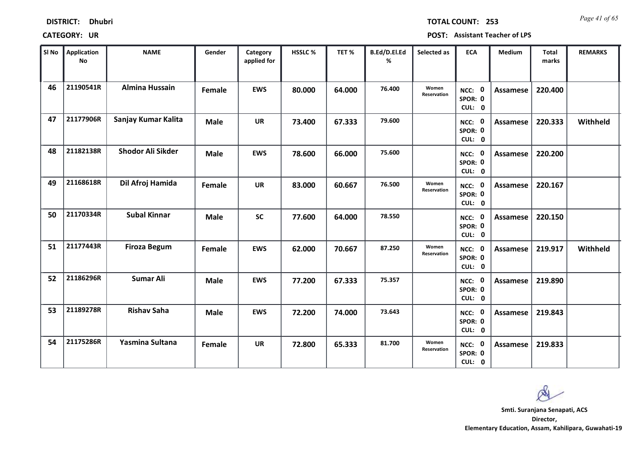| <b>DISTRICT:</b> | <b>Dhubri</b> |
|------------------|---------------|
|------------------|---------------|

*Page 41 of 65* **TOTAL COUNT: 253**

| SI No | Application<br>No | <b>NAME</b>           | Gender        | Category<br>applied for | <b>HSSLC %</b> | TET %  | B.Ed/D.El.Ed<br>% | Selected as          | <b>ECA</b>                  | <b>Medium</b>   | <b>Total</b><br>marks | <b>REMARKS</b> |
|-------|-------------------|-----------------------|---------------|-------------------------|----------------|--------|-------------------|----------------------|-----------------------------|-----------------|-----------------------|----------------|
| 46    | 21190541R         | <b>Almina Hussain</b> | Female        | <b>EWS</b>              | 80.000         | 64.000 | 76.400            | Women<br>Reservation | NCC: 0<br>SPOR: 0<br>CUL: 0 | Assamese        | 220.400               |                |
| 47    | 21177906R         | Sanjay Kumar Kalita   | <b>Male</b>   | <b>UR</b>               | 73.400         | 67.333 | 79.600            |                      | NCC: 0<br>SPOR: 0<br>CUL: 0 | <b>Assamese</b> | 220.333               | Withheld       |
| 48    | 21182138R         | Shodor Ali Sikder     | <b>Male</b>   | <b>EWS</b>              | 78.600         | 66.000 | 75.600            |                      | NCC: 0<br>SPOR: 0<br>CUL: 0 | <b>Assamese</b> | 220.200               |                |
| 49    | 21168618R         | Dil Afroj Hamida      | <b>Female</b> | <b>UR</b>               | 83.000         | 60.667 | 76.500            | Women<br>Reservation | NCC: 0<br>SPOR: 0<br>CUL: 0 | Assamese        | 220.167               |                |
| 50    | 21170334R         | <b>Subal Kinnar</b>   | <b>Male</b>   | <b>SC</b>               | 77.600         | 64.000 | 78.550            |                      | NCC: 0<br>SPOR: 0<br>CUL: 0 | <b>Assamese</b> | 220.150               |                |
| 51    | 21177443R         | <b>Firoza Begum</b>   | Female        | <b>EWS</b>              | 62.000         | 70.667 | 87.250            | Women<br>Reservation | NCC: 0<br>SPOR: 0<br>CUL: 0 | <b>Assamese</b> | 219.917               | Withheld       |
| 52    | 21186296R         | <b>Sumar Ali</b>      | <b>Male</b>   | <b>EWS</b>              | 77.200         | 67.333 | 75.357            |                      | NCC: 0<br>SPOR: 0<br>CUL: 0 | <b>Assamese</b> | 219.890               |                |
| 53    | 21189278R         | <b>Rishav Saha</b>    | <b>Male</b>   | <b>EWS</b>              | 72.200         | 74.000 | 73.643            |                      | NCC: 0<br>SPOR: 0<br>CUL: 0 | <b>Assamese</b> | 219.843               |                |
| 54    | 21175286R         | Yasmina Sultana       | Female        | <b>UR</b>               | 72.800         | 65.333 | 81.700            | Women<br>Reservation | NCC: 0<br>SPOR: 0<br>CUL: 0 | Assamese        | 219.833               |                |

 $\infty$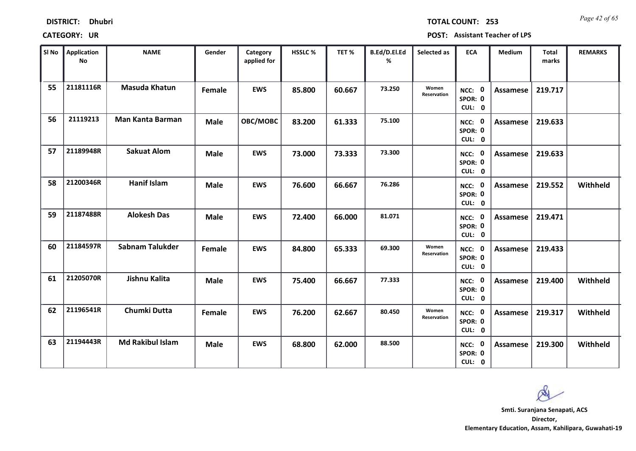| <b>DISTRICT:</b> | <b>Dhubri</b> |
|------------------|---------------|
|------------------|---------------|

*Page 42 of 65* **TOTAL COUNT: 253**

| SI No | <b>Application</b><br>No | <b>NAME</b>             | Gender      | Category<br>applied for | <b>HSSLC %</b> | TET %  | B.Ed/D.El.Ed<br>% | Selected as          | <b>ECA</b>                     | <b>Medium</b>   | <b>Total</b><br>marks | <b>REMARKS</b> |
|-------|--------------------------|-------------------------|-------------|-------------------------|----------------|--------|-------------------|----------------------|--------------------------------|-----------------|-----------------------|----------------|
| 55    | 21181116R                | <b>Masuda Khatun</b>    | Female      | <b>EWS</b>              | 85.800         | 60.667 | 73.250            | Women<br>Reservation | NCC: 0<br>SPOR: 0<br>CUL: 0    | <b>Assamese</b> | 219.717               |                |
| 56    | 21119213                 | <b>Man Kanta Barman</b> | <b>Male</b> | OBC/MOBC                | 83.200         | 61.333 | 75.100            |                      | NCC: 0<br>SPOR: 0<br>CUL: 0    | Assamese        | 219.633               |                |
| 57    | 21189948R                | <b>Sakuat Alom</b>      | <b>Male</b> | <b>EWS</b>              | 73.000         | 73.333 | 73.300            |                      | NCC: 0<br>SPOR: 0<br>CUL: 0    | Assamese        | 219.633               |                |
| 58    | 21200346R                | <b>Hanif Islam</b>      | <b>Male</b> | <b>EWS</b>              | 76.600         | 66.667 | 76.286            |                      | 0<br>NCC:<br>SPOR: 0<br>CUL: 0 | <b>Assamese</b> | 219.552               | Withheld       |
| 59    | 21187488R                | <b>Alokesh Das</b>      | <b>Male</b> | <b>EWS</b>              | 72.400         | 66.000 | 81.071            |                      | NCC: 0<br>SPOR: 0<br>CUL: 0    | <b>Assamese</b> | 219.471               |                |
| 60    | 21184597R                | <b>Sabnam Talukder</b>  | Female      | <b>EWS</b>              | 84.800         | 65.333 | 69.300            | Women<br>Reservation | NCC: 0<br>SPOR: 0<br>CUL: 0    | <b>Assamese</b> | 219.433               |                |
| 61    | 21205070R                | Jishnu Kalita           | <b>Male</b> | <b>EWS</b>              | 75.400         | 66.667 | 77.333            |                      | NCC: 0<br>SPOR: 0<br>CUL: 0    | Assamese        | 219.400               | Withheld       |
| 62    | 21196541R                | Chumki Dutta            | Female      | <b>EWS</b>              | 76.200         | 62.667 | 80.450            | Women<br>Reservation | NCC: 0<br>SPOR: 0<br>CUL: 0    | <b>Assamese</b> | 219.317               | Withheld       |
| 63    | 21194443R                | <b>Md Rakibul Islam</b> | <b>Male</b> | <b>EWS</b>              | 68.800         | 62.000 | 88.500            |                      | NCC: 0<br>SPOR: 0<br>CUL: 0    | Assamese        | 219.300               | Withheld       |

 $\infty$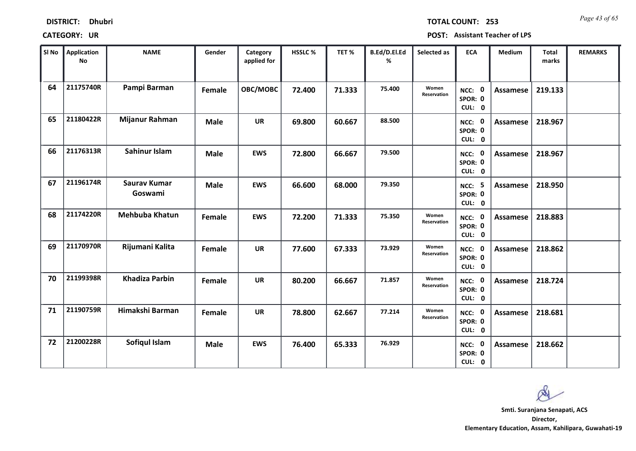| <b>DISTRICT:</b> | <b>Dhubri</b> |
|------------------|---------------|
|------------------|---------------|

*Page 43 of 65* **TOTAL COUNT: 253**

| SI No | <b>Application</b><br>No | <b>NAME</b>                    | Gender      | Category<br>applied for | <b>HSSLC %</b> | TET %  | B.Ed/D.El.Ed<br>% | Selected as          | <b>ECA</b>                         | <b>Medium</b>   | <b>Total</b><br>marks | <b>REMARKS</b> |
|-------|--------------------------|--------------------------------|-------------|-------------------------|----------------|--------|-------------------|----------------------|------------------------------------|-----------------|-----------------------|----------------|
| 64    | 21175740R                | Pampi Barman                   | Female      | OBC/MOBC                | 72.400         | 71.333 | 75.400            | Women<br>Reservation | NCC: 0<br>SPOR: 0<br>CUL: 0        | Assamese        | 219.133               |                |
| 65    | 21180422R                | Mijanur Rahman                 | <b>Male</b> | <b>UR</b>               | 69.800         | 60.667 | 88.500            |                      | NCC: 0<br>SPOR: 0<br>CUL: 0        | <b>Assamese</b> | 218.967               |                |
| 66    | 21176313R                | Sahinur Islam                  | <b>Male</b> | <b>EWS</b>              | 72.800         | 66.667 | 79.500            |                      | NCC: 0<br>SPOR: 0<br>CUL: 0        | <b>Assamese</b> | 218.967               |                |
| 67    | 21196174R                | <b>Saurav Kumar</b><br>Goswami | <b>Male</b> | <b>EWS</b>              | 66.600         | 68.000 | 79.350            |                      | <b>NCC: 5</b><br>SPOR: 0<br>CUL: 0 | Assamese        | 218.950               |                |
| 68    | 21174220R                | <b>Mehbuba Khatun</b>          | Female      | <b>EWS</b>              | 72.200         | 71.333 | 75.350            | Women<br>Reservation | NCC: 0<br>SPOR: 0<br>CUL: 0        | Assamese        | 218.883               |                |
| 69    | 21170970R                | Rijumani Kalita                | Female      | <b>UR</b>               | 77.600         | 67.333 | 73.929            | Women<br>Reservation | NCC: 0<br>SPOR: 0<br>CUL: 0        | Assamese        | 218.862               |                |
| 70    | 21199398R                | <b>Khadiza Parbin</b>          | Female      | <b>UR</b>               | 80.200         | 66.667 | 71.857            | Women<br>Reservation | NCC: 0<br>SPOR: 0<br>CUL: 0        | Assamese        | 218.724               |                |
| 71    | 21190759R                | Himakshi Barman                | Female      | <b>UR</b>               | 78.800         | 62.667 | 77.214            | Women<br>Reservation | NCC: 0<br>SPOR: 0<br>CUL: 0        | <b>Assamese</b> | 218.681               |                |
| 72    | 21200228R                | Sofiqul Islam                  | <b>Male</b> | <b>EWS</b>              | 76.400         | 65.333 | 76.929            |                      | NCC: 0<br>SPOR: 0<br>CUL: 0        | Assamese        | 218.662               |                |

 $\infty$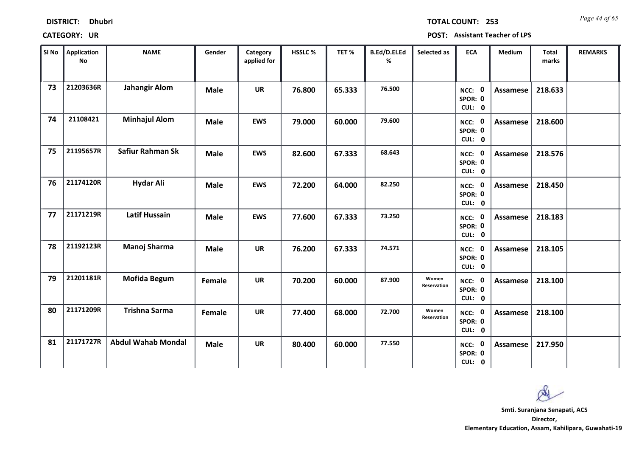| <b>DISTRICT:</b> | <b>Dhubri</b> |
|------------------|---------------|
|------------------|---------------|

*Page 44 of 65* **TOTAL COUNT: 253**

| SI No | <b>Application</b><br>No | <b>NAME</b>               | Gender      | Category<br>applied for | <b>HSSLC%</b> | TET%   | B.Ed/D.El.Ed<br>% | Selected as          | <b>ECA</b>                  | <b>Medium</b>   | <b>Total</b><br>marks | <b>REMARKS</b> |
|-------|--------------------------|---------------------------|-------------|-------------------------|---------------|--------|-------------------|----------------------|-----------------------------|-----------------|-----------------------|----------------|
| 73    | 21203636R                | <b>Jahangir Alom</b>      | <b>Male</b> | <b>UR</b>               | 76.800        | 65.333 | 76.500            |                      | NCC: 0<br>SPOR: 0<br>CUL: 0 | <b>Assamese</b> | 218.633               |                |
| 74    | 21108421                 | <b>Minhajul Alom</b>      | <b>Male</b> | <b>EWS</b>              | 79.000        | 60.000 | 79.600            |                      | NCC: 0<br>SPOR: 0<br>CUL: 0 | Assamese        | 218.600               |                |
| 75    | 21195657R                | Safiur Rahman Sk          | <b>Male</b> | <b>EWS</b>              | 82.600        | 67.333 | 68.643            |                      | NCC: 0<br>SPOR: 0<br>CUL: 0 | Assamese        | 218.576               |                |
| 76    | 21174120R                | <b>Hydar Ali</b>          | <b>Male</b> | <b>EWS</b>              | 72.200        | 64.000 | 82.250            |                      | NCC: 0<br>SPOR: 0<br>CUL: 0 | Assamese        | 218.450               |                |
| 77    | 21171219R                | <b>Latif Hussain</b>      | <b>Male</b> | <b>EWS</b>              | 77.600        | 67.333 | 73.250            |                      | NCC: 0<br>SPOR: 0<br>CUL: 0 | Assamese        | 218.183               |                |
| 78    | 21192123R                | Manoj Sharma              | <b>Male</b> | <b>UR</b>               | 76.200        | 67.333 | 74.571            |                      | NCC: 0<br>SPOR: 0<br>CUL: 0 | Assamese        | 218.105               |                |
| 79    | 21201181R                | <b>Mofida Begum</b>       | Female      | <b>UR</b>               | 70.200        | 60.000 | 87.900            | Women<br>Reservation | NCC: 0<br>SPOR: 0<br>CUL: 0 | Assamese        | 218.100               |                |
| 80    | 21171209R                | <b>Trishna Sarma</b>      | Female      | <b>UR</b>               | 77.400        | 68.000 | 72.700            | Women<br>Reservation | NCC: 0<br>SPOR: 0<br>CUL: 0 | Assamese        | 218.100               |                |
| 81    | 21171727R                | <b>Abdul Wahab Mondal</b> | <b>Male</b> | <b>UR</b>               | 80.400        | 60.000 | 77.550            |                      | NCC: 0<br>SPOR: 0<br>CUL: 0 | Assamese        | 217.950               |                |

 $\infty$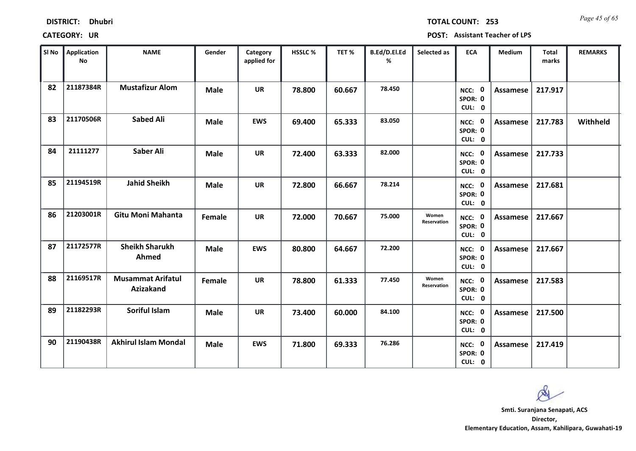| <b>DISTRICT:</b> | <b>Dhubri</b> |
|------------------|---------------|
|------------------|---------------|

*Page 45 of 65* **TOTAL COUNT: 253**

| SI No | <b>Application</b><br>No | <b>NAME</b>                           | Gender      | Category<br>applied for | HSSLC % | TET %  | B.Ed/D.El.Ed<br>% | Selected as          | <b>ECA</b>                  | <b>Medium</b>   | Total<br>marks | <b>REMARKS</b> |
|-------|--------------------------|---------------------------------------|-------------|-------------------------|---------|--------|-------------------|----------------------|-----------------------------|-----------------|----------------|----------------|
| 82    | 21187384R                | <b>Mustafizur Alom</b>                | <b>Male</b> | <b>UR</b>               | 78.800  | 60.667 | 78.450            |                      | NCC: 0<br>SPOR: 0<br>CUL: 0 | <b>Assamese</b> | 217.917        |                |
| 83    | 21170506R                | <b>Sabed Ali</b>                      | <b>Male</b> | <b>EWS</b>              | 69.400  | 65.333 | 83.050            |                      | NCC: 0<br>SPOR: 0<br>CUL: 0 | <b>Assamese</b> | 217.783        | Withheld       |
| 84    | 21111277                 | Saber Ali                             | <b>Male</b> | <b>UR</b>               | 72.400  | 63.333 | 82.000            |                      | NCC: 0<br>SPOR: 0<br>CUL: 0 | Assamese        | 217.733        |                |
| 85    | 21194519R                | <b>Jahid Sheikh</b>                   | <b>Male</b> | <b>UR</b>               | 72.800  | 66.667 | 78.214            |                      | NCC: 0<br>SPOR: 0<br>CUL: 0 | <b>Assamese</b> | 217.681        |                |
| 86    | 21203001R                | <b>Gitu Moni Mahanta</b>              | Female      | <b>UR</b>               | 72.000  | 70.667 | 75.000            | Women<br>Reservation | NCC: 0<br>SPOR: 0<br>CUL: 0 | Assamese        | 217.667        |                |
| 87    | 21172577R                | <b>Sheikh Sharukh</b><br>Ahmed        | <b>Male</b> | <b>EWS</b>              | 80.800  | 64.667 | 72.200            |                      | NCC: 0<br>SPOR: 0<br>CUL: 0 | <b>Assamese</b> | 217.667        |                |
| 88    | 21169517R                | <b>Musammat Arifatul</b><br>Azizakand | Female      | <b>UR</b>               | 78.800  | 61.333 | 77.450            | Women<br>Reservation | NCC: 0<br>SPOR: 0<br>CUL: 0 | <b>Assamese</b> | 217.583        |                |
| 89    | 21182293R                | Soriful Islam                         | <b>Male</b> | <b>UR</b>               | 73.400  | 60.000 | 84.100            |                      | NCC: 0<br>SPOR: 0<br>CUL: 0 | <b>Assamese</b> | 217.500        |                |
| 90    | 21190438R                | <b>Akhirul Islam Mondal</b>           | <b>Male</b> | <b>EWS</b>              | 71.800  | 69.333 | 76.286            |                      | NCC: 0<br>SPOR: 0<br>CUL: 0 | <b>Assamese</b> | 217.419        |                |

 $\infty$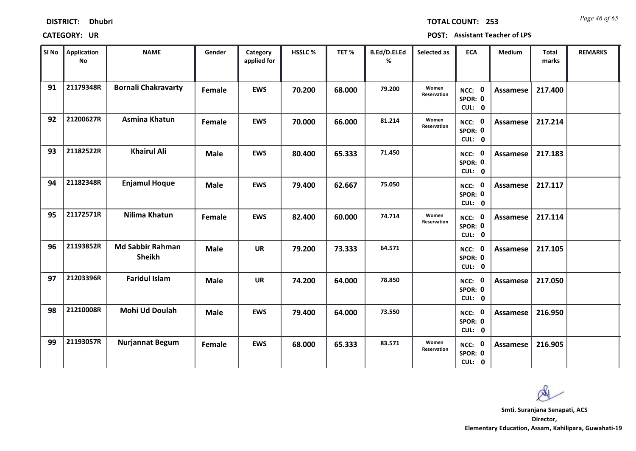| <b>DISTRICT:</b> | <b>Dhubri</b> |
|------------------|---------------|
|------------------|---------------|

*Page 46 of 65* **TOTAL COUNT: 253**

| SI No | <b>Application</b><br>No | <b>NAME</b>                              | Gender      | Category<br>applied for | <b>HSSLC %</b> | TET %  | B.Ed/D.El.Ed<br>% | Selected as          | <b>ECA</b>                  | <b>Medium</b>   | <b>Total</b><br>marks | <b>REMARKS</b> |
|-------|--------------------------|------------------------------------------|-------------|-------------------------|----------------|--------|-------------------|----------------------|-----------------------------|-----------------|-----------------------|----------------|
| 91    | 21179348R                | <b>Bornali Chakravarty</b>               | Female      | <b>EWS</b>              | 70.200         | 68.000 | 79.200            | Women<br>Reservation | NCC: 0<br>SPOR: 0<br>CUL: 0 | Assamese        | 217.400               |                |
| 92    | 21200627R                | <b>Asmina Khatun</b>                     | Female      | <b>EWS</b>              | 70.000         | 66.000 | 81.214            | Women<br>Reservation | NCC: 0<br>SPOR: 0<br>CUL: 0 | <b>Assamese</b> | 217.214               |                |
| 93    | 21182522R                | <b>Khairul Ali</b>                       | <b>Male</b> | <b>EWS</b>              | 80.400         | 65.333 | 71.450            |                      | NCC: 0<br>SPOR: 0<br>CUL: 0 | Assamese        | 217.183               |                |
| 94    | 21182348R                | <b>Enjamul Hoque</b>                     | <b>Male</b> | <b>EWS</b>              | 79.400         | 62.667 | 75.050            |                      | NCC: 0<br>SPOR: 0<br>CUL: 0 | Assamese        | 217.117               |                |
| 95    | 21172571R                | Nilima Khatun                            | Female      | <b>EWS</b>              | 82.400         | 60.000 | 74.714            | Women<br>Reservation | NCC: 0<br>SPOR: 0<br>CUL: 0 | Assamese        | 217.114               |                |
| 96    | 21193852R                | <b>Md Sabbir Rahman</b><br><b>Sheikh</b> | <b>Male</b> | <b>UR</b>               | 79.200         | 73.333 | 64.571            |                      | NCC: 0<br>SPOR: 0<br>CUL: 0 | Assamese        | 217.105               |                |
| 97    | 21203396R                | <b>Faridul Islam</b>                     | <b>Male</b> | <b>UR</b>               | 74.200         | 64.000 | 78.850            |                      | NCC: 0<br>SPOR: 0<br>CUL: 0 | Assamese        | 217.050               |                |
| 98    | 21210008R                | Mohi Ud Doulah                           | <b>Male</b> | <b>EWS</b>              | 79.400         | 64.000 | 73.550            |                      | NCC: 0<br>SPOR: 0<br>CUL: 0 | <b>Assamese</b> | 216.950               |                |
| 99    | 21193057R                | <b>Nurjannat Begum</b>                   | Female      | <b>EWS</b>              | 68.000         | 65.333 | 83.571            | Women<br>Reservation | NCC: 0<br>SPOR: 0<br>CUL: 0 | Assamese        | 216.905               |                |

 $\infty$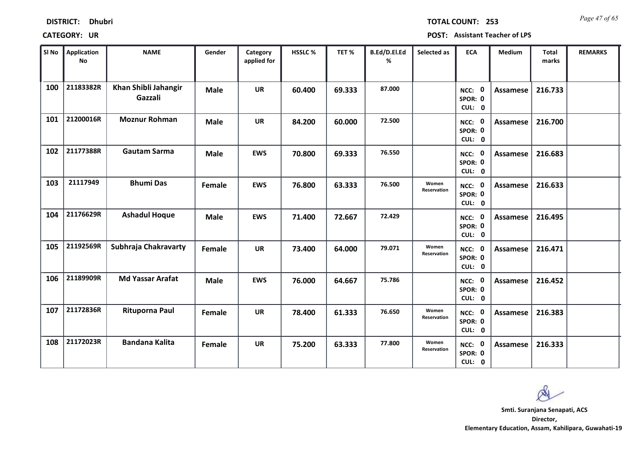| <b>DISTRICT:</b> | <b>Dhubri</b> |
|------------------|---------------|
|------------------|---------------|

*Page 47 of 65* **TOTAL COUNT: 253**

| SI No | <b>Application</b><br>No | <b>NAME</b>                     | Gender      | Category<br>applied for | <b>HSSLC %</b> | TET %  | B.Ed/D.El.Ed<br>% | Selected as          | <b>ECA</b>                  | <b>Medium</b>   | <b>Total</b><br>marks | <b>REMARKS</b> |
|-------|--------------------------|---------------------------------|-------------|-------------------------|----------------|--------|-------------------|----------------------|-----------------------------|-----------------|-----------------------|----------------|
| 100   | 21183382R                | Khan Shibli Jahangir<br>Gazzali | <b>Male</b> | <b>UR</b>               | 60.400         | 69.333 | 87.000            |                      | NCC: 0<br>SPOR: 0<br>CUL: 0 | <b>Assamese</b> | 216.733               |                |
| 101   | 21200016R                | <b>Moznur Rohman</b>            | <b>Male</b> | <b>UR</b>               | 84.200         | 60.000 | 72.500            |                      | NCC: 0<br>SPOR: 0<br>CUL: 0 | Assamese        | 216.700               |                |
| 102   | 21177388R                | <b>Gautam Sarma</b>             | <b>Male</b> | <b>EWS</b>              | 70.800         | 69.333 | 76.550            |                      | NCC: 0<br>SPOR: 0<br>CUL: 0 | <b>Assamese</b> | 216.683               |                |
| 103   | 21117949                 | <b>Bhumi Das</b>                | Female      | <b>EWS</b>              | 76.800         | 63.333 | 76.500            | Women<br>Reservation | NCC: 0<br>SPOR: 0<br>CUL: 0 | <b>Assamese</b> | 216.633               |                |
| 104   | 21176629R                | <b>Ashadul Hoque</b>            | <b>Male</b> | <b>EWS</b>              | 71.400         | 72.667 | 72.429            |                      | NCC: 0<br>SPOR: 0<br>CUL: 0 | <b>Assamese</b> | 216.495               |                |
| 105   | 21192569R                | Subhraja Chakravarty            | Female      | <b>UR</b>               | 73.400         | 64.000 | 79.071            | Women<br>Reservation | NCC: 0<br>SPOR: 0<br>CUL: 0 | <b>Assamese</b> | 216.471               |                |
| 106   | 21189909R                | <b>Md Yassar Arafat</b>         | <b>Male</b> | <b>EWS</b>              | 76.000         | 64.667 | 75.786            |                      | NCC: 0<br>SPOR: 0<br>CUL: 0 | <b>Assamese</b> | 216.452               |                |
| 107   | 21172836R                | <b>Rituporna Paul</b>           | Female      | <b>UR</b>               | 78.400         | 61.333 | 76.650            | Women<br>Reservation | NCC: 0<br>SPOR: 0<br>CUL: 0 | <b>Assamese</b> | 216.383               |                |
| 108   | 21172023R                | <b>Bandana Kalita</b>           | Female      | <b>UR</b>               | 75.200         | 63.333 | 77.800            | Women<br>Reservation | NCC: 0<br>SPOR: 0<br>CUL: 0 | <b>Assamese</b> | 216.333               |                |

 $\infty$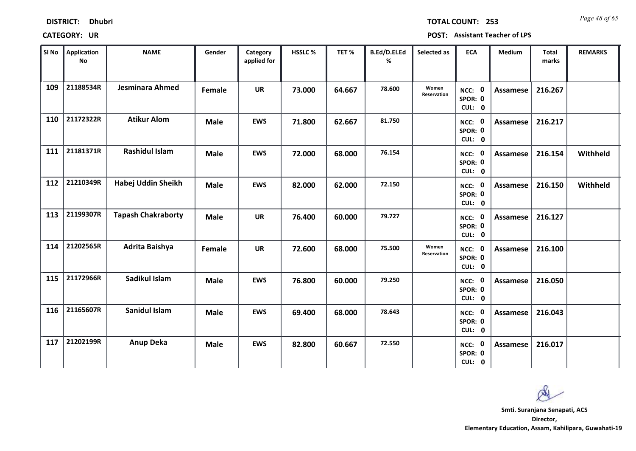| <b>DISTRICT:</b> | <b>Dhubri</b> |
|------------------|---------------|
|------------------|---------------|

*Page 48 of 65* **TOTAL COUNT: 253**

| SI No | Application<br>No | <b>NAME</b>               | Gender      | Category<br>applied for | <b>HSSLC%</b> | TET %  | B.Ed/D.El.Ed<br>% | Selected as          | <b>ECA</b>                  | <b>Medium</b>   | <b>Total</b><br>marks | <b>REMARKS</b> |
|-------|-------------------|---------------------------|-------------|-------------------------|---------------|--------|-------------------|----------------------|-----------------------------|-----------------|-----------------------|----------------|
| 109   | 21188534R         | Jesminara Ahmed           | Female      | <b>UR</b>               | 73.000        | 64.667 | 78.600            | Women<br>Reservation | NCC: 0<br>SPOR: 0<br>CUL: 0 | Assamese        | 216.267               |                |
| 110   | 21172322R         | <b>Atikur Alom</b>        | <b>Male</b> | <b>EWS</b>              | 71.800        | 62.667 | 81.750            |                      | NCC: 0<br>SPOR: 0<br>CUL: 0 | Assamese        | 216.217               |                |
| 111   | 21181371R         | <b>Rashidul Islam</b>     | <b>Male</b> | <b>EWS</b>              | 72.000        | 68.000 | 76.154            |                      | NCC: 0<br>SPOR: 0<br>CUL: 0 | Assamese        | 216.154               | Withheld       |
| 112   | 21210349R         | Habej Uddin Sheikh        | <b>Male</b> | <b>EWS</b>              | 82.000        | 62.000 | 72.150            |                      | NCC: 0<br>SPOR: 0<br>CUL: 0 | Assamese        | 216.150               | Withheld       |
| 113   | 21199307R         | <b>Tapash Chakraborty</b> | <b>Male</b> | <b>UR</b>               | 76.400        | 60.000 | 79.727            |                      | NCC: 0<br>SPOR: 0<br>CUL: 0 | Assamese        | 216.127               |                |
| 114   | 21202565R         | Adrita Baishya            | Female      | <b>UR</b>               | 72.600        | 68.000 | 75.500            | Women<br>Reservation | NCC: 0<br>SPOR: 0<br>CUL: 0 | Assamese        | 216.100               |                |
| 115   | 21172966R         | Sadikul Islam             | <b>Male</b> | <b>EWS</b>              | 76.800        | 60.000 | 79.250            |                      | NCC: 0<br>SPOR: 0<br>CUL: 0 | Assamese        | 216.050               |                |
| 116   | 21165607R         | Sanidul Islam             | <b>Male</b> | <b>EWS</b>              | 69.400        | 68.000 | 78.643            |                      | NCC: 0<br>SPOR: 0<br>CUL: 0 | <b>Assamese</b> | 216.043               |                |
| 117   | 21202199R         | <b>Anup Deka</b>          | <b>Male</b> | <b>EWS</b>              | 82.800        | 60.667 | 72.550            |                      | NCC: 0<br>SPOR: 0<br>CUL: 0 | Assamese        | 216.017               |                |

 $\infty$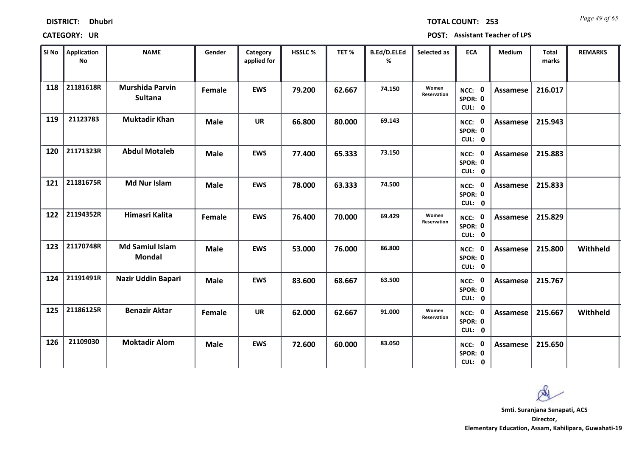| <b>DISTRICT:</b> | <b>Dhubri</b> |
|------------------|---------------|
|------------------|---------------|

*Page 49 of 65* **TOTAL COUNT: 253**

| SI No | <b>Application</b><br>No | <b>NAME</b>                              | Gender      | Category<br>applied for | <b>HSSLC %</b> | TET %  | B.Ed/D.El.Ed<br>% | Selected as          | <b>ECA</b>                  | <b>Medium</b>   | <b>Total</b><br>marks | <b>REMARKS</b> |
|-------|--------------------------|------------------------------------------|-------------|-------------------------|----------------|--------|-------------------|----------------------|-----------------------------|-----------------|-----------------------|----------------|
| 118   | 21181618R                | <b>Murshida Parvin</b><br><b>Sultana</b> | Female      | <b>EWS</b>              | 79.200         | 62.667 | 74.150            | Women<br>Reservation | NCC: 0<br>SPOR: 0<br>CUL: 0 | <b>Assamese</b> | 216.017               |                |
| 119   | 21123783                 | <b>Muktadir Khan</b>                     | <b>Male</b> | <b>UR</b>               | 66.800         | 80.000 | 69.143            |                      | NCC: 0<br>SPOR: 0<br>CUL: 0 | Assamese        | 215.943               |                |
| 120   | 21171323R                | <b>Abdul Motaleb</b>                     | <b>Male</b> | <b>EWS</b>              | 77.400         | 65.333 | 73.150            |                      | NCC: 0<br>SPOR: 0<br>CUL: 0 | Assamese        | 215.883               |                |
| 121   | 21181675R                | <b>Md Nur Islam</b>                      | <b>Male</b> | <b>EWS</b>              | 78.000         | 63.333 | 74.500            |                      | NCC: 0<br>SPOR: 0<br>CUL: 0 | Assamese        | 215.833               |                |
| 122   | 21194352R                | Himasri Kalita                           | Female      | <b>EWS</b>              | 76.400         | 70.000 | 69.429            | Women<br>Reservation | NCC: 0<br>SPOR: 0<br>CUL: 0 | Assamese        | 215.829               |                |
| 123   | 21170748R                | <b>Md Samiul Islam</b><br><b>Mondal</b>  | <b>Male</b> | <b>EWS</b>              | 53.000         | 76.000 | 86.800            |                      | NCC: 0<br>SPOR: 0<br>CUL: 0 | Assamese        | 215.800               | Withheld       |
| 124   | 21191491R                | Nazir Uddin Bapari                       | <b>Male</b> | <b>EWS</b>              | 83.600         | 68.667 | 63.500            |                      | NCC: 0<br>SPOR: 0<br>CUL: 0 | Assamese        | 215.767               |                |
| 125   | 21186125R                | <b>Benazir Aktar</b>                     | Female      | <b>UR</b>               | 62.000         | 62.667 | 91.000            | Women<br>Reservation | NCC: 0<br>SPOR: 0<br>CUL: 0 | <b>Assamese</b> | 215.667               | Withheld       |
| 126   | 21109030                 | <b>Moktadir Alom</b>                     | <b>Male</b> | <b>EWS</b>              | 72.600         | 60.000 | 83.050            |                      | NCC: 0<br>SPOR: 0<br>CUL: 0 | Assamese        | 215.650               |                |

 $\infty$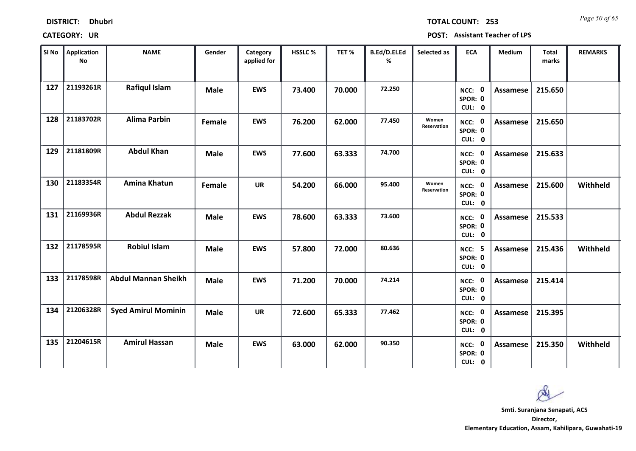| <b>DISTRICT:</b> | <b>Dhubri</b> |
|------------------|---------------|
|------------------|---------------|

*Page 50 of 65* **TOTAL COUNT: 253**

| SI No | <b>Application</b><br>No | <b>NAME</b>                | Gender      | Category<br>applied for | <b>HSSLC %</b> | TET %  | B.Ed/D.El.Ed<br>% | Selected as          | <b>ECA</b>                         | <b>Medium</b>   | <b>Total</b><br>marks | <b>REMARKS</b> |
|-------|--------------------------|----------------------------|-------------|-------------------------|----------------|--------|-------------------|----------------------|------------------------------------|-----------------|-----------------------|----------------|
| 127   | 21193261R                | <b>Rafiqul Islam</b>       | <b>Male</b> | <b>EWS</b>              | 73.400         | 70.000 | 72.250            |                      | NCC: 0<br>SPOR: 0<br>CUL: 0        | <b>Assamese</b> | 215.650               |                |
| 128   | 21183702R                | <b>Alima Parbin</b>        | Female      | <b>EWS</b>              | 76.200         | 62.000 | 77.450            | Women<br>Reservation | NCC: 0<br>SPOR: 0<br>CUL: 0        | Assamese        | 215.650               |                |
| 129   | 21181809R                | <b>Abdul Khan</b>          | <b>Male</b> | <b>EWS</b>              | 77.600         | 63.333 | 74.700            |                      | NCC: 0<br>SPOR: 0<br>CUL: 0        | Assamese        | 215.633               |                |
| 130   | 21183354R                | <b>Amina Khatun</b>        | Female      | <b>UR</b>               | 54.200         | 66.000 | 95.400            | Women<br>Reservation | NCC: 0<br>SPOR: 0<br>CUL: 0        | Assamese        | 215.600               | Withheld       |
| 131   | 21169936R                | <b>Abdul Rezzak</b>        | <b>Male</b> | <b>EWS</b>              | 78.600         | 63.333 | 73.600            |                      | NCC: 0<br>SPOR: 0<br>CUL: 0        | Assamese        | 215.533               |                |
| 132   | 21178595R                | <b>Robiul Islam</b>        | <b>Male</b> | <b>EWS</b>              | 57.800         | 72.000 | 80.636            |                      | <b>NCC: 5</b><br>SPOR: 0<br>CUL: 0 | <b>Assamese</b> | 215.436               | Withheld       |
| 133   | 21178598R                | <b>Abdul Mannan Sheikh</b> | <b>Male</b> | <b>EWS</b>              | 71.200         | 70.000 | 74.214            |                      | NCC: 0<br>SPOR: 0<br>CUL: 0        | <b>Assamese</b> | 215.414               |                |
| 134   | 21206328R                | <b>Syed Amirul Mominin</b> | <b>Male</b> | <b>UR</b>               | 72.600         | 65.333 | 77.462            |                      | NCC: 0<br>SPOR: 0<br>CUL: 0        | <b>Assamese</b> | 215.395               |                |
| 135   | 21204615R                | <b>Amirul Hassan</b>       | <b>Male</b> | <b>EWS</b>              | 63.000         | 62.000 | 90.350            |                      | NCC: 0<br>SPOR: 0<br>CUL: 0        | Assamese        | 215.350               | Withheld       |

 $\infty$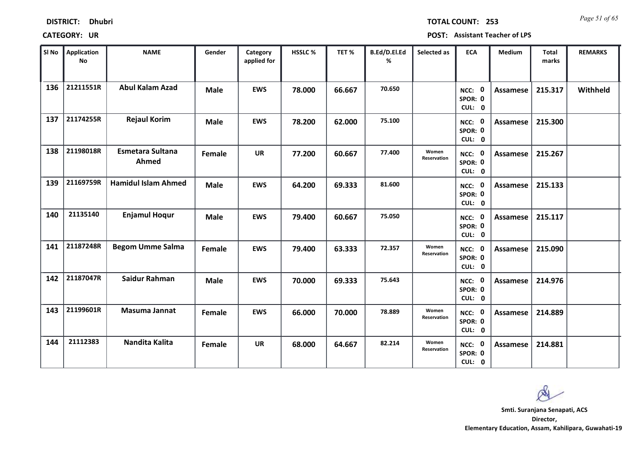| <b>DISTRICT:</b> | <b>Dhubri</b> |
|------------------|---------------|
|------------------|---------------|

*Page 51 of 65* **TOTAL COUNT: 253**

| SI <sub>No</sub> | <b>Application</b><br><b>No</b> | <b>NAME</b>                      | Gender      | Category<br>applied for | <b>HSSLC %</b> | TET%   | B.Ed/D.El.Ed<br>% | Selected as          | <b>ECA</b>                  | <b>Medium</b> | <b>Total</b><br>marks | <b>REMARKS</b> |
|------------------|---------------------------------|----------------------------------|-------------|-------------------------|----------------|--------|-------------------|----------------------|-----------------------------|---------------|-----------------------|----------------|
| 136              | 21211551R                       | <b>Abul Kalam Azad</b>           | <b>Male</b> | <b>EWS</b>              | 78.000         | 66.667 | 70.650            |                      | NCC: 0<br>SPOR: 0<br>CUL: 0 | Assamese      | 215.317               | Withheld       |
| 137              | 21174255R                       | <b>Rejaul Korim</b>              | <b>Male</b> | <b>EWS</b>              | 78.200         | 62.000 | 75.100            |                      | NCC: 0<br>SPOR: 0<br>CUL: 0 | Assamese      | 215.300               |                |
| 138              | 21198018R                       | <b>Esmetara Sultana</b><br>Ahmed | Female      | <b>UR</b>               | 77.200         | 60.667 | 77.400            | Women<br>Reservation | NCC: 0<br>SPOR: 0<br>CUL: 0 | Assamese      | 215.267               |                |
| 139              | 21169759R                       | <b>Hamidul Islam Ahmed</b>       | <b>Male</b> | <b>EWS</b>              | 64.200         | 69.333 | 81.600            |                      | NCC: 0<br>SPOR: 0<br>CUL: 0 | Assamese      | 215.133               |                |
| 140              | 21135140                        | <b>Enjamul Hogur</b>             | <b>Male</b> | <b>EWS</b>              | 79.400         | 60.667 | 75.050            |                      | NCC: 0<br>SPOR: 0<br>CUL: 0 | Assamese      | 215.117               |                |
| 141              | 21187248R                       | <b>Begom Umme Salma</b>          | Female      | <b>EWS</b>              | 79.400         | 63.333 | 72.357            | Women<br>Reservation | NCC: 0<br>SPOR: 0<br>CUL: 0 | Assamese      | 215.090               |                |
| 142              | 21187047R                       | Saidur Rahman                    | <b>Male</b> | <b>EWS</b>              | 70.000         | 69.333 | 75.643            |                      | NCC: 0<br>SPOR: 0<br>CUL: 0 | Assamese      | 214.976               |                |
| 143              | 21199601R                       | Masuma Jannat                    | Female      | <b>EWS</b>              | 66.000         | 70.000 | 78.889            | Women<br>Reservation | NCC: 0<br>SPOR: 0<br>CUL: 0 | Assamese      | 214.889               |                |
| 144              | 21112383                        | Nandita Kalita                   | Female      | <b>UR</b>               | 68.000         | 64.667 | 82.214            | Women<br>Reservation | NCC: 0<br>SPOR: 0<br>CUL: 0 | Assamese      | 214.881               |                |

 $\infty$ **Smti. Suranjana Senapati, ACSDirector,**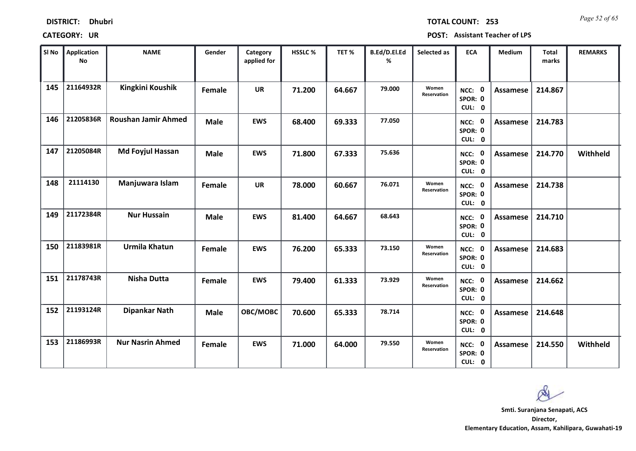| <b>DISTRICT:</b> | <b>Dhubri</b> |
|------------------|---------------|
|------------------|---------------|

*Page 52 of 65* **TOTAL COUNT: 253**

| SI No | <b>Application</b><br>No | <b>NAME</b>                | Gender      | Category<br>applied for | HSSLC % | TET %  | B.Ed/D.El.Ed<br>% | Selected as          | <b>ECA</b>                     | <b>Medium</b>   | <b>Total</b><br>marks | <b>REMARKS</b> |
|-------|--------------------------|----------------------------|-------------|-------------------------|---------|--------|-------------------|----------------------|--------------------------------|-----------------|-----------------------|----------------|
| 145   | 21164932R                | Kingkini Koushik           | Female      | <b>UR</b>               | 71.200  | 64.667 | 79.000            | Women<br>Reservation | NCC: 0<br>SPOR: 0<br>CUL: 0    | <b>Assamese</b> | 214.867               |                |
| 146   | 21205836R                | <b>Roushan Jamir Ahmed</b> | <b>Male</b> | <b>EWS</b>              | 68.400  | 69.333 | 77.050            |                      | NCC: 0<br>SPOR: 0<br>CUL: 0    | Assamese        | 214.783               |                |
| 147   | 21205084R                | <b>Md Foyjul Hassan</b>    | <b>Male</b> | <b>EWS</b>              | 71.800  | 67.333 | 75.636            |                      | NCC: 0<br>SPOR: 0<br>CUL: 0    | Assamese        | 214.770               | Withheld       |
| 148   | 21114130                 | Manjuwara Islam            | Female      | <b>UR</b>               | 78.000  | 60.667 | 76.071            | Women<br>Reservation | 0<br>NCC:<br>SPOR: 0<br>CUL: 0 | <b>Assamese</b> | 214.738               |                |
| 149   | 21172384R                | <b>Nur Hussain</b>         | <b>Male</b> | <b>EWS</b>              | 81.400  | 64.667 | 68.643            |                      | NCC: 0<br>SPOR: 0<br>CUL: 0    | Assamese        | 214.710               |                |
| 150   | 21183981R                | <b>Urmila Khatun</b>       | Female      | <b>EWS</b>              | 76.200  | 65.333 | 73.150            | Women<br>Reservation | NCC: 0<br>SPOR: 0<br>CUL: 0    | Assamese        | 214.683               |                |
| 151   | 21178743R                | <b>Nisha Dutta</b>         | Female      | <b>EWS</b>              | 79.400  | 61.333 | 73.929            | Women<br>Reservation | NCC: 0<br>SPOR: 0<br>CUL: 0    | Assamese        | 214.662               |                |
| 152   | 21193124R                | <b>Dipankar Nath</b>       | <b>Male</b> | OBC/MOBC                | 70.600  | 65.333 | 78.714            |                      | NCC: 0<br>SPOR: 0<br>CUL: 0    | <b>Assamese</b> | 214.648               |                |
| 153   | 21186993R                | <b>Nur Nasrin Ahmed</b>    | Female      | <b>EWS</b>              | 71.000  | 64.000 | 79.550            | Women<br>Reservation | NCC: 0<br>SPOR: 0<br>CUL: 0    | Assamese        | 214.550               | Withheld       |

 $\infty$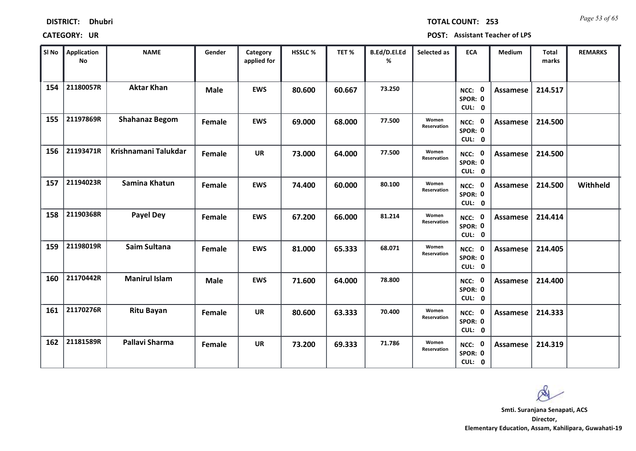| <b>DISTRICT:</b> | <b>Dhubri</b> |
|------------------|---------------|
|------------------|---------------|

*Page 53 of 65* **TOTAL COUNT: 253**

| SI No | Application<br><b>No</b> | <b>NAME</b>           | Gender      | Category<br>applied for | <b>HSSLC %</b> | TET %  | B.Ed/D.El.Ed<br>% | Selected as          | <b>ECA</b>                                | <b>Medium</b>   | <b>Total</b><br>marks | <b>REMARKS</b> |
|-------|--------------------------|-----------------------|-------------|-------------------------|----------------|--------|-------------------|----------------------|-------------------------------------------|-----------------|-----------------------|----------------|
| 154   | 21180057R                | <b>Aktar Khan</b>     | <b>Male</b> | <b>EWS</b>              | 80.600         | 60.667 | 73.250            |                      | NCC: 0<br>SPOR: 0<br>CUL: 0               | <b>Assamese</b> | 214.517               |                |
| 155   | 21197869R                | <b>Shahanaz Begom</b> | Female      | <b>EWS</b>              | 69.000         | 68.000 | 77.500            | Women<br>Reservation | NCC: 0<br>SPOR: 0<br>CUL: 0               | Assamese        | 214.500               |                |
| 156   | 21193471R                | Krishnamani Talukdar  | Female      | <b>UR</b>               | 73.000         | 64.000 | 77.500            | Women<br>Reservation | NCC: 0<br>SPOR: 0<br>CUL: 0               | <b>Assamese</b> | 214.500               |                |
| 157   | 21194023R                | Samina Khatun         | Female      | <b>EWS</b>              | 74.400         | 60.000 | 80.100            | Women<br>Reservation | $\mathbf{0}$<br>NCC:<br>SPOR: 0<br>CUL: 0 | Assamese        | 214.500               | Withheld       |
| 158   | 21190368R                | <b>Payel Dey</b>      | Female      | <b>EWS</b>              | 67.200         | 66.000 | 81.214            | Women<br>Reservation | NCC: 0<br>SPOR: 0<br>CUL: 0               | <b>Assamese</b> | 214.414               |                |
| 159   | 21198019R                | Saim Sultana          | Female      | <b>EWS</b>              | 81.000         | 65.333 | 68.071            | Women<br>Reservation | NCC: 0<br>SPOR: 0<br>CUL: 0               | <b>Assamese</b> | 214.405               |                |
| 160   | 21170442R                | <b>Manirul Islam</b>  | <b>Male</b> | <b>EWS</b>              | 71.600         | 64.000 | 78.800            |                      | NCC: 0<br>SPOR: 0<br>CUL: 0               | Assamese        | 214.400               |                |
| 161   | 21170276R                | <b>Ritu Bayan</b>     | Female      | <b>UR</b>               | 80.600         | 63.333 | 70.400            | Women<br>Reservation | NCC: 0<br>SPOR: 0<br>CUL: 0               | Assamese        | 214.333               |                |
| 162   | 21181589R                | Pallavi Sharma        | Female      | <b>UR</b>               | 73.200         | 69.333 | 71.786            | Women<br>Reservation | NCC: 0<br>SPOR: 0<br>CUL: 0               | Assamese        | 214.319               |                |

 $\infty$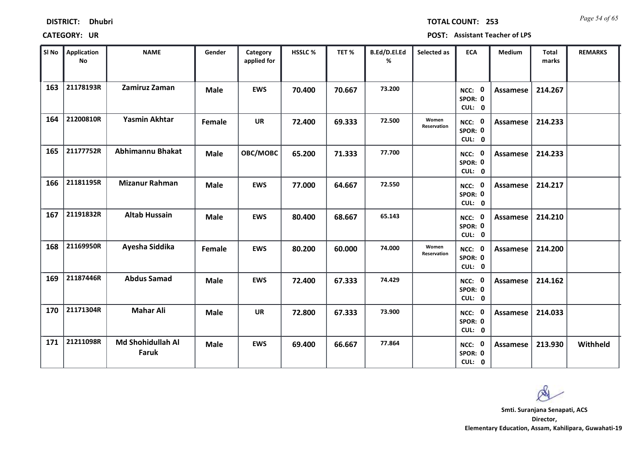| <b>DISTRICT:</b> | <b>Dhubri</b> |
|------------------|---------------|
|------------------|---------------|

*Page 54 of 65* **TOTAL COUNT: 253**

**CATEGORY: UR POST: Assistant Teacher of LPS**

| SI No | <b>Application</b><br>No | <b>NAME</b>                       | Gender      | Category<br>applied for | <b>HSSLC %</b> | TET %  | B.Ed/D.El.Ed<br>% | Selected as          | <b>ECA</b>                  | Medium          | <b>Total</b><br>marks | <b>REMARKS</b> |
|-------|--------------------------|-----------------------------------|-------------|-------------------------|----------------|--------|-------------------|----------------------|-----------------------------|-----------------|-----------------------|----------------|
| 163   | 21178193R                | Zamiruz Zaman                     | <b>Male</b> | <b>EWS</b>              | 70.400         | 70.667 | 73.200            |                      | NCC: 0<br>SPOR: 0<br>CUL: 0 | Assamese        | 214.267               |                |
| 164   | 21200810R                | <b>Yasmin Akhtar</b>              | Female      | <b>UR</b>               | 72.400         | 69.333 | 72.500            | Women<br>Reservation | NCC: 0<br>SPOR: 0<br>CUL: 0 | Assamese        | 214.233               |                |
| 165   | 21177752R                | <b>Abhimannu Bhakat</b>           | <b>Male</b> | OBC/MOBC                | 65.200         | 71.333 | 77.700            |                      | NCC: 0<br>SPOR: 0<br>CUL: 0 | Assamese        | 214.233               |                |
| 166   | 21181195R                | <b>Mizanur Rahman</b>             | <b>Male</b> | <b>EWS</b>              | 77.000         | 64.667 | 72.550            |                      | NCC: 0<br>SPOR: 0<br>CUL: 0 | Assamese        | 214.217               |                |
| 167   | 21191832R                | <b>Altab Hussain</b>              | <b>Male</b> | <b>EWS</b>              | 80.400         | 68.667 | 65.143            |                      | NCC: 0<br>SPOR: 0<br>CUL: 0 | <b>Assamese</b> | 214.210               |                |
| 168   | 21169950R                | Ayesha Siddika                    | Female      | <b>EWS</b>              | 80.200         | 60.000 | 74.000            | Women<br>Reservation | NCC: 0<br>SPOR: 0<br>CUL: 0 | Assamese        | 214.200               |                |
| 169   | 21187446R                | <b>Abdus Samad</b>                | <b>Male</b> | <b>EWS</b>              | 72.400         | 67.333 | 74.429            |                      | NCC: 0<br>SPOR: 0<br>CUL: 0 | Assamese        | 214.162               |                |
| 170   | 21171304R                | <b>Mahar Ali</b>                  | <b>Male</b> | <b>UR</b>               | 72.800         | 67.333 | 73.900            |                      | NCC: 0<br>SPOR: 0<br>CUL: 0 | <b>Assamese</b> | 214.033               |                |
| 171   | 21211098R                | Md Shohidullah Al<br><b>Faruk</b> | <b>Male</b> | <b>EWS</b>              | 69.400         | 66.667 | 77.864            |                      | NCC: 0<br>SPOR: 0<br>CUL: 0 | Assamese        | 213.930               | Withheld       |

 $\infty$ **Smti. Suranjana Senapati, ACS**

**Director, Elementary Education, Assam, Kahilipara, Guwahati-19**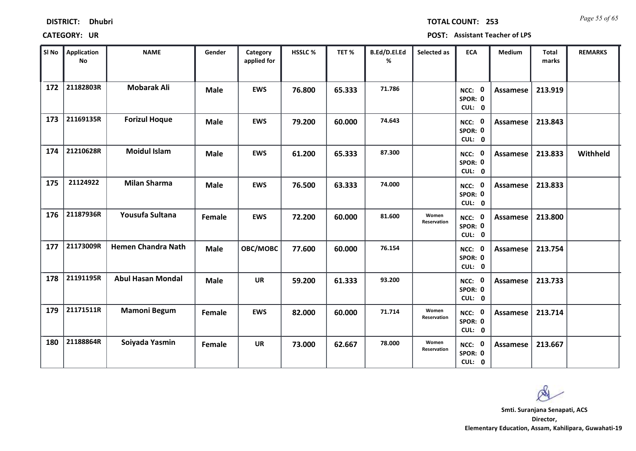| <b>DISTRICT:</b> | <b>Dhubri</b> |
|------------------|---------------|
|------------------|---------------|

*Page 55 of 65* **TOTAL COUNT: 253**

| SI No | <b>Application</b><br>No | <b>NAME</b>               | Gender      | Category<br>applied for | <b>HSSLC %</b> | TET %  | B.Ed/D.El.Ed<br>% | Selected as          | <b>ECA</b>                  | <b>Medium</b>   | <b>Total</b><br>marks | <b>REMARKS</b> |
|-------|--------------------------|---------------------------|-------------|-------------------------|----------------|--------|-------------------|----------------------|-----------------------------|-----------------|-----------------------|----------------|
| 172   | 21182803R                | <b>Mobarak Ali</b>        | <b>Male</b> | <b>EWS</b>              | 76.800         | 65.333 | 71.786            |                      | NCC: 0<br>SPOR: 0<br>CUL: 0 | Assamese        | 213.919               |                |
| 173   | 21169135R                | <b>Forizul Hoque</b>      | <b>Male</b> | <b>EWS</b>              | 79.200         | 60.000 | 74.643            |                      | NCC: 0<br>SPOR: 0<br>CUL: 0 | Assamese        | 213.843               |                |
| 174   | 21210628R                | <b>Moidul Islam</b>       | <b>Male</b> | <b>EWS</b>              | 61.200         | 65.333 | 87.300            |                      | NCC: 0<br>SPOR: 0<br>CUL: 0 | Assamese        | 213.833               | Withheld       |
| 175   | 21124922                 | <b>Milan Sharma</b>       | <b>Male</b> | <b>EWS</b>              | 76.500         | 63.333 | 74.000            |                      | NCC: 0<br>SPOR: 0<br>CUL: 0 | Assamese        | 213.833               |                |
| 176   | 21187936R                | Yousufa Sultana           | Female      | <b>EWS</b>              | 72.200         | 60.000 | 81.600            | Women<br>Reservation | NCC: 0<br>SPOR: 0<br>CUL: 0 | <b>Assamese</b> | 213.800               |                |
| 177   | 21173009R                | <b>Hemen Chandra Nath</b> | <b>Male</b> | OBC/MOBC                | 77.600         | 60.000 | 76.154            |                      | NCC: 0<br>SPOR: 0<br>CUL: 0 | Assamese        | 213.754               |                |
| 178   | 21191195R                | <b>Abul Hasan Mondal</b>  | <b>Male</b> | <b>UR</b>               | 59.200         | 61.333 | 93.200            |                      | NCC: 0<br>SPOR: 0<br>CUL: 0 | Assamese        | 213.733               |                |
| 179   | 21171511R                | <b>Mamoni Begum</b>       | Female      | <b>EWS</b>              | 82.000         | 60.000 | 71.714            | Women<br>Reservation | NCC: 0<br>SPOR: 0<br>CUL: 0 | <b>Assamese</b> | 213.714               |                |
| 180   | 21188864R                | Soiyada Yasmin            | Female      | <b>UR</b>               | 73.000         | 62.667 | 78.000            | Women<br>Reservation | NCC: 0<br>SPOR: 0<br>CUL: 0 | Assamese        | 213.667               |                |

 $\infty$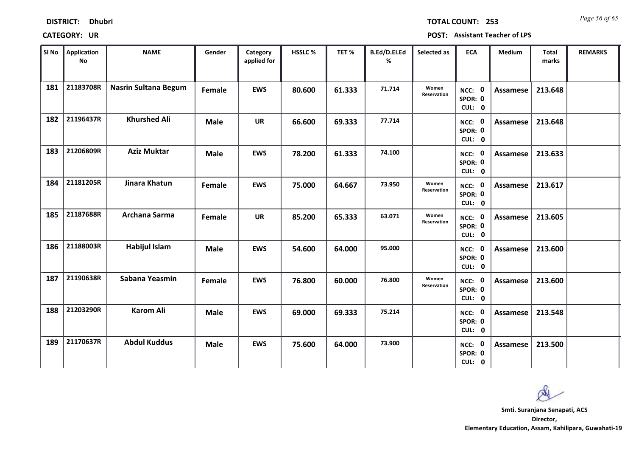| <b>DISTRICT:</b> | <b>Dhubri</b> |
|------------------|---------------|
|                  |               |

*Page 56 of 65* **TOTAL COUNT: 253**

| SI No | <b>Application</b><br>No | <b>NAME</b>                 | Gender      | Category<br>applied for | <b>HSSLC %</b> | TET %  | B.Ed/D.El.Ed<br>% | Selected as          | <b>ECA</b>                  | <b>Medium</b>   | <b>Total</b><br>marks | <b>REMARKS</b> |
|-------|--------------------------|-----------------------------|-------------|-------------------------|----------------|--------|-------------------|----------------------|-----------------------------|-----------------|-----------------------|----------------|
| 181   | 21183708R                | <b>Nasrin Sultana Begum</b> | Female      | <b>EWS</b>              | 80.600         | 61.333 | 71.714            | Women<br>Reservation | NCC: 0<br>SPOR: 0<br>CUL: 0 | Assamese        | 213.648               |                |
| 182   | 21196437R                | <b>Khurshed Ali</b>         | <b>Male</b> | <b>UR</b>               | 66.600         | 69.333 | 77.714            |                      | NCC: 0<br>SPOR: 0<br>CUL: 0 | Assamese        | 213.648               |                |
| 183   | 21206809R                | <b>Aziz Muktar</b>          | <b>Male</b> | <b>EWS</b>              | 78.200         | 61.333 | 74.100            |                      | NCC: 0<br>SPOR: 0<br>CUL: 0 | <b>Assamese</b> | 213.633               |                |
| 184   | 21181205R                | Jinara Khatun               | Female      | <b>EWS</b>              | 75.000         | 64.667 | 73.950            | Women<br>Reservation | NCC: 0<br>SPOR: 0<br>CUL: 0 | Assamese        | 213.617               |                |
| 185   | 21187688R                | Archana Sarma               | Female      | <b>UR</b>               | 85.200         | 65.333 | 63.071            | Women<br>Reservation | NCC: 0<br>SPOR: 0<br>CUL: 0 | <b>Assamese</b> | 213.605               |                |
| 186   | 21188003R                | <b>Habijul Islam</b>        | <b>Male</b> | <b>EWS</b>              | 54.600         | 64.000 | 95.000            |                      | NCC: 0<br>SPOR: 0<br>CUL: 0 | Assamese        | 213.600               |                |
| 187   | 21190638R                | Sabana Yeasmin              | Female      | <b>EWS</b>              | 76.800         | 60.000 | 76.800            | Women<br>Reservation | NCC: 0<br>SPOR: 0<br>CUL: 0 | Assamese        | 213.600               |                |
| 188   | 21203290R                | <b>Karom Ali</b>            | <b>Male</b> | <b>EWS</b>              | 69.000         | 69.333 | 75.214            |                      | NCC: 0<br>SPOR: 0<br>CUL: 0 | <b>Assamese</b> | 213.548               |                |
| 189   | 21170637R                | <b>Abdul Kuddus</b>         | <b>Male</b> | <b>EWS</b>              | 75.600         | 64.000 | 73.900            |                      | NCC: 0<br>SPOR: 0<br>CUL: 0 | Assamese        | 213.500               |                |

 $\infty$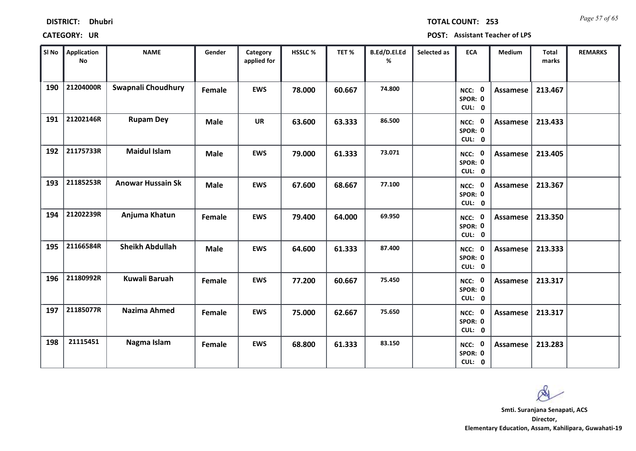| <b>DISTRICT:</b> | <b>Dhubri</b> |
|------------------|---------------|
|------------------|---------------|

*Page 57 of 65* **TOTAL COUNT: 253**

| SI No | Application<br>No | <b>NAME</b>              | Gender      | Category<br>applied for | <b>HSSLC%</b> | TET %  | B.Ed/D.El.Ed<br>% | Selected as | <b>ECA</b>                  | <b>Medium</b>   | <b>Total</b><br>marks | <b>REMARKS</b> |
|-------|-------------------|--------------------------|-------------|-------------------------|---------------|--------|-------------------|-------------|-----------------------------|-----------------|-----------------------|----------------|
| 190   | 21204000R         | Swapnali Choudhury       | Female      | <b>EWS</b>              | 78.000        | 60.667 | 74.800            |             | NCC: 0<br>SPOR: 0<br>CUL: 0 | Assamese        | 213.467               |                |
| 191   | 21202146R         | <b>Rupam Dey</b>         | <b>Male</b> | <b>UR</b>               | 63.600        | 63.333 | 86.500            |             | NCC: 0<br>SPOR: 0<br>CUL: 0 | Assamese        | 213.433               |                |
| 192   | 21175733R         | <b>Maidul Islam</b>      | <b>Male</b> | <b>EWS</b>              | 79.000        | 61.333 | 73.071            |             | NCC: 0<br>SPOR: 0<br>CUL: 0 | <b>Assamese</b> | 213.405               |                |
| 193   | 21185253R         | <b>Anowar Hussain Sk</b> | <b>Male</b> | <b>EWS</b>              | 67.600        | 68.667 | 77.100            |             | NCC: 0<br>SPOR: 0<br>CUL: 0 | Assamese        | 213.367               |                |
| 194   | 21202239R         | Anjuma Khatun            | Female      | <b>EWS</b>              | 79.400        | 64.000 | 69.950            |             | NCC: 0<br>SPOR: 0<br>CUL: 0 | Assamese        | 213.350               |                |
| 195   | 21166584R         | <b>Sheikh Abdullah</b>   | <b>Male</b> | <b>EWS</b>              | 64.600        | 61.333 | 87.400            |             | NCC: 0<br>SPOR: 0<br>CUL: 0 | Assamese        | 213.333               |                |
| 196   | 21180992R         | Kuwali Baruah            | Female      | <b>EWS</b>              | 77.200        | 60.667 | 75.450            |             | NCC: 0<br>SPOR: 0<br>CUL: 0 | Assamese        | 213.317               |                |
| 197   | 21185077R         | <b>Nazima Ahmed</b>      | Female      | <b>EWS</b>              | 75.000        | 62.667 | 75.650            |             | NCC: 0<br>SPOR: 0<br>CUL: 0 | <b>Assamese</b> | 213.317               |                |
| 198   | 21115451          | Nagma Islam              | Female      | <b>EWS</b>              | 68.800        | 61.333 | 83.150            |             | NCC: 0<br>SPOR: 0<br>CUL: 0 | <b>Assamese</b> | 213.283               |                |

 $\infty$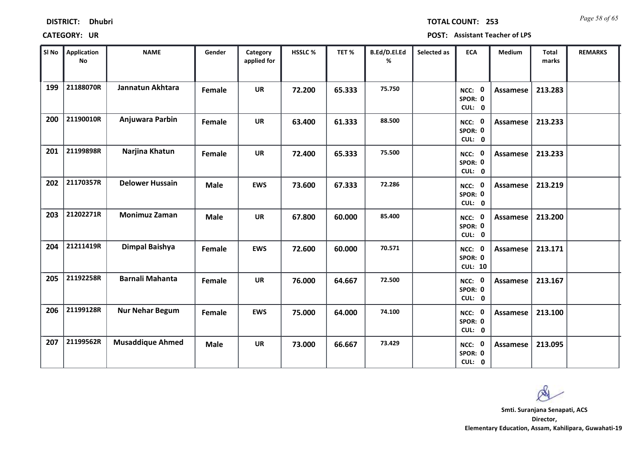| <b>DISTRICT:</b> | <b>Dhubri</b> |
|------------------|---------------|
|------------------|---------------|

*Page 58 of 65* **TOTAL COUNT: 253**

| SI No | <b>Application</b><br>No | <b>NAME</b>             | Gender      | Category<br>applied for | <b>HSSLC%</b> | TET %  | B.Ed/D.El.Ed<br>% | Selected as | <b>ECA</b>                          | <b>Medium</b>   | <b>Total</b><br>marks | <b>REMARKS</b> |
|-------|--------------------------|-------------------------|-------------|-------------------------|---------------|--------|-------------------|-------------|-------------------------------------|-----------------|-----------------------|----------------|
| 199   | 21188070R                | Jannatun Akhtara        | Female      | <b>UR</b>               | 72.200        | 65.333 | 75.750            |             | NCC: 0<br>SPOR: 0<br>CUL: 0         | Assamese        | 213.283               |                |
| 200   | 21190010R                | Anjuwara Parbin         | Female      | <b>UR</b>               | 63.400        | 61.333 | 88.500            |             | NCC: 0<br>SPOR: 0<br>CUL: 0         | Assamese        | 213.233               |                |
| 201   | 21199898R                | Narjina Khatun          | Female      | <b>UR</b>               | 72.400        | 65.333 | 75.500            |             | NCC: 0<br>SPOR: 0<br>CUL: 0         | <b>Assamese</b> | 213.233               |                |
| 202   | 21170357R                | <b>Delower Hussain</b>  | <b>Male</b> | <b>EWS</b>              | 73.600        | 67.333 | 72.286            |             | NCC: 0<br>SPOR: 0<br>CUL: 0         | Assamese        | 213.219               |                |
| 203   | 21202271R                | <b>Monimuz Zaman</b>    | <b>Male</b> | <b>UR</b>               | 67.800        | 60.000 | 85.400            |             | NCC: 0<br>SPOR: 0<br>CUL: 0         | Assamese        | 213.200               |                |
| 204   | 21211419R                | <b>Dimpal Baishya</b>   | Female      | <b>EWS</b>              | 72.600        | 60.000 | 70.571            |             | NCC: 0<br>SPOR: 0<br><b>CUL: 10</b> | Assamese        | 213.171               |                |
| 205   | 21192258R                | <b>Barnali Mahanta</b>  | Female      | <b>UR</b>               | 76.000        | 64.667 | 72.500            |             | NCC: 0<br>SPOR: 0<br>CUL: 0         | Assamese        | 213.167               |                |
| 206   | 21199128R                | <b>Nur Nehar Begum</b>  | Female      | <b>EWS</b>              | 75.000        | 64.000 | 74.100            |             | NCC: 0<br>SPOR: 0<br>CUL: 0         | <b>Assamese</b> | 213.100               |                |
| 207   | 21199562R                | <b>Musaddique Ahmed</b> | <b>Male</b> | <b>UR</b>               | 73.000        | 66.667 | 73.429            |             | NCC: 0<br>SPOR: 0<br>CUL: 0         | Assamese        | 213.095               |                |

 $\infty$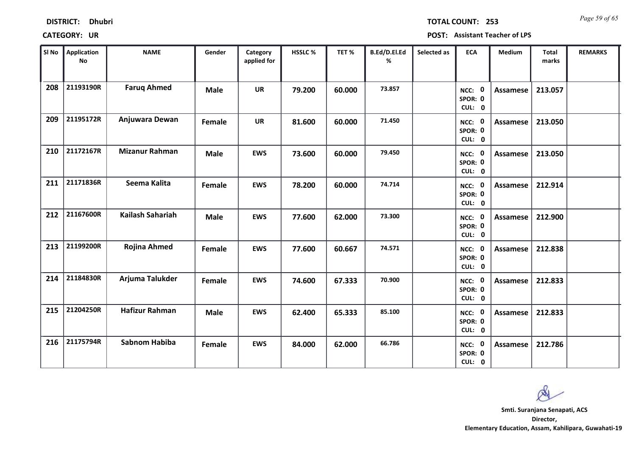| <b>DISTRICT:</b> | <b>Dhubri</b> |
|------------------|---------------|
|------------------|---------------|

*Page 59 of 65* **TOTAL COUNT: 253**

| SI No | <b>Application</b><br>No | <b>NAME</b>             | Gender      | Category<br>applied for | HSSLC % | TET %  | B.Ed/D.El.Ed<br>% | Selected as | <b>ECA</b>                     | <b>Medium</b>   | <b>Total</b><br>marks | <b>REMARKS</b> |
|-------|--------------------------|-------------------------|-------------|-------------------------|---------|--------|-------------------|-------------|--------------------------------|-----------------|-----------------------|----------------|
| 208   | 21193190R                | <b>Faruq Ahmed</b>      | <b>Male</b> | <b>UR</b>               | 79.200  | 60.000 | 73.857            |             | NCC: 0<br>SPOR: 0<br>CUL: 0    | <b>Assamese</b> | 213.057               |                |
| 209   | 21195172R                | Anjuwara Dewan          | Female      | <b>UR</b>               | 81.600  | 60.000 | 71.450            |             | NCC: 0<br>SPOR: 0<br>CUL: 0    | <b>Assamese</b> | 213.050               |                |
| 210   | 21172167R                | <b>Mizanur Rahman</b>   | <b>Male</b> | <b>EWS</b>              | 73.600  | 60.000 | 79.450            |             | NCC: 0<br>SPOR: 0<br>CUL: 0    | <b>Assamese</b> | 213.050               |                |
| 211   | 21171836R                | Seema Kalita            | Female      | <b>EWS</b>              | 78.200  | 60.000 | 74.714            |             | 0<br>NCC:<br>SPOR: 0<br>CUL: 0 | <b>Assamese</b> | 212.914               |                |
| 212   | 21167600R                | <b>Kailash Sahariah</b> | <b>Male</b> | <b>EWS</b>              | 77.600  | 62.000 | 73.300            |             | NCC: 0<br>SPOR: 0<br>CUL: 0    | <b>Assamese</b> | 212.900               |                |
| 213   | 21199200R                | <b>Rojina Ahmed</b>     | Female      | <b>EWS</b>              | 77.600  | 60.667 | 74.571            |             | NCC: 0<br>SPOR: 0<br>CUL: 0    | <b>Assamese</b> | 212.838               |                |
| 214   | 21184830R                | Arjuma Talukder         | Female      | <b>EWS</b>              | 74.600  | 67.333 | 70.900            |             | NCC: 0<br>SPOR: 0<br>CUL: 0    | <b>Assamese</b> | 212.833               |                |
| 215   | 21204250R                | <b>Hafizur Rahman</b>   | <b>Male</b> | <b>EWS</b>              | 62.400  | 65.333 | 85.100            |             | NCC: 0<br>SPOR: 0<br>CUL: 0    | <b>Assamese</b> | 212.833               |                |
| 216   | 21175794R                | <b>Sabnom Habiba</b>    | Female      | <b>EWS</b>              | 84.000  | 62.000 | 66.786            |             | NCC: 0<br>SPOR: 0<br>CUL: 0    | <b>Assamese</b> | 212.786               |                |

 $\infty$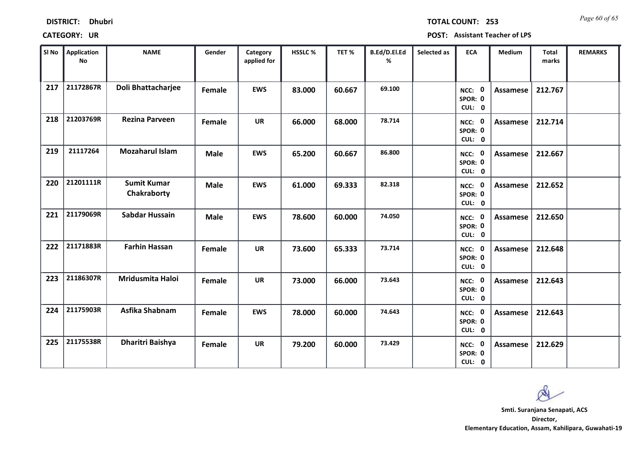| <b>DISTRICT:</b> | <b>Dhubri</b> |
|------------------|---------------|
|------------------|---------------|

*Page 60 of 65* **TOTAL COUNT: 253**

| SI No | <b>Application</b><br>No | <b>NAME</b>                       | Gender      | Category<br>applied for | <b>HSSLC%</b> | TET %  | B.Ed/D.El.Ed<br>% | Selected as | <b>ECA</b>                  | <b>Medium</b>   | <b>Total</b><br>marks | <b>REMARKS</b> |
|-------|--------------------------|-----------------------------------|-------------|-------------------------|---------------|--------|-------------------|-------------|-----------------------------|-----------------|-----------------------|----------------|
| 217   | 21172867R                | Doli Bhattacharjee                | Female      | <b>EWS</b>              | 83.000        | 60.667 | 69.100            |             | NCC: 0<br>SPOR: 0<br>CUL: 0 | Assamese        | 212.767               |                |
| 218   | 21203769R                | <b>Rezina Parveen</b>             | Female      | <b>UR</b>               | 66.000        | 68.000 | 78.714            |             | NCC: 0<br>SPOR: 0<br>CUL: 0 | Assamese        | 212.714               |                |
| 219   | 21117264                 | <b>Mozaharul Islam</b>            | <b>Male</b> | <b>EWS</b>              | 65.200        | 60.667 | 86.800            |             | NCC: 0<br>SPOR: 0<br>CUL: 0 | Assamese        | 212.667               |                |
| 220   | 21201111R                | <b>Sumit Kumar</b><br>Chakraborty | <b>Male</b> | <b>EWS</b>              | 61.000        | 69.333 | 82.318            |             | NCC: 0<br>SPOR: 0<br>CUL: 0 | Assamese        | 212.652               |                |
| 221   | 21179069R                | Sabdar Hussain                    | <b>Male</b> | <b>EWS</b>              | 78.600        | 60.000 | 74.050            |             | NCC: 0<br>SPOR: 0<br>CUL: 0 | Assamese        | 212.650               |                |
| 222   | 21171883R                | <b>Farhin Hassan</b>              | Female      | <b>UR</b>               | 73.600        | 65.333 | 73.714            |             | NCC: 0<br>SPOR: 0<br>CUL: 0 | Assamese        | 212.648               |                |
| 223   | 21186307R                | Mridusmita Haloi                  | Female      | <b>UR</b>               | 73.000        | 66.000 | 73.643            |             | NCC: 0<br>SPOR: 0<br>CUL: 0 | Assamese        | 212.643               |                |
| 224   | 21175903R                | Asfika Shabnam                    | Female      | <b>EWS</b>              | 78.000        | 60.000 | 74.643            |             | NCC: 0<br>SPOR: 0<br>CUL: 0 | <b>Assamese</b> | 212.643               |                |
| 225   | 21175538R                | Dharitri Baishya                  | Female      | <b>UR</b>               | 79.200        | 60.000 | 73.429            |             | NCC: 0<br>SPOR: 0<br>CUL: 0 | Assamese        | 212.629               |                |

 $\infty$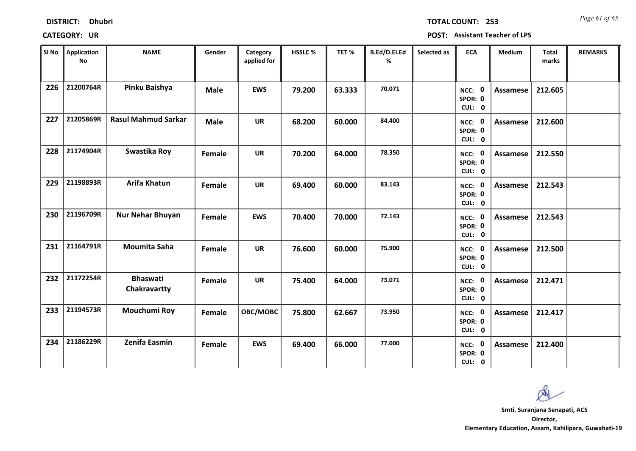| <b>DISTRICT:</b> | <b>Dhubri</b> |
|------------------|---------------|
|------------------|---------------|

*Page 61 of 65* **TOTAL COUNT: 253**

| SI No | <b>Application</b><br>No | <b>NAME</b>                     | Gender      | Category<br>applied for | <b>HSSLC%</b> | TET %  | B.Ed/D.El.Ed<br>% | Selected as | <b>ECA</b>                  | <b>Medium</b>   | <b>Total</b><br>marks | <b>REMARKS</b> |
|-------|--------------------------|---------------------------------|-------------|-------------------------|---------------|--------|-------------------|-------------|-----------------------------|-----------------|-----------------------|----------------|
| 226   | 21200764R                | Pinku Baishya                   | <b>Male</b> | <b>EWS</b>              | 79.200        | 63.333 | 70.071            |             | NCC: 0<br>SPOR: 0<br>CUL: 0 | Assamese        | 212.605               |                |
| 227   | 21205869R                | <b>Rasul Mahmud Sarkar</b>      | <b>Male</b> | <b>UR</b>               | 68.200        | 60.000 | 84.400            |             | NCC: 0<br>SPOR: 0<br>CUL: 0 | Assamese        | 212.600               |                |
| 228   | 21174904R                | Swastika Roy                    | Female      | <b>UR</b>               | 70.200        | 64.000 | 78.350            |             | NCC: 0<br>SPOR: 0<br>CUL: 0 | Assamese        | 212.550               |                |
| 229   | 21198893R                | Arifa Khatun                    | Female      | <b>UR</b>               | 69.400        | 60.000 | 83.143            |             | NCC: 0<br>SPOR: 0<br>CUL: 0 | <b>Assamese</b> | 212.543               |                |
| 230   | 21196709R                | <b>Nur Nehar Bhuyan</b>         | Female      | <b>EWS</b>              | 70.400        | 70.000 | 72.143            |             | NCC: 0<br>SPOR: 0<br>CUL: 0 | Assamese        | 212.543               |                |
| 231   | 21164791R                | <b>Moumita Saha</b>             | Female      | <b>UR</b>               | 76.600        | 60.000 | 75.900            |             | NCC: 0<br>SPOR: 0<br>CUL: 0 | Assamese        | 212.500               |                |
| 232   | 21172254R                | <b>Bhaswati</b><br>Chakravartty | Female      | <b>UR</b>               | 75.400        | 64.000 | 73.071            |             | NCC: 0<br>SPOR: 0<br>CUL: 0 | Assamese        | 212.471               |                |
| 233   | 21194573R                | Mouchumi Roy                    | Female      | OBC/MOBC                | 75.800        | 62.667 | 73.950            |             | NCC: 0<br>SPOR: 0<br>CUL: 0 | <b>Assamese</b> | 212.417               |                |
| 234   | 21186229R                | Zenifa Easmin                   | Female      | <b>EWS</b>              | 69.400        | 66.000 | 77.000            |             | NCC: 0<br>SPOR: 0<br>CUL: 0 | Assamese        | 212.400               |                |

 $\infty$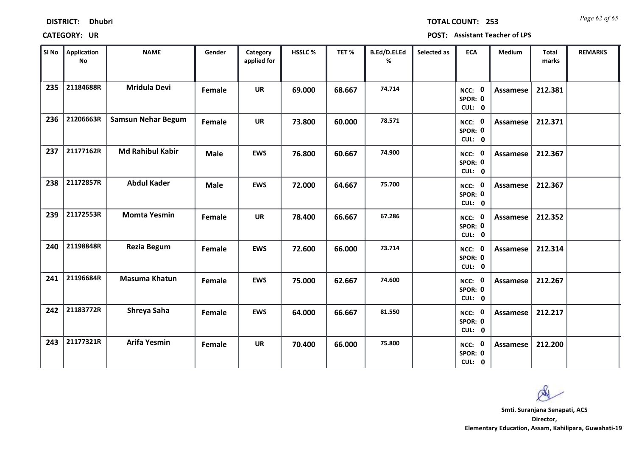| <b>DISTRICT:</b> | <b>Dhubri</b> |
|------------------|---------------|
|------------------|---------------|

*Page 62 of 65* **TOTAL COUNT: 253**

| SI No | Application<br>$\mathsf{No}$ | <b>NAME</b>               | Gender      | Category<br>applied for | HSSLC % | TET%   | B.Ed/D.El.Ed<br>% | Selected as | <b>ECA</b>                  | <b>Medium</b>   | <b>Total</b><br>marks | <b>REMARKS</b> |
|-------|------------------------------|---------------------------|-------------|-------------------------|---------|--------|-------------------|-------------|-----------------------------|-----------------|-----------------------|----------------|
| 235   | 21184688R                    | <b>Mridula Devi</b>       | Female      | <b>UR</b>               | 69.000  | 68.667 | 74.714            |             | NCC: 0<br>SPOR: 0<br>CUL: 0 | <b>Assamese</b> | 212.381               |                |
| 236   | 21206663R                    | <b>Samsun Nehar Begum</b> | Female      | <b>UR</b>               | 73.800  | 60.000 | 78.571            |             | NCC: 0<br>SPOR: 0<br>CUL: 0 | Assamese        | 212.371               |                |
| 237   | 21177162R                    | <b>Md Rahibul Kabir</b>   | <b>Male</b> | <b>EWS</b>              | 76.800  | 60.667 | 74.900            |             | NCC: 0<br>SPOR: 0<br>CUL: 0 | Assamese        | 212.367               |                |
| 238   | 21172857R                    | <b>Abdul Kader</b>        | <b>Male</b> | <b>EWS</b>              | 72.000  | 64.667 | 75.700            |             | NCC: 0<br>SPOR: 0<br>CUL: 0 | <b>Assamese</b> | 212.367               |                |
| 239   | 21172553R                    | <b>Momta Yesmin</b>       | Female      | <b>UR</b>               | 78.400  | 66.667 | 67.286            |             | NCC: 0<br>SPOR: 0<br>CUL: 0 | Assamese        | 212.352               |                |
| 240   | 21198848R                    | <b>Rezia Begum</b>        | Female      | <b>EWS</b>              | 72.600  | 66.000 | 73.714            |             | NCC: 0<br>SPOR: 0<br>CUL: 0 | Assamese        | 212.314               |                |
| 241   | 21196684R                    | <b>Masuma Khatun</b>      | Female      | <b>EWS</b>              | 75.000  | 62.667 | 74.600            |             | NCC: 0<br>SPOR: 0<br>CUL: 0 | Assamese        | 212.267               |                |
| 242   | 21183772R                    | Shreya Saha               | Female      | <b>EWS</b>              | 64.000  | 66.667 | 81.550            |             | NCC: 0<br>SPOR: 0<br>CUL: 0 | <b>Assamese</b> | 212.217               |                |
| 243   | 21177321R                    | <b>Arifa Yesmin</b>       | Female      | <b>UR</b>               | 70.400  | 66.000 | 75.800            |             | NCC: 0<br>SPOR: 0<br>CUL: 0 | Assamese        | 212.200               |                |

 $\infty$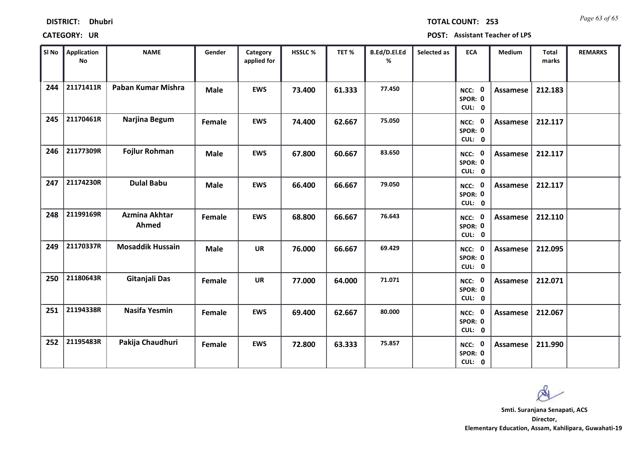*Page 63 of 65* **TOTAL COUNT: 253**

| SI No | <b>Application</b><br>No | <b>NAME</b>                   | Gender      | Category<br>applied for | <b>HSSLC %</b> | TET %  | B.Ed/D.El.Ed<br>% | Selected as | <b>ECA</b>                  | <b>Medium</b>   | <b>Total</b><br>marks | <b>REMARKS</b> |
|-------|--------------------------|-------------------------------|-------------|-------------------------|----------------|--------|-------------------|-------------|-----------------------------|-----------------|-----------------------|----------------|
| 244   | 21171411R                | Paban Kumar Mishra            | <b>Male</b> | <b>EWS</b>              | 73.400         | 61.333 | 77.450            |             | NCC: 0<br>SPOR: 0<br>CUL: 0 | Assamese        | 212.183               |                |
| 245   | 21170461R                | Narjina Begum                 | Female      | <b>EWS</b>              | 74.400         | 62.667 | 75.050            |             | NCC: 0<br>SPOR: 0<br>CUL: 0 | Assamese        | 212.117               |                |
| 246   | 21177309R                | <b>Fojlur Rohman</b>          | <b>Male</b> | <b>EWS</b>              | 67.800         | 60.667 | 83.650            |             | NCC: 0<br>SPOR: 0<br>CUL: 0 | Assamese        | 212.117               |                |
| 247   | 21174230R                | <b>Dulal Babu</b>             | <b>Male</b> | <b>EWS</b>              | 66.400         | 66.667 | 79.050            |             | NCC: 0<br>SPOR: 0<br>CUL: 0 | <b>Assamese</b> | 212.117               |                |
| 248   | 21199169R                | <b>Azmina Akhtar</b><br>Ahmed | Female      | <b>EWS</b>              | 68.800         | 66.667 | 76.643            |             | NCC: 0<br>SPOR: 0<br>CUL: 0 | Assamese        | 212.110               |                |
| 249   | 21170337R                | <b>Mosaddik Hussain</b>       | <b>Male</b> | <b>UR</b>               | 76.000         | 66.667 | 69.429            |             | NCC: 0<br>SPOR: 0<br>CUL: 0 | Assamese        | 212.095               |                |
| 250   | 21180643R                | Gitanjali Das                 | Female      | <b>UR</b>               | 77.000         | 64.000 | 71.071            |             | NCC: 0<br>SPOR: 0<br>CUL: 0 | Assamese        | 212.071               |                |
| 251   | 21194338R                | <b>Nasifa Yesmin</b>          | Female      | <b>EWS</b>              | 69.400         | 62.667 | 80.000            |             | NCC: 0<br>SPOR: 0<br>CUL: 0 | Assamese        | 212.067               |                |
| 252   | 21195483R                | Pakija Chaudhuri              | Female      | <b>EWS</b>              | 72.800         | 63.333 | 75.857            |             | NCC: 0<br>SPOR: 0<br>CUL: 0 | Assamese        | 211.990               |                |

 $\infty$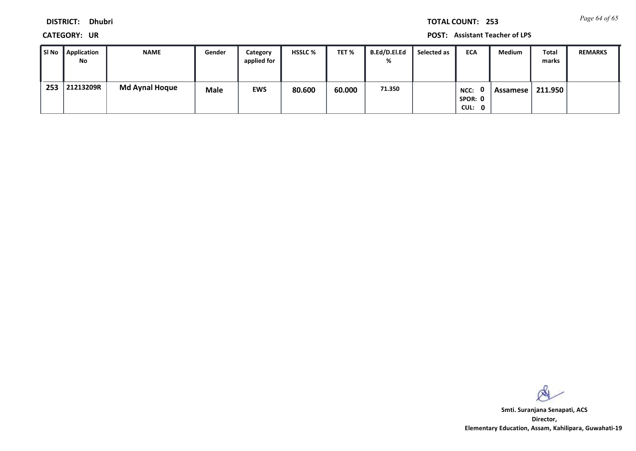**DISTRICT: Dhubri**

**CATEGORY: UR POST: Assistant Teacher of LPS**

| SI No | <sup>1</sup> Application<br>No | <b>NAME</b>           | Gender      | Category<br>applied for | <b>HSSLC %</b> | TET %  | B.Ed/D.El.Ed<br>% | Selected as | <b>ECA</b>                                   | Medium   | Total<br>marks | <b>REMARKS</b> |
|-------|--------------------------------|-----------------------|-------------|-------------------------|----------------|--------|-------------------|-------------|----------------------------------------------|----------|----------------|----------------|
| 253   | 21213209R                      | <b>Md Aynal Hoque</b> | <b>Male</b> | <b>EWS</b>              | 80.600         | 60.000 | 71.350            |             | n<br>NCC:<br>SPOR: 0<br>CUL:<br>$\mathbf{0}$ | Assamese | 211.950        |                |

 $\infty$ 

**Director, Elementary Education, Assam, Kahilipara, Guwahati-19 Smti. Suranjana Senapati, ACS**

*Page 64 of 65* **TOTAL COUNT: 253**